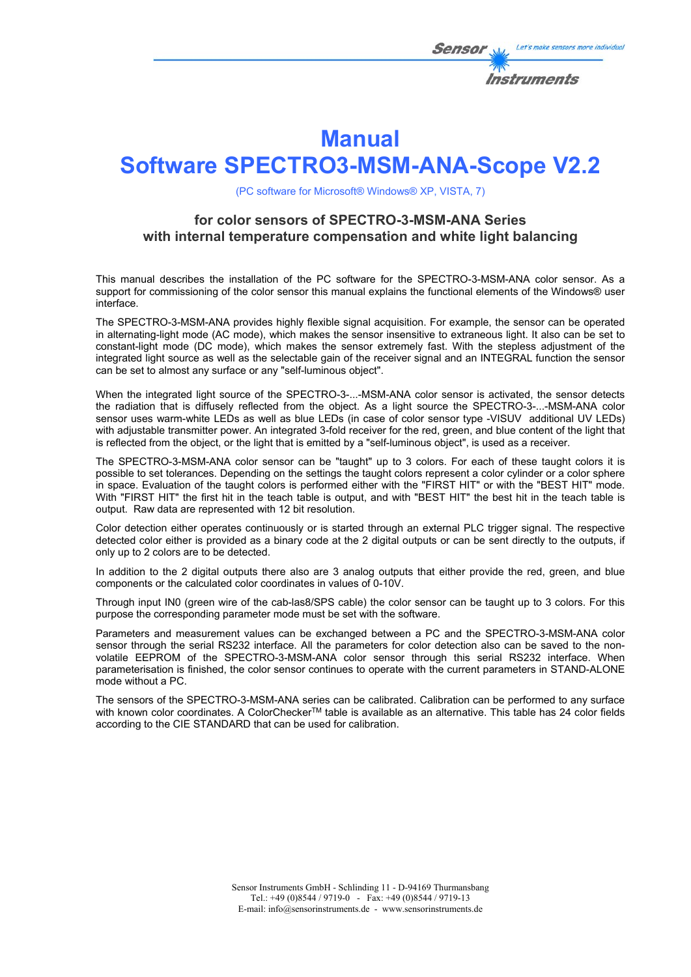

# **Manual**

# **Software SPECTRO3-MSM-ANA-Scope V2.2**

(PC software for Microsoft® Windows® XP, VISTA, 7)

# **for color sensors of SPECTRO-3-MSM-ANA Series with internal temperature compensation and white light balancing**

This manual describes the installation of the PC software for the SPECTRO-3-MSM-ANA color sensor. As a support for commissioning of the color sensor this manual explains the functional elements of the Windows® user interface.

The SPECTRO-3-MSM-ANA provides highly flexible signal acquisition. For example, the sensor can be operated in alternating-light mode (AC mode), which makes the sensor insensitive to extraneous light. It also can be set to constant-light mode (DC mode), which makes the sensor extremely fast. With the stepless adjustment of the integrated light source as well as the selectable gain of the receiver signal and an INTEGRAL function the sensor can be set to almost any surface or any "self-luminous object".

When the integrated light source of the SPECTRO-3-...-MSM-ANA color sensor is activated, the sensor detects the radiation that is diffusely reflected from the object. As a light source the SPECTRO-3-...-MSM-ANA color sensor uses warm-white LEDs as well as blue LEDs (in case of color sensor type -VISUV additional UV LEDs) with adjustable transmitter power. An integrated 3-fold receiver for the red, green, and blue content of the light that is reflected from the object, or the light that is emitted by a "self-luminous object", is used as a receiver.

The SPECTRO-3-MSM-ANA color sensor can be "taught" up to 3 colors. For each of these taught colors it is possible to set tolerances. Depending on the settings the taught colors represent a color cylinder or a color sphere in space. Evaluation of the taught colors is performed either with the "FIRST HIT" or with the "BEST HIT" mode. With "FIRST HIT" the first hit in the teach table is output, and with "BEST HIT" the best hit in the teach table is output. Raw data are represented with 12 bit resolution.

Color detection either operates continuously or is started through an external PLC trigger signal. The respective detected color either is provided as a binary code at the 2 digital outputs or can be sent directly to the outputs, if only up to 2 colors are to be detected.

In addition to the 2 digital outputs there also are 3 analog outputs that either provide the red, green, and blue components or the calculated color coordinates in values of 0-10V.

Through input IN0 (green wire of the cab-las8/SPS cable) the color sensor can be taught up to 3 colors. For this purpose the corresponding parameter mode must be set with the software.

Parameters and measurement values can be exchanged between a PC and the SPECTRO-3-MSM-ANA color sensor through the serial RS232 interface. All the parameters for color detection also can be saved to the nonvolatile EEPROM of the SPECTRO-3-MSM-ANA color sensor through this serial RS232 interface. When parameterisation is finished, the color sensor continues to operate with the current parameters in STAND-ALONE mode without a PC.

The sensors of the SPECTRO-3-MSM-ANA series can be calibrated. Calibration can be performed to any surface with known color coordinates. A ColorCheckerTM table is available as an alternative. This table has 24 color fields according to the CIE STANDARD that can be used for calibration.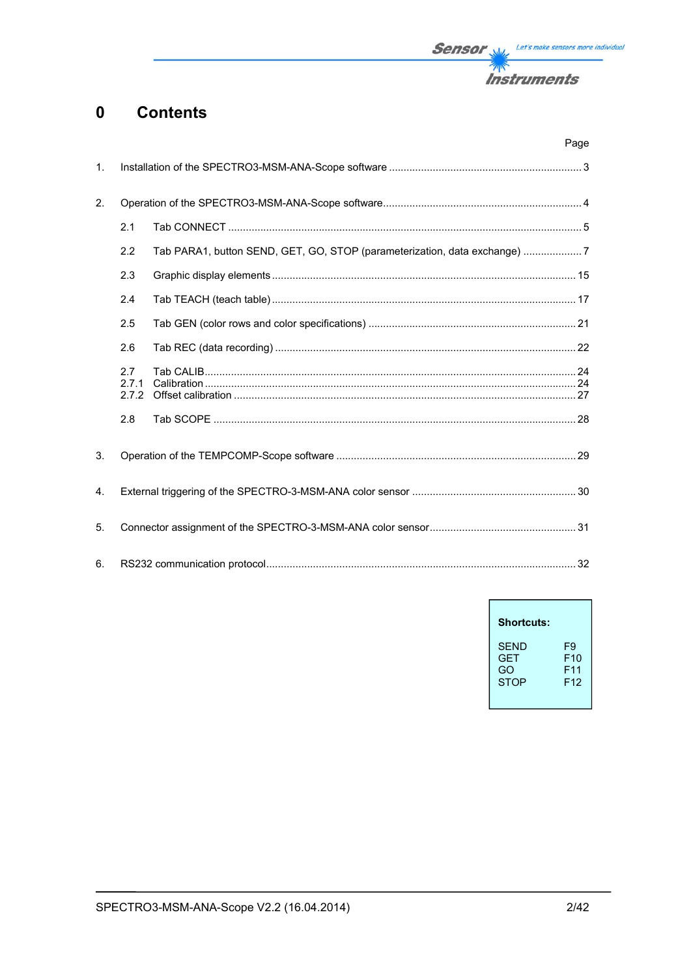

#### **Contents**  $\mathbf 0$

|                |                       | Page                                                                      |  |
|----------------|-----------------------|---------------------------------------------------------------------------|--|
| $\mathbf{1}$ . |                       |                                                                           |  |
| 2.             |                       |                                                                           |  |
|                | 2.1                   |                                                                           |  |
|                | 2.2                   | Tab PARA1, button SEND, GET, GO, STOP (parameterization, data exchange) 7 |  |
|                | 2.3                   |                                                                           |  |
|                | 2.4                   |                                                                           |  |
|                | 2.5                   |                                                                           |  |
|                | 2.6                   |                                                                           |  |
|                | 2.7<br>2.7.1<br>2.7.2 |                                                                           |  |
|                | 2.8                   |                                                                           |  |
| 3.             |                       |                                                                           |  |
| 4.             |                       |                                                                           |  |
| 5.             |                       |                                                                           |  |
| 6.             |                       |                                                                           |  |

| <b>Shortcuts:</b> |                 |
|-------------------|-----------------|
| SFND              | F9              |
| <b>GFT</b>        | F10             |
| GO                | F11             |
| <b>STOP</b>       | F <sub>12</sub> |

 $\overline{1}$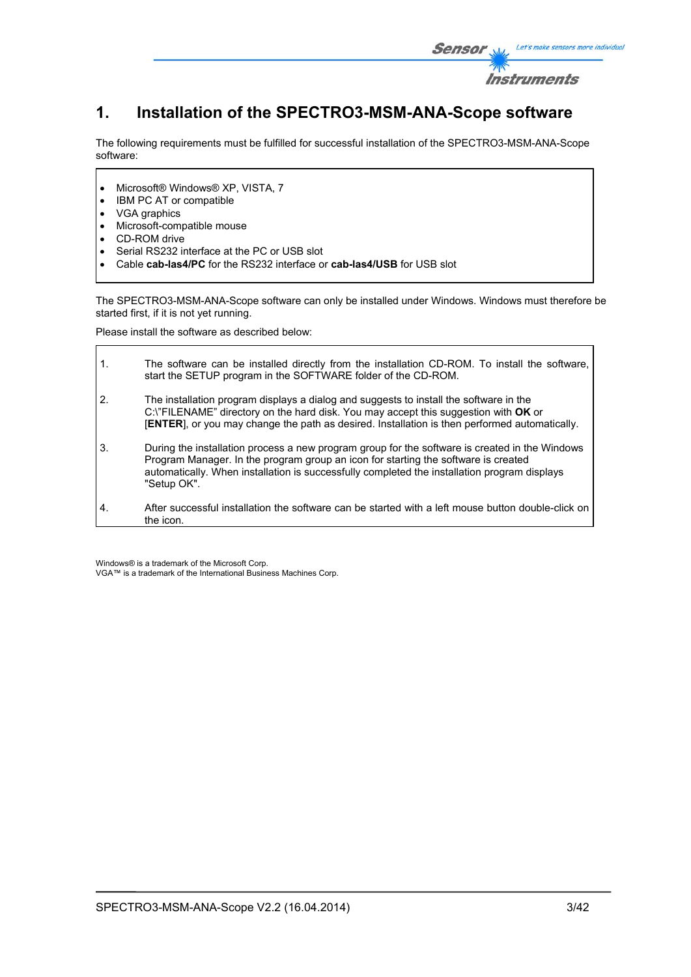

# **1. Installation of the SPECTRO3-MSM-ANA-Scope software**

The following requirements must be fulfilled for successful installation of the SPECTRO3-MSM-ANA-Scope software:

- Microsoft® Windows® XP, VISTA, 7
- IBM PC AT or compatible
- VGA graphics
- Microsoft-compatible mouse
- CD-ROM drive
- Serial RS232 interface at the PC or USB slot
- Cable **cab-las4/PC** for the RS232 interface or **cab-las4/USB** for USB slot

The SPECTRO3-MSM-ANA-Scope software can only be installed under Windows. Windows must therefore be started first, if it is not yet running.

Please install the software as described below:

| $\mathbf{1}$ . | The software can be installed directly from the installation CD-ROM. To install the software,<br>start the SETUP program in the SOFTWARE folder of the CD-ROM.                                                                                                                                      |
|----------------|-----------------------------------------------------------------------------------------------------------------------------------------------------------------------------------------------------------------------------------------------------------------------------------------------------|
| 2.             | The installation program displays a dialog and suggests to install the software in the<br>C:\"FILENAME" directory on the hard disk. You may accept this suggestion with OK or<br>[ENTER], or you may change the path as desired. Installation is then performed automatically.                      |
| 3.             | During the installation process a new program group for the software is created in the Windows<br>Program Manager. In the program group an icon for starting the software is created<br>automatically. When installation is successfully completed the installation program displays<br>"Setup OK". |
| 4.             | After successful installation the software can be started with a left mouse button double-click on<br>the icon.                                                                                                                                                                                     |

Windows® is a trademark of the Microsoft Corp. VGA™ is a trademark of the International Business Machines Corp.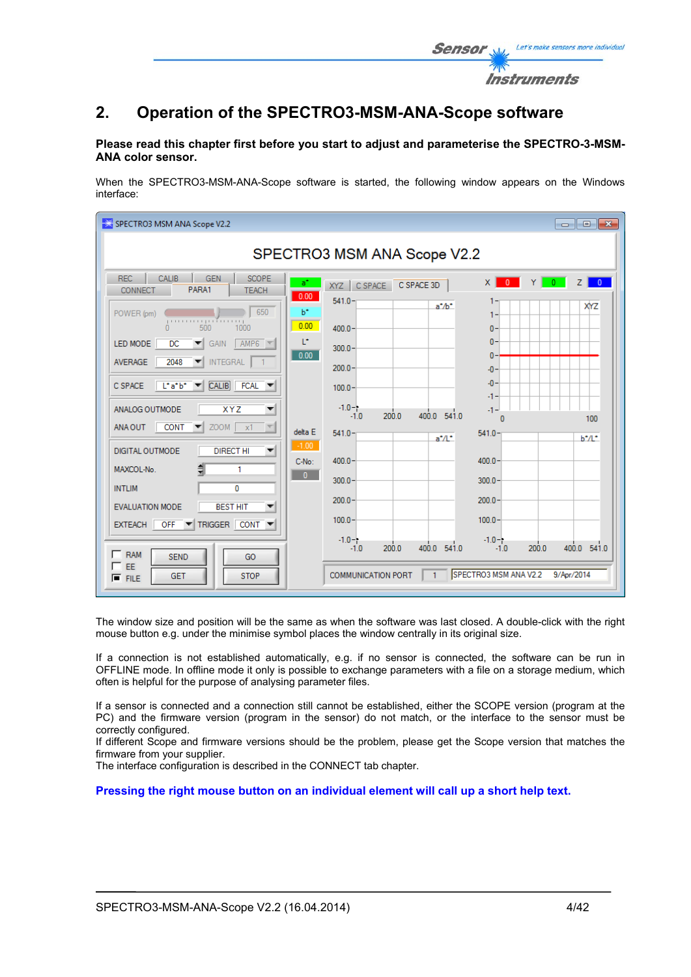

### **Please read this chapter first before you start to adjust and parameterise the SPECTRO-3-MSM-ANA color sensor.**

When the SPECTRO3-MSM-ANA-Scope software is started, the following window appears on the Windows interface:

| SPECTRO3 MSM ANA Scope V2.2<br>$\begin{array}{c c c c c c} \hline \multicolumn{3}{c }{\mathbf{C}} & \multicolumn{3}{c }{\mathbf{X}} \end{array}$                                                                                                                                                                                                                                                                                                                                                                                                                                                                                                                                    |                                                                                                                                                                                                                                                                                                                                            |                                                                                                                                                                                                                                       |  |  |  |
|-------------------------------------------------------------------------------------------------------------------------------------------------------------------------------------------------------------------------------------------------------------------------------------------------------------------------------------------------------------------------------------------------------------------------------------------------------------------------------------------------------------------------------------------------------------------------------------------------------------------------------------------------------------------------------------|--------------------------------------------------------------------------------------------------------------------------------------------------------------------------------------------------------------------------------------------------------------------------------------------------------------------------------------------|---------------------------------------------------------------------------------------------------------------------------------------------------------------------------------------------------------------------------------------|--|--|--|
| SPECTRO3 MSM ANA Scope V2.2                                                                                                                                                                                                                                                                                                                                                                                                                                                                                                                                                                                                                                                         |                                                                                                                                                                                                                                                                                                                                            |                                                                                                                                                                                                                                       |  |  |  |
| <b>REC</b><br><b>CALIB</b><br><b>SCOPE</b><br><b>GEN</b><br>PARA1<br><b>CONNECT</b><br><b>TEACH</b>                                                                                                                                                                                                                                                                                                                                                                                                                                                                                                                                                                                 | a*<br>XYZ CSPACE<br>C SPACE 3D<br>0.00                                                                                                                                                                                                                                                                                                     | $\times$ 1<br>$\overline{0}$ $\overline{Y}$<br>$\overline{0}$<br>Z <sub>1</sub><br>$\overline{0}$                                                                                                                                     |  |  |  |
| 650<br>POWER (pm)<br>1111111111111<br>500<br>1000<br>$\mathbf{a}$<br>$AMP6$ $\blacktriangledown$<br>LED MODE<br><b>DC</b><br>GAIN<br>$\blacktriangledown$<br>2048<br><b>INTEGRAL</b><br><b>AVERAGE</b><br>▼<br>$\overline{CALB}$ FCAL $\blacktriangledown$<br>$L^*a^*b^*$<br>C SPACE<br>$\vert \mathbf{v} \vert$<br><b>XYZ</b><br>ANALOG OUTMODE<br>$\blacktriangledown$<br>$ZOOM$ $x1$<br><b>CONT</b><br>ANA OUT<br>▼<br>DIGITAL OUTMODE<br><b>DIRECT HI</b><br>$\blacktriangledown$<br>MAXCOL-No.<br>1<br><b>INTLIM</b><br>$\mathbf{0}$<br><b>BEST HIT</b><br><b>EVALUATION MODE</b><br>TRIGGER CONT<br>$OFF$ $\Psi$<br><b>EXTEACH</b><br>$\Gamma$ RAM<br><b>SEND</b><br>GO<br>EE | $541.0 -$<br>$a^* / b^*$<br>$b^*$<br>0.00<br>$400.0 -$<br>L*<br>$300.0 -$<br>0.00<br>$200.0 -$<br>$100.0 -$<br>$-1.0 - 1.$<br>400.0 541.0<br>200.0<br>$-1.0$<br>delta E<br>$541.0 -$<br>$a^*/l^*$<br>$-1.00$<br>C-No:<br>$400.0 -$<br>$\mathbf{0}$<br>$300.0 -$<br>$200.0 -$<br>$100.0 -$<br>$-1.0 - 1.$<br>400.0 541.0<br>200.0<br>$-1.0$ | 1-<br>XYZ<br>1.<br>$0 -$<br>$\mathbf{0}$<br>$\mathbf{0}$<br>$-0-$<br>$-0-$<br>-1-<br>$-1 -$<br>100<br>Ω<br>$541.0 -$<br>$b^*/l^*$<br>$400.0 -$<br>$300.0 -$<br>$200.0 -$<br>$100.0 -$<br>$-1.0 - 1$<br>400.0 541.0<br>200.0<br>$-1.0$ |  |  |  |
| <b>STOP</b><br><b>GET</b><br>$F$ FILE                                                                                                                                                                                                                                                                                                                                                                                                                                                                                                                                                                                                                                               | <b>COMMUNICATION PORT</b><br>$\mathbf{1}$                                                                                                                                                                                                                                                                                                  | SPECTRO3 MSM ANA V2.2<br>9/Apr/2014                                                                                                                                                                                                   |  |  |  |

The window size and position will be the same as when the software was last closed. A double-click with the right mouse button e.g. under the minimise symbol places the window centrally in its original size.

If a connection is not established automatically, e.g. if no sensor is connected, the software can be run in OFFLINE mode. In offline mode it only is possible to exchange parameters with a file on a storage medium, which often is helpful for the purpose of analysing parameter files.

If a sensor is connected and a connection still cannot be established, either the SCOPE version (program at the PC) and the firmware version (program in the sensor) do not match, or the interface to the sensor must be correctly configured.

If different Scope and firmware versions should be the problem, please get the Scope version that matches the firmware from your supplier.

The interface configuration is described in the CONNECT tab chapter.

**Pressing the right mouse button on an individual element will call up a short help text.** 

Let's make sensors more individual

Instruments

Sensor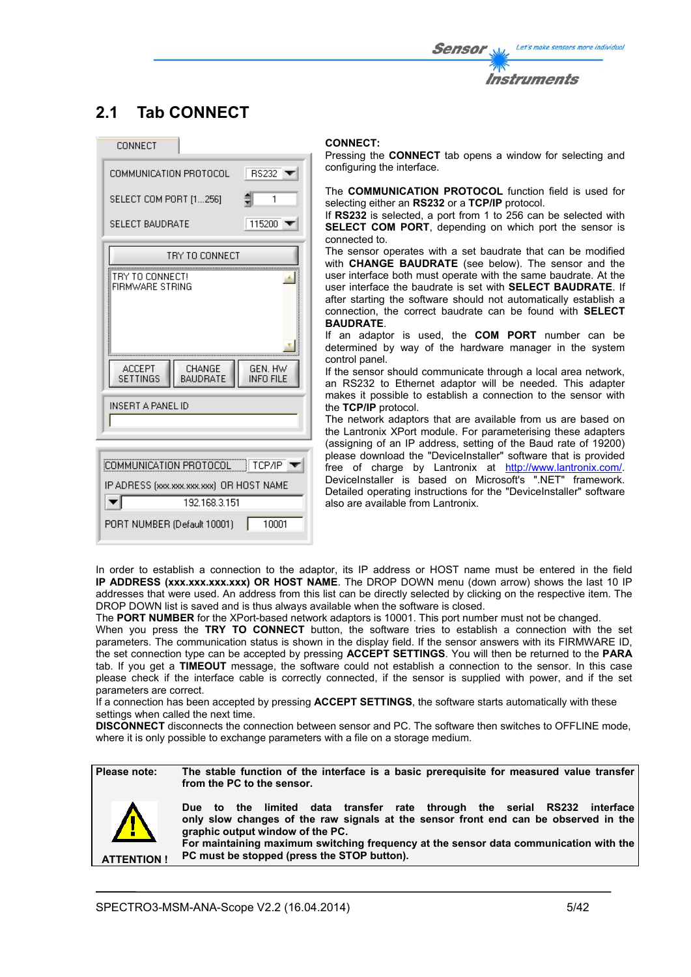# **2.1 Tab CONNECT**

| CONNECT                                                                        |  |  |  |
|--------------------------------------------------------------------------------|--|--|--|
| COMMUNICATION PROTOCOL<br><b>RS232</b>                                         |  |  |  |
| SELECT COM PORT [1256]<br>1                                                    |  |  |  |
| <b>SELECT BAUDRATE</b><br>115200                                               |  |  |  |
| TRY TO CONNECT                                                                 |  |  |  |
| TRY TO CONNECT!<br>FIRMWARE STRING                                             |  |  |  |
| <b>ACCEPT</b><br>CHANGE<br>GEN. HW<br>BAUDRATE<br>SETTINGS<br><b>INFO FILE</b> |  |  |  |
| INSERT A PANEL ID                                                              |  |  |  |
|                                                                                |  |  |  |
| COMMUNICATION PROTOCOL   TCP/IP                                                |  |  |  |
| IP ADRESS (xxx.xxx.xxx.xxx) OR HOST NAME                                       |  |  |  |
| 192.168.3.151                                                                  |  |  |  |
| 10001<br>PORT NUMBER (Default 10001)                                           |  |  |  |

#### **CONNECT:**

Pressing the **CONNECT** tab opens a window for selecting and configuring the interface.

The **COMMUNICATION PROTOCOL** function field is used for selecting either an **RS232** or a **TCP/IP** protocol.

If **RS232** is selected, a port from 1 to 256 can be selected with **SELECT COM PORT**, depending on which port the sensor is connected to.

The sensor operates with a set baudrate that can be modified with **CHANGE BAUDRATE** (see below). The sensor and the user interface both must operate with the same baudrate. At the user interface the baudrate is set with **SELECT BAUDRATE**. If after starting the software should not automatically establish a connection, the correct baudrate can be found with **SELECT BAUDRATE**.

If an adaptor is used, the **COM PORT** number can be determined by way of the hardware manager in the system control panel.

If the sensor should communicate through a local area network, an RS232 to Ethernet adaptor will be needed. This adapter makes it possible to establish a connection to the sensor with the **TCP/IP** protocol.

The network adaptors that are available from us are based on the Lantronix XPort module. For parameterising these adapters (assigning of an IP address, setting of the Baud rate of 19200) please download the "DeviceInstaller" software that is provided free of charge by Lantronix at http://www.lantronix.com/. DeviceInstaller is based on Microsoft's ".NET" framework. Detailed operating instructions for the "DeviceInstaller" software also are available from Lantronix.

In order to establish a connection to the adaptor, its IP address or HOST name must be entered in the field **IP ADDRESS (xxx.xxx.xxx.xxx) OR HOST NAME**. The DROP DOWN menu (down arrow) shows the last 10 IP addresses that were used. An address from this list can be directly selected by clicking on the respective item. The DROP DOWN list is saved and is thus always available when the software is closed.

The **PORT NUMBER** for the XPort-based network adaptors is 10001. This port number must not be changed.

When you press the **TRY TO CONNECT** button, the software tries to establish a connection with the set parameters. The communication status is shown in the display field. If the sensor answers with its FIRMWARE ID, the set connection type can be accepted by pressing **ACCEPT SETTINGS**. You will then be returned to the **PARA** tab. If you get a **TIMEOUT** message, the software could not establish a connection to the sensor. In this case please check if the interface cable is correctly connected, if the sensor is supplied with power, and if the set parameters are correct.

If a connection has been accepted by pressing **ACCEPT SETTINGS**, the software starts automatically with these settings when called the next time.

**DISCONNECT** disconnects the connection between sensor and PC. The software then switches to OFFLINE mode, where it is only possible to exchange parameters with a file on a storage medium.



**ATTENTION !**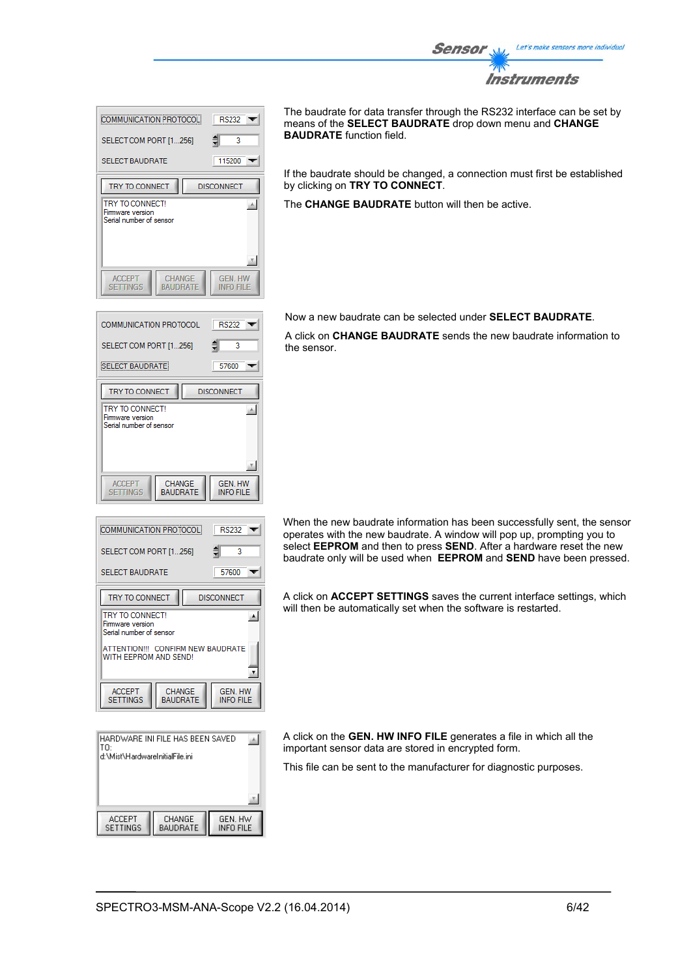

| COMMUNICATION PROTOCOL                                               | <b>RS232</b>                |  |
|----------------------------------------------------------------------|-----------------------------|--|
| SELECT COM PORT [1256]                                               | ₿<br>3                      |  |
| <b>SELECT BAUDRATE</b>                                               | 115200                      |  |
| TRY TO CONNECT                                                       | <b>DISCONNECT</b>           |  |
| TRY TO CONNECT!<br>Firmware version<br>Serial number of sensor       |                             |  |
| <b>CHANGE</b><br><b>ACCEPT</b><br><b>SETTINGS</b><br><b>BAUDRATE</b> | <b>GEN. HW</b><br>INFO FILE |  |

**RS232** 

57600

**GEN. HW<br>INFO FILE** 

 $RS232$ 

Ŕ

 $\overline{\phantom{0}}$ 

 $\blacktriangle$ 

 $\pmb{\mathrm{v}}$ 

GEN. HW

**INFO FILE** 

57600

**DISCONNECT** 

**DISCONNECT** 

₿ 3  $\overline{\phantom{a}}$ 

 $\overline{\phantom{a}}$ 

画

COMMUNICATION PROTOCOL

SELECT COM PORT [1...256]

**SELECT BAUDRATE** 

TRY TO CONNECT

**TRY TO CONNECT!** 

Firmware version Serial number of sensor

ACCEPT<br>SETTINGS

**COMMUNICATION PROTOCOL** 

SELECT COM PORT [1...256]

SELECT BALIDRATE

TRY TO CONNECT **TRY TO CONNECT** 

Firmware version erial number of sensor

**ACCEPT** 

**SETTINGS** 

CHANGE BAUDRATE The baudrate for data transfer through the RS232 interface can be set by means of the **SELECT BAUDRATE** drop down menu and **CHANGE BAUDRATE** function field.

If the baudrate should be changed, a connection must first be established by clicking on **TRY TO CONNECT**.

The **CHANGE BAUDRATE** button will then be active.

Now a new baudrate can be selected under **SELECT BAUDRATE**.

A click on **CHANGE BAUDRATE** sends the new baudrate information to the sensor.

When the new baudrate information has been successfully sent, the sensor operates with the new baudrate. A window will pop up, prompting you to select **EEPROM** and then to press **SEND**. After a hardware reset the new baudrate only will be used when **EEPROM** and **SEND** have been pressed.

A click on **ACCEPT SETTINGS** saves the current interface settings, which will then be automatically set when the software is restarted.

HARDWARE INI FILE HAS BEEN SAVED  $\mathbb{A}$ lтn d:\Mist\HardwareInitialFile.ini **ACCEPT** CHANGE<br>BAUDRATE GEN. HW<br>INFO FILE SETTINGS

ATTENTION !!! CONFIRM NEW BAUDRATE

CHANGE

**BAUDRATE** 

A click on the **GEN. HW INFO FILE** generates a file in which all the important sensor data are stored in encrypted form.

This file can be sent to the manufacturer for diagnostic purposes.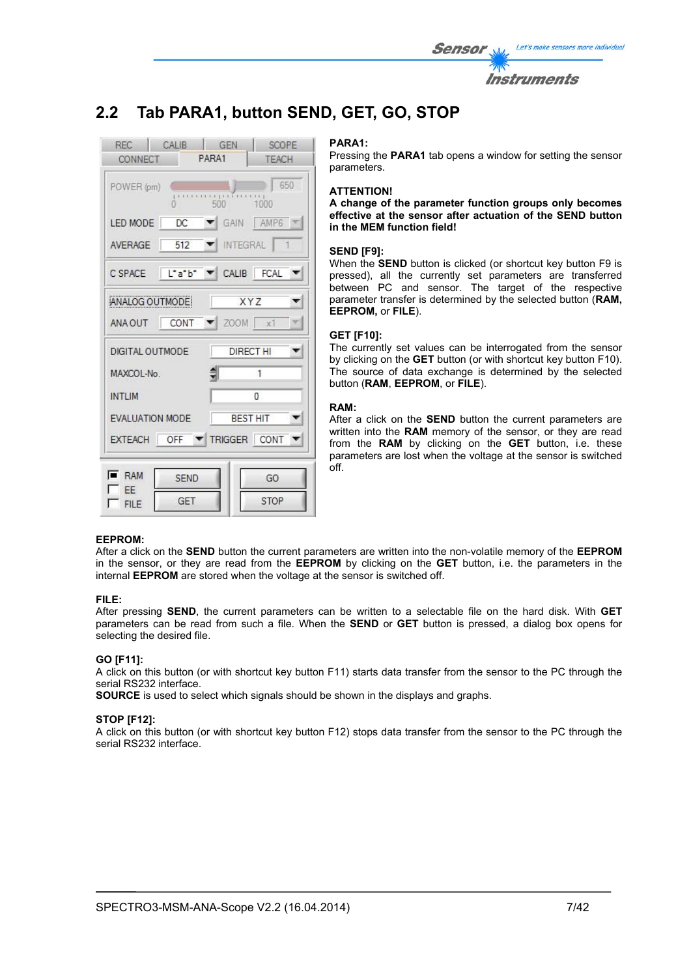

# **2.2 Tab PARA1, button SEND, GET, GO, STOP**



#### **PARA1:**

Pressing the **PARA1** tab opens a window for setting the sensor parameters.

#### **ATTENTION!**

**A change of the parameter function groups only becomes effective at the sensor after actuation of the SEND button in the MEM function field!** 

#### **SEND [F9]:**

When the **SEND** button is clicked (or shortcut key button F9 is pressed), all the currently set parameters are transferred between PC and sensor. The target of the respective parameter transfer is determined by the selected button (**RAM, EEPROM,** or **FILE**).

#### **GET [F10]:**

The currently set values can be interrogated from the sensor by clicking on the **GET** button (or with shortcut key button F10). The source of data exchange is determined by the selected button (**RAM**, **EEPROM**, or **FILE**).

#### **RAM:**

After a click on the **SEND** button the current parameters are written into the **RAM** memory of the sensor, or they are read from the **RAM** by clicking on the **GET** button, i.e. these parameters are lost when the voltage at the sensor is switched off.

### **EEPROM:**

After a click on the **SEND** button the current parameters are written into the non-volatile memory of the **EEPROM** in the sensor, or they are read from the **EEPROM** by clicking on the **GET** button, i.e. the parameters in the internal **EEPROM** are stored when the voltage at the sensor is switched off.

#### **FILE:**

After pressing **SEND**, the current parameters can be written to a selectable file on the hard disk. With **GET** parameters can be read from such a file. When the **SEND** or **GET** button is pressed, a dialog box opens for selecting the desired file.

### **GO [F11]:**

A click on this button (or with shortcut key button F11) starts data transfer from the sensor to the PC through the serial RS232 interface.

**SOURCE** is used to select which signals should be shown in the displays and graphs.

#### **STOP [F12]:**

A click on this button (or with shortcut key button F12) stops data transfer from the sensor to the PC through the serial RS232 interface.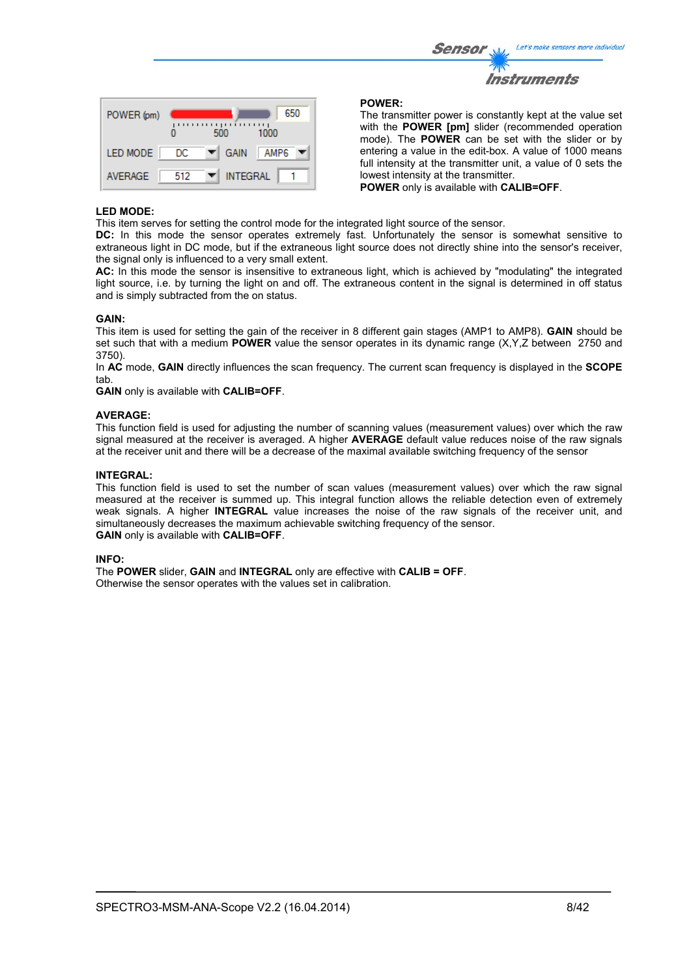| <b>Sensor</b> | Let's make sensors more individual |
|---------------|------------------------------------|
| $\mathcal{W}$ |                                    |
|               | Instruments                        |

| POWER (pm)      |     | ,,,,,,<br>500    | 650<br>,,,,,,<br>1000 |
|-----------------|-----|------------------|-----------------------|
| <b>LED MODE</b> | DC  | <b>GAIN</b><br>▼ | AMP <sub>6</sub>      |
| <b>AVERAGE</b>  | 512 | <b>INTEGRAL</b>  |                       |

#### **POWER:**

The transmitter power is constantly kept at the value set with the **POWER [pm]** slider (recommended operation mode). The **POWER** can be set with the slider or by entering a value in the edit-box. A value of 1000 means full intensity at the transmitter unit, a value of 0 sets the lowest intensity at the transmitter.

**POWER** only is available with **CALIB=OFF**.

#### **LED MODE:**

This item serves for setting the control mode for the integrated light source of the sensor.

**DC:** In this mode the sensor operates extremely fast. Unfortunately the sensor is somewhat sensitive to extraneous light in DC mode, but if the extraneous light source does not directly shine into the sensor's receiver, the signal only is influenced to a very small extent.

**AC:** In this mode the sensor is insensitive to extraneous light, which is achieved by "modulating" the integrated light source, i.e. by turning the light on and off. The extraneous content in the signal is determined in off status and is simply subtracted from the on status.

#### **GAIN:**

This item is used for setting the gain of the receiver in 8 different gain stages (AMP1 to AMP8). **GAIN** should be set such that with a medium **POWER** value the sensor operates in its dynamic range (X,Y,Z between 2750 and 3750).

In **AC** mode, **GAIN** directly influences the scan frequency. The current scan frequency is displayed in the **SCOPE** tab.

**GAIN** only is available with **CALIB=OFF**.

#### **AVERAGE:**

This function field is used for adjusting the number of scanning values (measurement values) over which the raw signal measured at the receiver is averaged. A higher **AVERAGE** default value reduces noise of the raw signals at the receiver unit and there will be a decrease of the maximal available switching frequency of the sensor

#### **INTEGRAL:**

This function field is used to set the number of scan values (measurement values) over which the raw signal measured at the receiver is summed up. This integral function allows the reliable detection even of extremely weak signals. A higher **INTEGRAL** value increases the noise of the raw signals of the receiver unit, and simultaneously decreases the maximum achievable switching frequency of the sensor. **GAIN** only is available with **CALIB=OFF**.

#### **INFO:**

The **POWER** slider, **GAIN** and **INTEGRAL** only are effective with **CALIB = OFF**. Otherwise the sensor operates with the values set in calibration.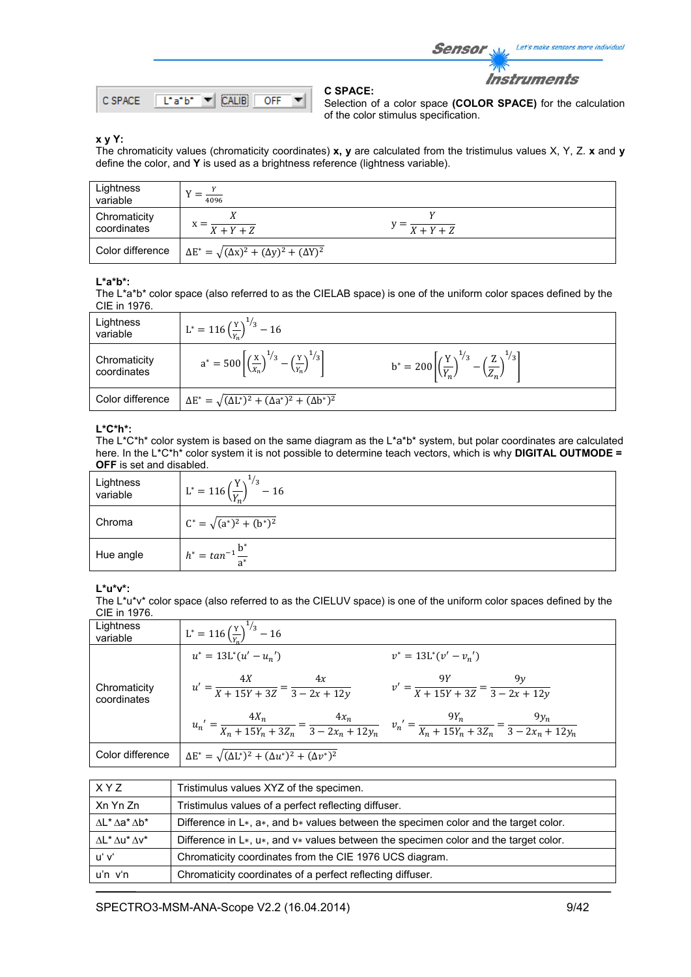

Selection of a color space **(COLOR SPACE)** for the calculation of the color stimulus specification.

Sensor

Let's make sensors more individual

**Instruments** 

#### **x y Y:**

The chromaticity values (chromaticity coordinates) **x, y** are calculated from the tristimulus values X, Y, Z. **x** and **y** define the color, and **Y** is used as a brightness reference (lightness variable).

**C SPACE:** 

| Lightness<br>variable       | $\frac{1}{4096}$                                                 |                                   |
|-----------------------------|------------------------------------------------------------------|-----------------------------------|
| Chromaticity<br>coordinates | $X + Y + Z$                                                      | $y = \frac{X + Y + Z}{X + Y + Z}$ |
| Color difference            | $\Delta E^* = \sqrt{(\Delta x)^2 + (\Delta y)^2 + (\Delta Y)^2}$ |                                   |

#### **L\*a\*b\*:**

The L\*a\*b\* color space (also referred to as the CIELAB space) is one of the uniform color spaces defined by the CIE in 1976.

| Lightness<br>variable       | $L^* = 116 \left(\frac{Y}{Y_n}\right)^{1/3} - 16$                                                  |                                                                                                    |
|-----------------------------|----------------------------------------------------------------------------------------------------|----------------------------------------------------------------------------------------------------|
| Chromaticity<br>coordinates | $a^* = 500 \left[ \left( \frac{x}{x_n} \right)^{1/3} - \left( \frac{y}{x_n} \right)^{1/3} \right]$ | $b^* = 200 \left[ \left( \frac{Y}{Y_n} \right)^{1/3} - \left( \frac{Z}{Z_n} \right)^{1/3} \right]$ |
| Color difference            | $\Delta E^* = \sqrt{(\Delta L^*)^2 + (\Delta a^*)^2 + (\Delta b^*)^2}$                             |                                                                                                    |

## **L\*C\*h\*:**

The L\*C\*h\* color system is based on the same diagram as the L\*a\*b\* system, but polar coordinates are calculated here. In the L\*C\*h\* color system it is not possible to determine teach vectors, which is why **DIGITAL OUTMODE = OFF** is set and disabled.

| Lightness<br>variable | $\frac{1}{3}$<br>$L^* = 116 \left(\frac{Y}{V}\right)$<br>$-16$ |  |
|-----------------------|----------------------------------------------------------------|--|
| Chroma                | $C^* = \sqrt{(a^*)^2 + (b^*)^2}$                               |  |
| Hue angle             | $h^* = \tan^{-1} \frac{b^*}{a^*}$                              |  |

#### **L\*u\*v\*:**

The L\*u\*v\* color space (also referred to as the CIELUV space) is one of the uniform color spaces defined by the CIE in 1976.

| Lightness<br>variable       | $L^* = 116 \left(\frac{Y}{V}\right)^{1/3} - 16$                                                                                                   |                                                          |
|-----------------------------|---------------------------------------------------------------------------------------------------------------------------------------------------|----------------------------------------------------------|
|                             | $u^* = 13L^*(u' - u_n')$                                                                                                                          | $v^* = 13L^*(v'-v_n')$                                   |
| Chromaticity<br>coordinates | $u' = \frac{4X}{X + 15Y + 3Z} = \frac{4x}{3 - 2x + 12y}$                                                                                          | $v' = \frac{9Y}{X + 15Y + 3Z} = \frac{9y}{3 - 2x + 12y}$ |
|                             | $u_n' = \frac{4X_n}{X_n + 15Y_n + 3Z_n} = \frac{4x_n}{3 - 2x_n + 12y_n}$ $v_n' = \frac{9Y_n}{X_n + 15Y_n + 3Z_n} = \frac{9y_n}{3 - 2x_n + 12y_n}$ |                                                          |
| Color difference            | $\Delta E^* = \sqrt{(\Delta L^*)^2 + (\Delta u^*)^2 + (\Delta v^*)^2}$                                                                            |                                                          |

| X Y Z                                                                      | Tristimulus values XYZ of the specimen.                                                         |
|----------------------------------------------------------------------------|-------------------------------------------------------------------------------------------------|
| Xn Yn Zn                                                                   | Tristimulus values of a perfect reflecting diffuser.                                            |
| $\Lambda$ L <sup>*</sup> $\Lambda$ a <sup>*</sup> $\Lambda$ b <sup>*</sup> | Difference in $L^*$ , $a^*$ , and $b^*$ values between the specimen color and the target color. |
| $\Lambda$ L <sup>*</sup> $\Lambda$ u <sup>*</sup> $\Lambda$ v <sup>*</sup> | Difference in $L*, u*,$ and $v*$ values between the specimen color and the target color.        |
| uʻ vʻ                                                                      | Chromaticity coordinates from the CIE 1976 UCS diagram.                                         |
| $u'n$ $v'n$                                                                | Chromaticity coordinates of a perfect reflecting diffuser.                                      |

SPECTRO3-MSM-ANA-Scope V2.2 (16.04.2014) 9/42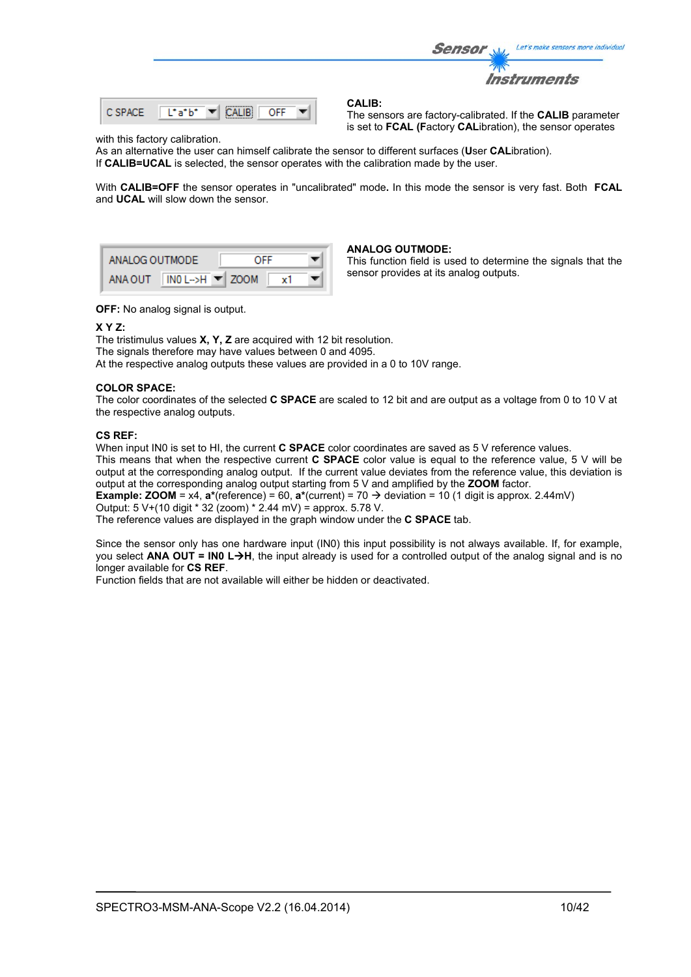

#### with this factory calibration.

As an alternative the user can himself calibrate the sensor to different surfaces (**U**ser **CAL**ibration). If **CALIB=UCAL** is selected, the sensor operates with the calibration made by the user.

With **CALIB=OFF** the sensor operates in "uncalibrated" mode**.** In this mode the sensor is very fast. Both **FCAL** and **UCAL** will slow down the sensor.



#### **ANALOG OUTMODE:**

This function field is used to determine the signals that the sensor provides at its analog outputs.

is set to **FCAL (F**actory **CAL**ibration), the sensor operates

**OFF:** No analog signal is output.

#### **X Y Z:**

The tristimulus values **X, Y, Z** are acquired with 12 bit resolution. The signals therefore may have values between 0 and 4095. At the respective analog outputs these values are provided in a 0 to 10V range.

#### **COLOR SPACE:**

The color coordinates of the selected **C SPACE** are scaled to 12 bit and are output as a voltage from 0 to 10 V at the respective analog outputs.

#### **CS REF:**

When input IN0 is set to HI, the current **C SPACE** color coordinates are saved as 5 V reference values. This means that when the respective current **C SPACE** color value is equal to the reference value, 5 V will be output at the corresponding analog output. If the current value deviates from the reference value, this deviation is output at the corresponding analog output starting from 5 V and amplified by the **ZOOM** factor.

**Example: <b>ZOOM** = x4,  $a^*(reference) = 60$ ,  $a^*(current) = 70 \rightarrow deviation = 10 (1 digit is approx. 2.44mV)$ Output: 5 V+(10 digit \* 32 (zoom) \* 2.44 mV) = approx. 5.78 V.

The reference values are displayed in the graph window under the **C SPACE** tab.

Since the sensor only has one hardware input (IN0) this input possibility is not always available. If, for example, you select **ANA OUT = IN0 LH**, the input already is used for a controlled output of the analog signal and is no longer available for **CS REF**.

Function fields that are not available will either be hidden or deactivated.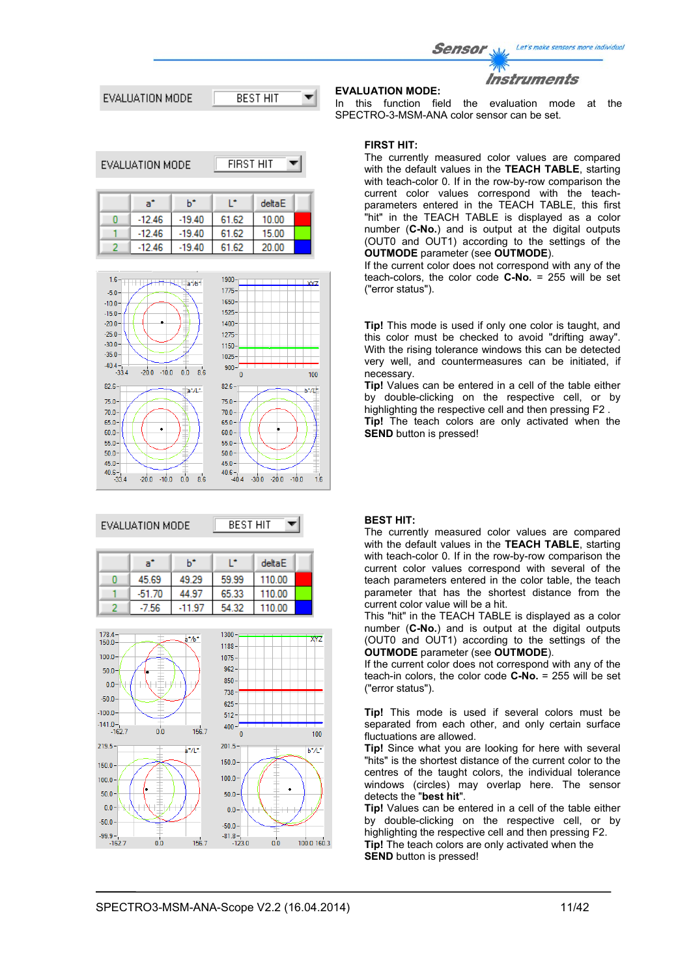Let's make sensors more individual Sensor Instruments **EVALUATION MODE:** In this function field the evaluation mode at the



EVALUATION MO

$$
DE \qquad \boxed{\text{FIRST HIT} \quad \blacktriangleright}
$$



# EVALUATION MODE

**BEST HIT** ۳

| a"       | h*       |       | deltaE |  |
|----------|----------|-------|--------|--|
| 45.69    | 49.29    | 59.99 | 110.00 |  |
| $-51.70$ | 44.97    | 65.33 | 110.00 |  |
| -7.56    | $-11.97$ | 54.32 | 110.00 |  |



# SPECTRO-3-MSM-ANA color sensor can be set.

**FIRST HIT:**

The currently measured color values are compared with the default values in the **TEACH TABLE**, starting with teach-color 0. If in the row-by-row comparison the current color values correspond with the teachparameters entered in the TEACH TABLE, this first "hit" in the TEACH TABLE is displayed as a color number (**C-No.**) and is output at the digital outputs (OUT0 and OUT1) according to the settings of the **OUTMODE** parameter (see **OUTMODE**).

If the current color does not correspond with any of the teach-colors, the color code **C-No.** = 255 will be set ("error status").

**Tip!** This mode is used if only one color is taught, and this color must be checked to avoid "drifting away". With the rising tolerance windows this can be detected very well, and countermeasures can be initiated, if necessary.

**Tip!** Values can be entered in a cell of the table either by double-clicking on the respective cell, or by highlighting the respective cell and then pressing F2 . **Tip!** The teach colors are only activated when the **SEND** button is pressed!

#### **BEST HIT:**

The currently measured color values are compared with the default values in the **TEACH TABLE**, starting with teach-color 0. If in the row-by-row comparison the current color values correspond with several of the teach parameters entered in the color table, the teach parameter that has the shortest distance from the current color value will be a hit.

This "hit" in the TEACH TABLE is displayed as a color number (**C-No.**) and is output at the digital outputs (OUT0 and OUT1) according to the settings of the **OUTMODE** parameter (see **OUTMODE**).

If the current color does not correspond with any of the teach-in colors, the color code **C-No.** = 255 will be set ("error status").

**Tip!** This mode is used if several colors must be separated from each other, and only certain surface fluctuations are allowed.

**Tip!** Since what you are looking for here with several "hits" is the shortest distance of the current color to the centres of the taught colors, the individual tolerance windows (circles) may overlap here. The sensor detects the "**best hit**".

**Tip!** Values can be entered in a cell of the table either by double-clicking on the respective cell, or by highlighting the respective cell and then pressing F2. **Tip!** The teach colors are only activated when the **SEND** button is pressed!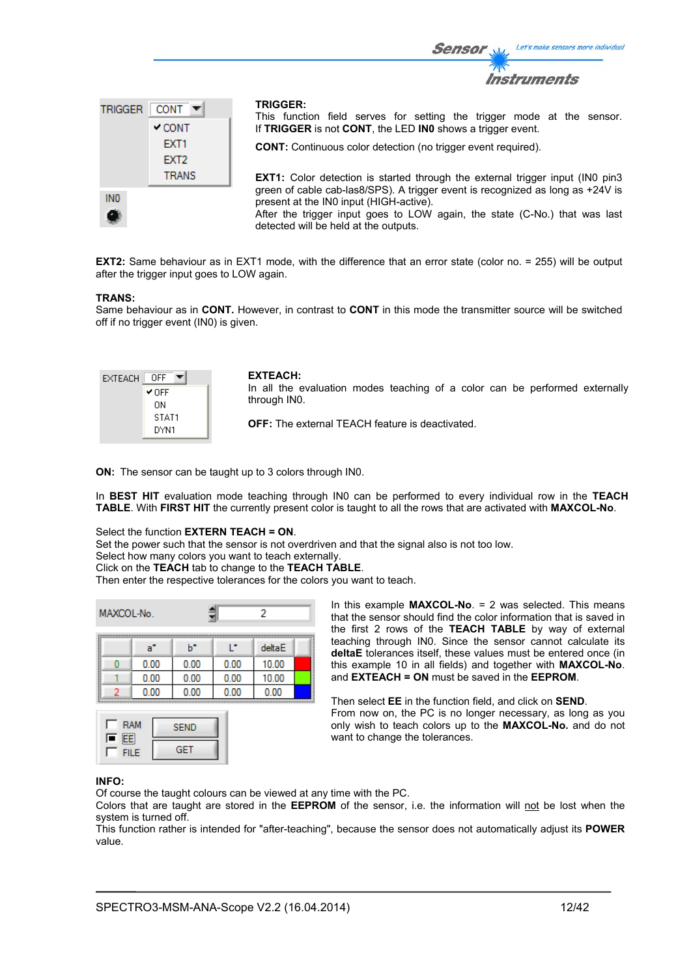

**EXT2:** Same behaviour as in EXT1 mode, with the difference that an error state (color no. = 255) will be output after the trigger input goes to LOW again.

#### **TRANS:**

Same behaviour as in **CONT.** However, in contrast to **CONT** in this mode the transmitter source will be switched off if no trigger event (IN0) is given.

| EXTEACH | OFF   |
|---------|-------|
|         | ✔ OFF |
|         | OΝ    |
|         | STAT1 |
|         | DYN1  |

#### **EXTEACH:**

In all the evaluation modes teaching of a color can be performed externally through IN0.

Sensor

**OFF:** The external TEACH feature is deactivated.

**ON:** The sensor can be taught up to 3 colors through IN0.

In **BEST HIT** evaluation mode teaching through IN0 can be performed to every individual row in the **TEACH TABLE**. With **FIRST HIT** the currently present color is taught to all the rows that are activated with **MAXCOL-No**.

## Select the function **EXTERN TEACH = ON**.

Set the power such that the sensor is not overdriven and that the signal also is not too low.

Select how many colors you want to teach externally.

Click on the **TEACH** tab to change to the **TEACH TABLE**.

Then enter the respective tolerances for the colors you want to teach.

|  | MAXCOL-No. |      |      | 2      |  |  |  |  |  |
|--|------------|------|------|--------|--|--|--|--|--|
|  | a°         | ь    | œ    | deltaE |  |  |  |  |  |
|  | 0.00       | 0.00 | 0.00 | 10.00  |  |  |  |  |  |
|  | 0.00       | 0.00 | 0.00 | 10.00  |  |  |  |  |  |
|  | 0.00       | 0.00 | 0.00 | 0.00   |  |  |  |  |  |



In this example **MAXCOL-No**. = 2 was selected. This means that the sensor should find the color information that is saved in the first 2 rows of the **TEACH TABLE** by way of external teaching through IN0. Since the sensor cannot calculate its **deltaE** tolerances itself, these values must be entered once (in this example 10 in all fields) and together with **MAXCOL-No**. and **EXTEACH = ON** must be saved in the **EEPROM**.

Then select **EE** in the function field, and click on **SEND**. From now on, the PC is no longer necessary, as long as you only wish to teach colors up to the **MAXCOL-No.** and do not want to change the tolerances.

#### **INFO:**

Of course the taught colours can be viewed at any time with the PC.

Colors that are taught are stored in the **EEPROM** of the sensor, i.e. the information will not be lost when the system is turned off.

This function rather is intended for "after-teaching", because the sensor does not automatically adjust its **POWER** value.

Let's make sensors more individual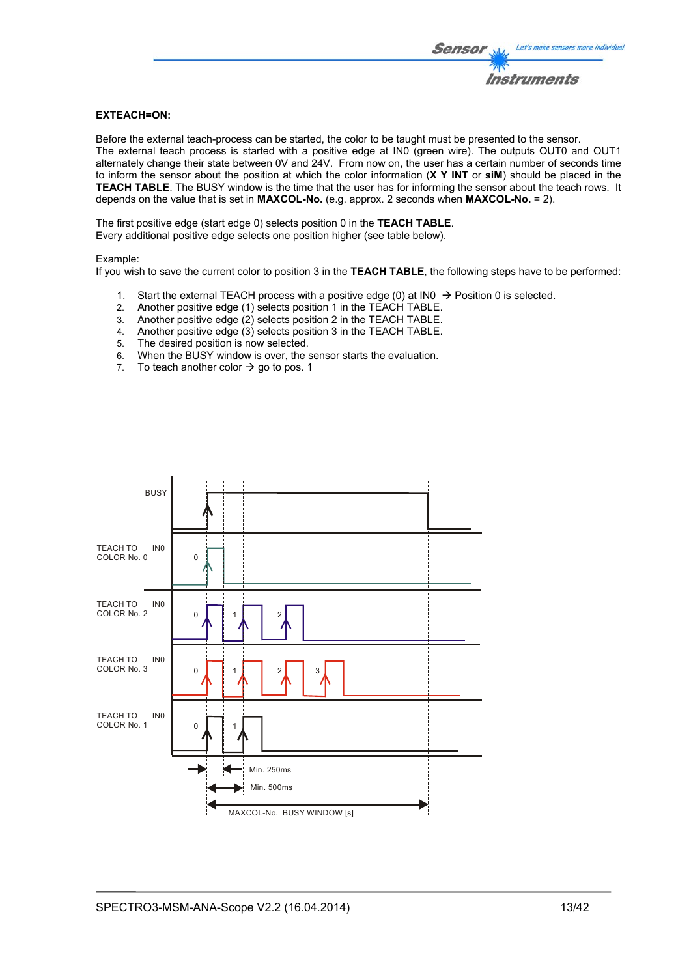### **EXTEACH=ON:**

Before the external teach-process can be started, the color to be taught must be presented to the sensor. The external teach process is started with a positive edge at IN0 (green wire). The outputs OUT0 and OUT1 alternately change their state between 0V and 24V. From now on, the user has a certain number of seconds time to inform the sensor about the position at which the color information (**X Y INT** or **siM**) should be placed in the **TEACH TABLE**. The BUSY window is the time that the user has for informing the sensor about the teach rows. It depends on the value that is set in **MAXCOL-No.** (e.g. approx. 2 seconds when **MAXCOL-No.** = 2).

The first positive edge (start edge 0) selects position 0 in the **TEACH TABLE**. Every additional positive edge selects one position higher (see table below).

#### Example:

If you wish to save the current color to position 3 in the **TEACH TABLE**, the following steps have to be performed:

- 1. Start the external TEACH process with a positive edge (0) at INO  $\rightarrow$  Position 0 is selected.
- 2. Another positive edge (1) selects position 1 in the TEACH TABLE.
- 3. Another positive edge (2) selects position 2 in the TEACH TABLE.
- 4. Another positive edge (3) selects position 3 in the TEACH TABLE.
- 5. The desired position is now selected.
- 6. When the BUSY window is over, the sensor starts the evaluation.
- 7. To teach another color  $\rightarrow$  go to pos. 1

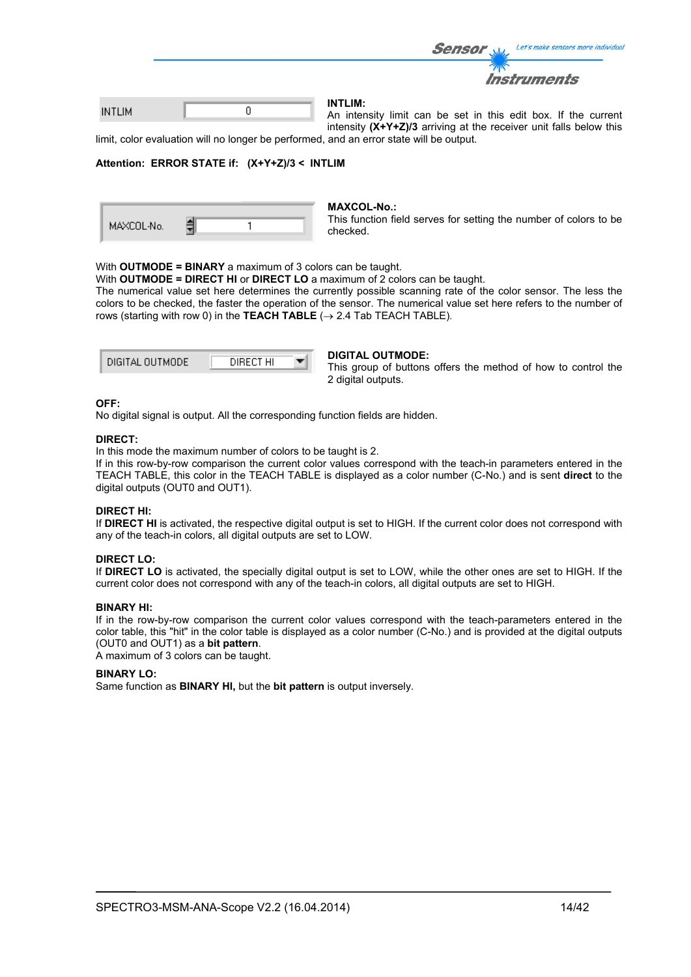|               |  | <b>Sensor</b>  | Let's make sensors more individue                              |
|---------------|--|----------------|----------------------------------------------------------------|
|               |  |                | <b>Instruments</b>                                             |
| <b>INTLIM</b> |  | <b>INTLIM:</b> | An intensity limit ago he got in this sait have 16 the sympany |

An intensity limit can be set in this edit box. If the current a d intensity **(X+Y+Z)/3** arriving at the receiver unit falls below this

limit, color evaluation will no longer be performed, and an error state will be output.

#### **Attention: ERROR STATE if: (X+Y+Z)/3 < INTLIM**

| MAXCOL-No. |  |  |
|------------|--|--|
|------------|--|--|

#### **MAXCOL-No.:**

This function field serves for setting the number of colors to be checked.

#### With **OUTMODE = BINARY** a maximum of 3 colors can be taught.

With **OUTMODE = DIRECT HI** or **DIRECT LO** a maximum of 2 colors can be taught.

The numerical value set here determines the currently possible scanning rate of the color sensor. The less the colors to be checked, the faster the operation of the sensor. The numerical value set here refers to the number of rows (starting with row 0) in the **TEACH TABLE**  $(\rightarrow 2.4$  Tab TEACH TABLE).

| DIGITAL OUTMODE | DIRECT HI |  |
|-----------------|-----------|--|
|                 |           |  |

#### **DIGITAL OUTMODE:**

This group of buttons offers the method of how to control the 2 digital outputs.

### **OFF:**

No digital signal is output. All the corresponding function fields are hidden.

#### **DIRECT:**

In this mode the maximum number of colors to be taught is 2.

If in this row-by-row comparison the current color values correspond with the teach-in parameters entered in the TEACH TABLE, this color in the TEACH TABLE is displayed as a color number (C-No.) and is sent **direct** to the digital outputs (OUT0 and OUT1).

#### **DIRECT HI:**

If **DIRECT HI** is activated, the respective digital output is set to HIGH. If the current color does not correspond with any of the teach-in colors, all digital outputs are set to LOW.

## **DIRECT LO:**

If **DIRECT LO** is activated, the specially digital output is set to LOW, while the other ones are set to HIGH. If the current color does not correspond with any of the teach-in colors, all digital outputs are set to HIGH.

### **BINARY HI:**

If in the row-by-row comparison the current color values correspond with the teach-parameters entered in the color table, this "hit" in the color table is displayed as a color number (C-No.) and is provided at the digital outputs (OUT0 and OUT1) as a **bit pattern**.

A maximum of 3 colors can be taught.

#### **BINARY LO:**

Same function as **BINARY HI,** but the **bit pattern** is output inversely.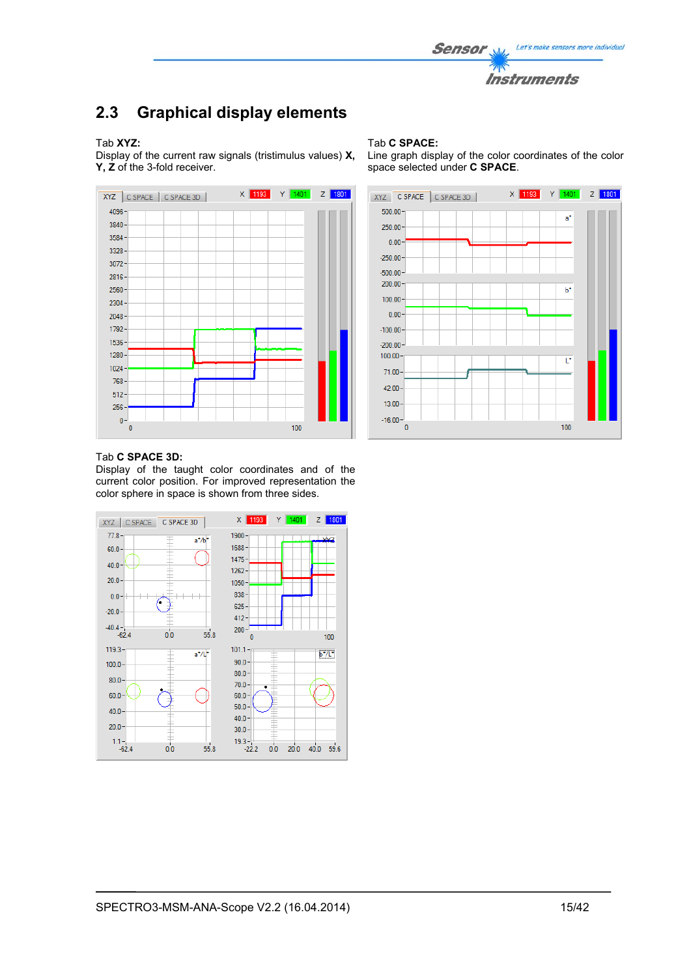

# **2.3 Graphical display elements**

#### Tab **XYZ:**

Display of the current raw signals (tristimulus values) **X, Y, Z** of the 3-fold receiver.



#### Tab **C SPACE:**

Line graph display of the color coordinates of the color space selected under **C SPACE**.



#### Tab **C SPACE 3D:**

Display of the taught color coordinates and of the current color position. For improved representation the color sphere in space is shown from three sides.

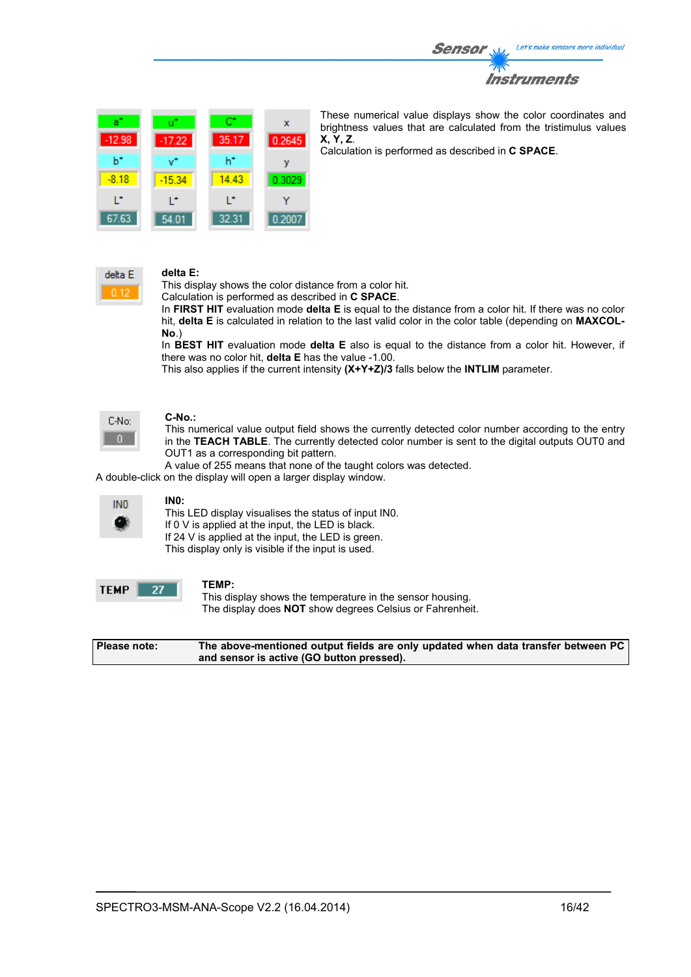



These numerical value displays show the color coordinates and brightness values that are calculated from the tristimulus values **X, Y, Z**.

Calculation is performed as described in **C SPACE**.



### **delta E:**

This display shows the color distance from a color hit.

Calculation is performed as described in **C SPACE**.

In **FIRST HIT** evaluation mode **delta E** is equal to the distance from a color hit. If there was no color hit, **delta E** is calculated in relation to the last valid color in the color table (depending on **MAXCOL-No**.)

In **BEST HIT** evaluation mode **delta E** also is equal to the distance from a color hit. However, if there was no color hit, **delta E** has the value -1.00.

This also applies if the current intensity **(X+Y+Z)/3** falls below the **INTLIM** parameter.

| C-No: |  |
|-------|--|
|       |  |

#### **C-No.:**

This numerical value output field shows the currently detected color number according to the entry in the **TEACH TABLE**. The currently detected color number is sent to the digital outputs OUT0 and OUT1 as a corresponding bit pattern.

A value of 255 means that none of the taught colors was detected.

A double-click on the display will open a larger display window.



# **IN0:**

This LED display visualises the status of input IN0. If 0 V is applied at the input, the LED is black. If 24 V is applied at the input, the LED is green. This display only is visible if the input is used.



#### **TEMP:**

This display shows the temperature in the sensor housing. The display does **NOT** show degrees Celsius or Fahrenheit.

**Please note: The above-mentioned output fields are only updated when data transfer between PC and sensor is active (GO button pressed).**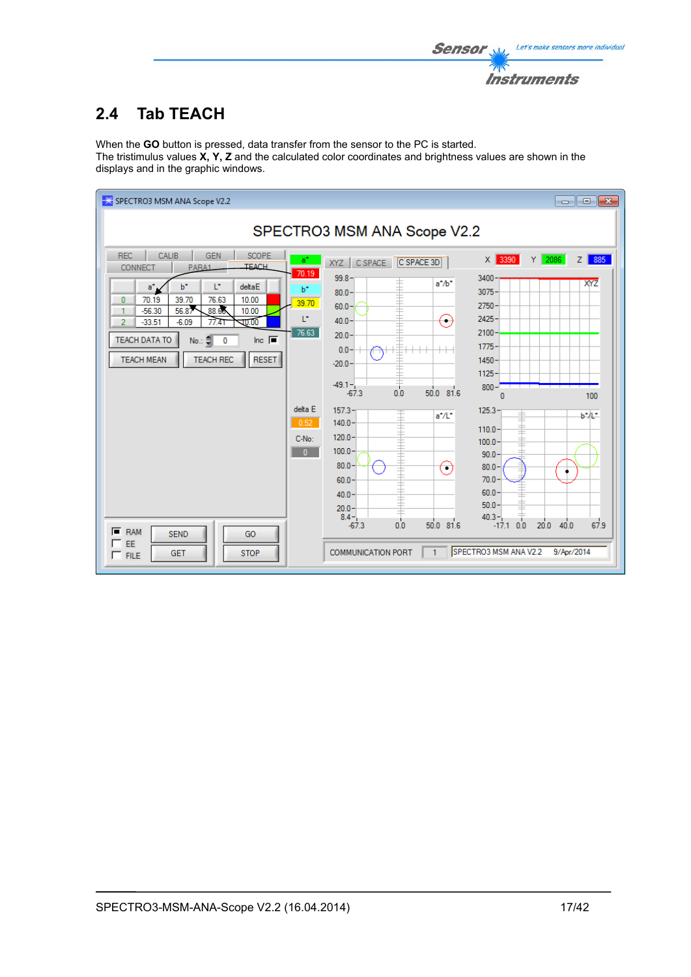

# **2.4 Tab TEACH**

When the **GO** button is pressed, data transfer from the sensor to the PC is started. The tristimulus values **X, Y, Z** and the calculated color coordinates and brightness values are shown in the displays and in the graphic windows.

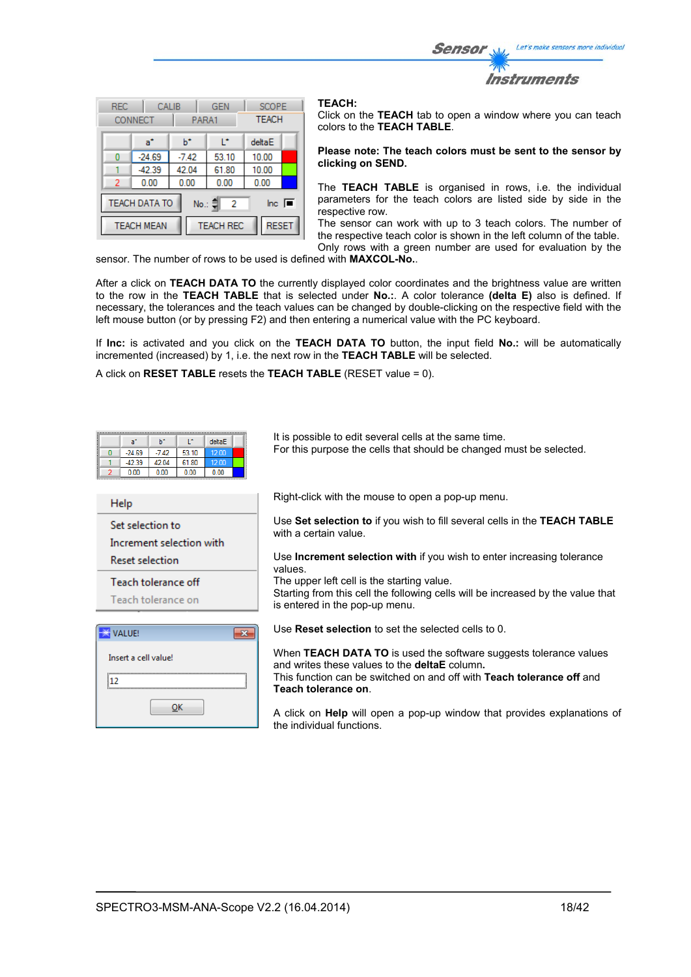Let's make sensors more individual Sensor Instruments

| <b>REC</b> | CONNECT                                                                                    | CALIB<br>PARA1 | <b>GEN</b>       | <b>SCOPE</b><br><b>TEACH</b> |  |  |  |  |  |  |  |  |  |  |
|------------|--------------------------------------------------------------------------------------------|----------------|------------------|------------------------------|--|--|--|--|--|--|--|--|--|--|
|            | a*                                                                                         | ь              | r                | deltaE                       |  |  |  |  |  |  |  |  |  |  |
| n          | $-24.69$                                                                                   | $-7.42$        | 53.10            | 10.00                        |  |  |  |  |  |  |  |  |  |  |
|            | $-42.39$                                                                                   | 42.04          | 61.80            | 10.00                        |  |  |  |  |  |  |  |  |  |  |
| 2          | 0.00                                                                                       | 0.00           | 0.00             | 0.00                         |  |  |  |  |  |  |  |  |  |  |
|            | <b>TEACH DATA TO</b><br>$\overline{\mathsf{Inc}}$ $\overline{\blacksquare}$<br>No.: 흮<br>2 |                |                  |                              |  |  |  |  |  |  |  |  |  |  |
|            | <b>TEACH MEAN</b>                                                                          |                | <b>TEACH REC</b> | <b>RESET</b>                 |  |  |  |  |  |  |  |  |  |  |

#### **TEACH:**

Click on the **TEACH** tab to open a window where you can teach colors to the **TEACH TABLE**.

#### **Please note: The teach colors must be sent to the sensor by clicking on SEND.**

The **TEACH TABLE** is organised in rows, i.e. the individual parameters for the teach colors are listed side by side in the respective row.

The sensor can work with up to 3 teach colors. The number of the respective teach color is shown in the left column of the table. Only rows with a green number are used for evaluation by the

sensor. The number of rows to be used is defined with **MAXCOL-No.**.

After a click on **TEACH DATA TO** the currently displayed color coordinates and the brightness value are written to the row in the **TEACH TABLE** that is selected under **No.:**. A color tolerance **(delta E)** also is defined. If necessary, the tolerances and the teach values can be changed by double-clicking on the respective field with the left mouse button (or by pressing F2) and then entering a numerical value with the PC keyboard.

If **Inc:** is activated and you click on the **TEACH DATA TO** button, the input field **No.:** will be automatically incremented (increased) by 1, i.e. the next row in the **TEACH TABLE** will be selected.

A click on **RESET TABLE** resets the **TEACH TABLE** (RESET value = 0).

| L*<br>ы<br>deltaE<br>$a^*$<br>53.10<br>$-7.42$<br>12.00<br>$-24.69$<br>0<br>$-42.39$<br>42.04<br>61.80<br>12.00<br>0.00<br>0.00<br>0.00<br>0.00 | It is possible to edit several cells at the same time.<br>For this purpose the cells that should be changed must be selected. |
|-------------------------------------------------------------------------------------------------------------------------------------------------|-------------------------------------------------------------------------------------------------------------------------------|
| <b>Help</b>                                                                                                                                     | Right-click with the mouse to open a pop-up menu.                                                                             |
| Set selection to<br>Increment selection with                                                                                                    | Use Set selection to if you wish to fill several cells in the TEACH TABLE<br>with a certain value.                            |
| <b>Reset selection</b>                                                                                                                          | Use <b>Increment selection with</b> if you wish to enter increasing tolerance<br>values                                       |
| Teach tolerance off                                                                                                                             | The upper left cell is the starting value.                                                                                    |
| Teach tolerance on                                                                                                                              | Starting from this cell the following cells will be increased by the value that<br>is entered in the pop-up menu.             |
| $\mathbf{x}$<br>VALUE!                                                                                                                          | Use <b>Reset selection</b> to set the selected cells to 0.                                                                    |
| Insert a cell value!                                                                                                                            | When TEACH DATA TO is used the software suggests tolerance values<br>and writes these values to the <b>deltaE</b> column.     |
| 112                                                                                                                                             | This function can be switched on and off with <b>Teach tolerance off</b> and                                                  |
| ок                                                                                                                                              | Teach tolerance on<br>A click on Help will open a pop-up window that provides explanations of<br>the individual functions.    |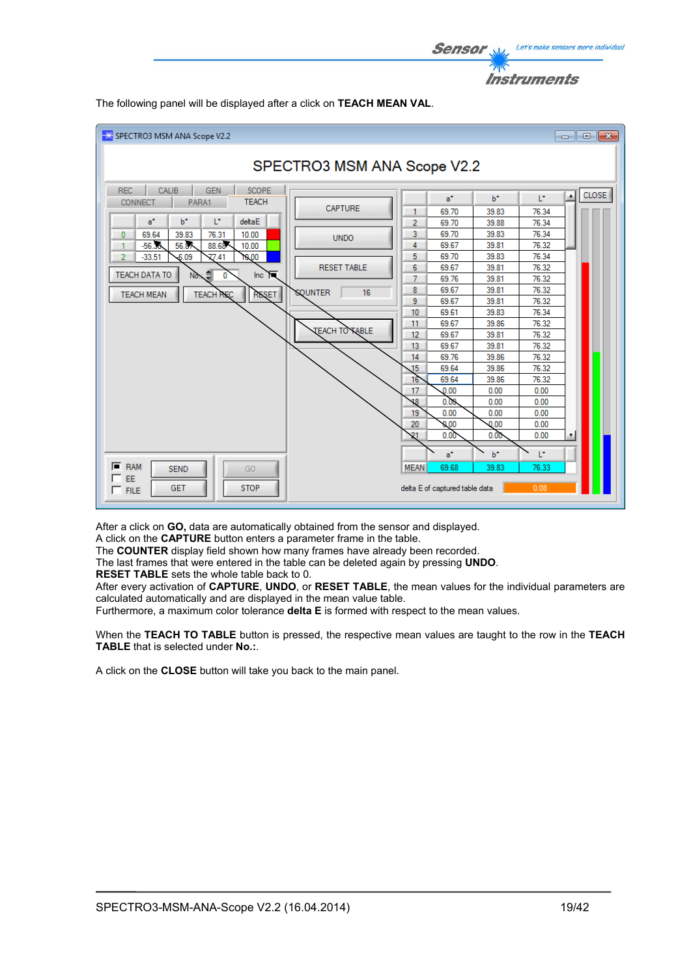

SPECTRO3 MSM ANA Scope V2.2 SPECTRO3 MSM ANA Scope V2.2 REC CALIB GEN SCOPE  $\overline{\phantom{0}}$ CLOSE<sup></sup>  $\vert \cdot \vert$  $b^*$ Ŀ,  $a^*$ **TEACH** CONNECT PARA1  $\mathbf{I}$ CAPTURE  $69.70$ 39.83  $76.34$  $\mathbf{1}$  $a^*$  $b^*$ b, deltaE 69.70 39.88 76.34  $\overline{2}$  $\pmb{0}$ 69.64 39.83 76.31  $10.00$  $\overline{3}$ 69.70 39.83 76.34 **UNDO** 88.68  $10.00$ 69.67 39.81 76.32  $-56.30$ 56.87  $\overline{4}$  $\mathbf{1}$  $\frac{77.41}{77.41}$  $-33.51$  $-6.09$ 10.00 5 69.70 39.83 76.34  $\overline{2}$ **RESET TABLE**  $6\overline{6}$ 69.67 39.81 76.32 TEACH DATA TO ₿ Inc.  $\Box$ No  $\overline{0}$ 39.81 76.32  $\overline{7}$ G9.76 69.67 39.81 76.32  $\bf{8}$ **TEACH REQ QUNTER**  $16$ **TEACH MEAN RESET**  $39.81$ 76.32  $\overline{9}$ 69.67  $10$ 69.61 39.83 76.34 69.67 39.86 76.32  $11<sub>1</sub>$ **TEACH TO TABLE**  $12<sub>12</sub>$ 69.67 39.81 76.32  $13$ 69.67 39.81 76.32  $14$ 69.76 39.86 76.32 69.64 39.86 76.32 15 69.64 39.86 16 76.32 17  $0.00$  $0.00$  $0.00$  $0.00$  $0.00$  $0.00$ 18  $19$  $0.00$  $0.00$  $0.00$  $0.00$  $0.00$  $20$  $0.00$  $0.00$  $0.00$ 21  $0.00$  $h^*$ ī. ă.  $F$  RAM  $89B$ **MFAN** 19.85 **SEND** GO ገድ ጋ'  $\Gamma$  EE GET **STOP** delta E of captured table data  $\Box$  FILE

The following panel will be displayed after a click on **TEACH MEAN VAL**.

After a click on **GO,** data are automatically obtained from the sensor and displayed.

A click on the **CAPTURE** button enters a parameter frame in the table.

The **COUNTER** display field shown how many frames have already been recorded.

The last frames that were entered in the table can be deleted again by pressing **UNDO**.

**RESET TABLE** sets the whole table back to 0.

After every activation of **CAPTURE**, **UNDO**, or **RESET TABLE**, the mean values for the individual parameters are calculated automatically and are displayed in the mean value table.

Furthermore, a maximum color tolerance **delta E** is formed with respect to the mean values.

When the **TEACH TO TABLE** button is pressed, the respective mean values are taught to the row in the **TEACH TABLE** that is selected under **No.:**.

A click on the **CLOSE** button will take you back to the main panel.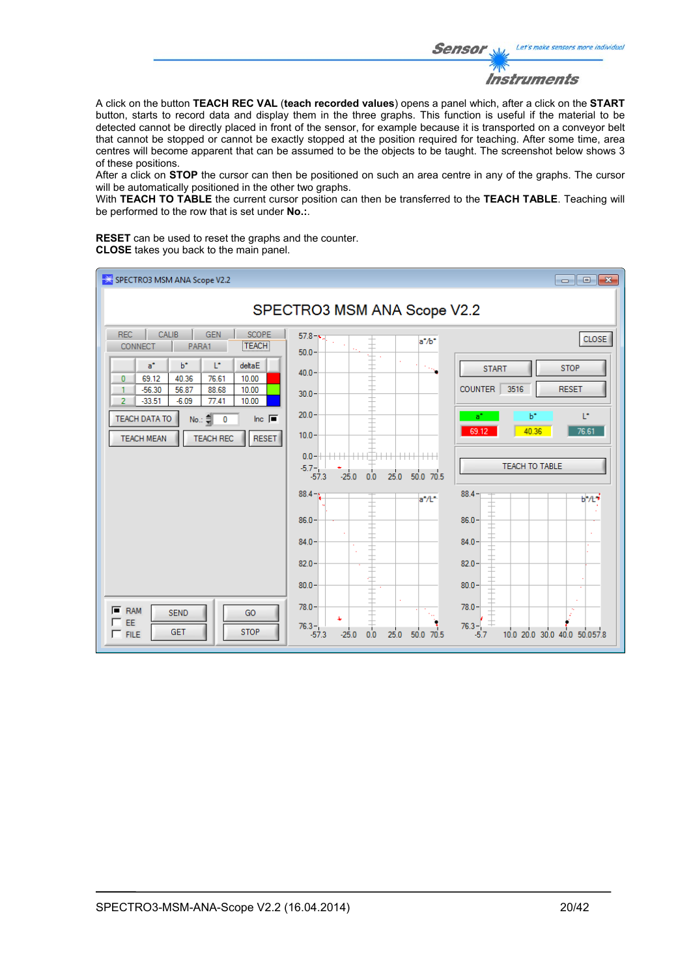Let's make sensors more individual **Sensor** Instruments

A click on the button **TEACH REC VAL** (**teach recorded values**) opens a panel which, after a click on the **START** button, starts to record data and display them in the three graphs. This function is useful if the material to be detected cannot be directly placed in front of the sensor, for example because it is transported on a conveyor belt that cannot be stopped or cannot be exactly stopped at the position required for teaching. After some time, area centres will become apparent that can be assumed to be the objects to be taught. The screenshot below shows 3 of these positions.

After a click on **STOP** the cursor can then be positioned on such an area centre in any of the graphs. The cursor will be automatically positioned in the other two graphs.

With **TEACH TO TABLE** the current cursor position can then be transferred to the **TEACH TABLE**. Teaching will be performed to the row that is set under **No.:**.

**RESET** can be used to reset the graphs and the counter. **CLOSE** takes you back to the main panel.

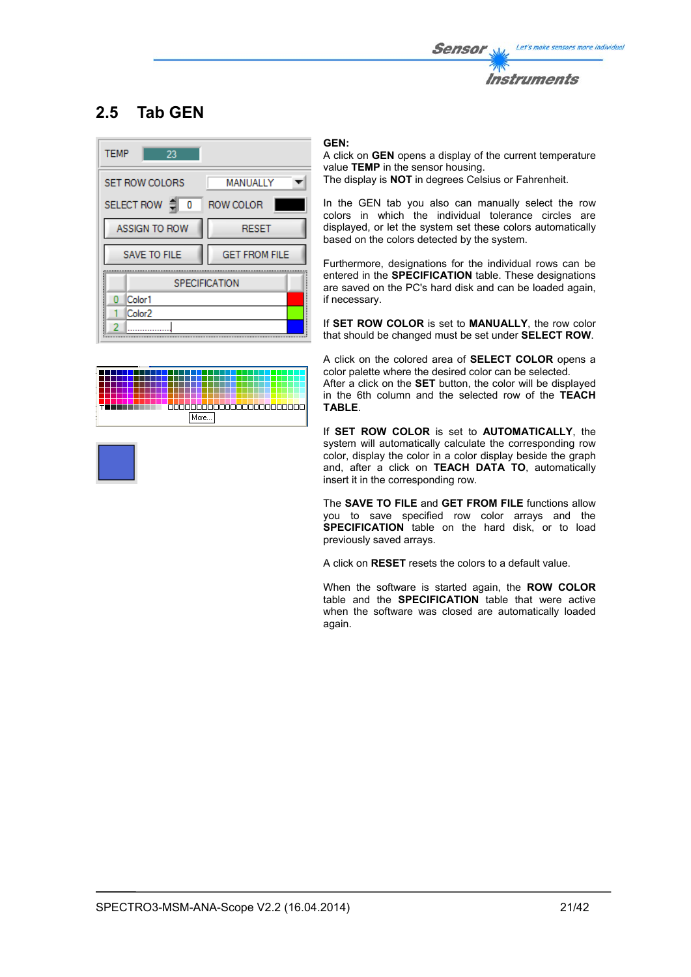

# **2.5 Tab GEN**



| ٠ |  |  |  |  |  |  |  |  |  |  |  |      |  |  |   |  |       |  |  |  |  |  |
|---|--|--|--|--|--|--|--|--|--|--|--|------|--|--|---|--|-------|--|--|--|--|--|
| ٠ |  |  |  |  |  |  |  |  |  |  |  |      |  |  |   |  |       |  |  |  |  |  |
|   |  |  |  |  |  |  |  |  |  |  |  |      |  |  |   |  |       |  |  |  |  |  |
|   |  |  |  |  |  |  |  |  |  |  |  |      |  |  |   |  |       |  |  |  |  |  |
|   |  |  |  |  |  |  |  |  |  |  |  |      |  |  | Ю |  | 10000 |  |  |  |  |  |
| ٠ |  |  |  |  |  |  |  |  |  |  |  |      |  |  |   |  |       |  |  |  |  |  |
|   |  |  |  |  |  |  |  |  |  |  |  | MOIE |  |  |   |  |       |  |  |  |  |  |
|   |  |  |  |  |  |  |  |  |  |  |  |      |  |  |   |  |       |  |  |  |  |  |
|   |  |  |  |  |  |  |  |  |  |  |  |      |  |  |   |  |       |  |  |  |  |  |

### **GEN:**

A click on **GEN** opens a display of the current temperature value **TEMP** in the sensor housing. The display is **NOT** in degrees Celsius or Fahrenheit.

In the GEN tab you also can manually select the row colors in which the individual tolerance circles are displayed, or let the system set these colors automatically based on the colors detected by the system.

Furthermore, designations for the individual rows can be entered in the **SPECIFICATION** table. These designations are saved on the PC's hard disk and can be loaded again, if necessary.

If **SET ROW COLOR** is set to **MANUALLY**, the row color that should be changed must be set under **SELECT ROW**.

A click on the colored area of **SELECT COLOR** opens a color palette where the desired color can be selected.

After a click on the **SET** button, the color will be displayed in the 6th column and the selected row of the **TEACH TABLE**.

If **SET ROW COLOR** is set to **AUTOMATICALLY**, the system will automatically calculate the corresponding row color, display the color in a color display beside the graph and, after a click on **TEACH DATA TO**, automatically insert it in the corresponding row.

The **SAVE TO FILE** and **GET FROM FILE** functions allow you to save specified row color arrays and the **SPECIFICATION** table on the hard disk, or to load previously saved arrays.

A click on **RESET** resets the colors to a default value.

When the software is started again, the **ROW COLOR** table and the **SPECIFICATION** table that were active when the software was closed are automatically loaded again.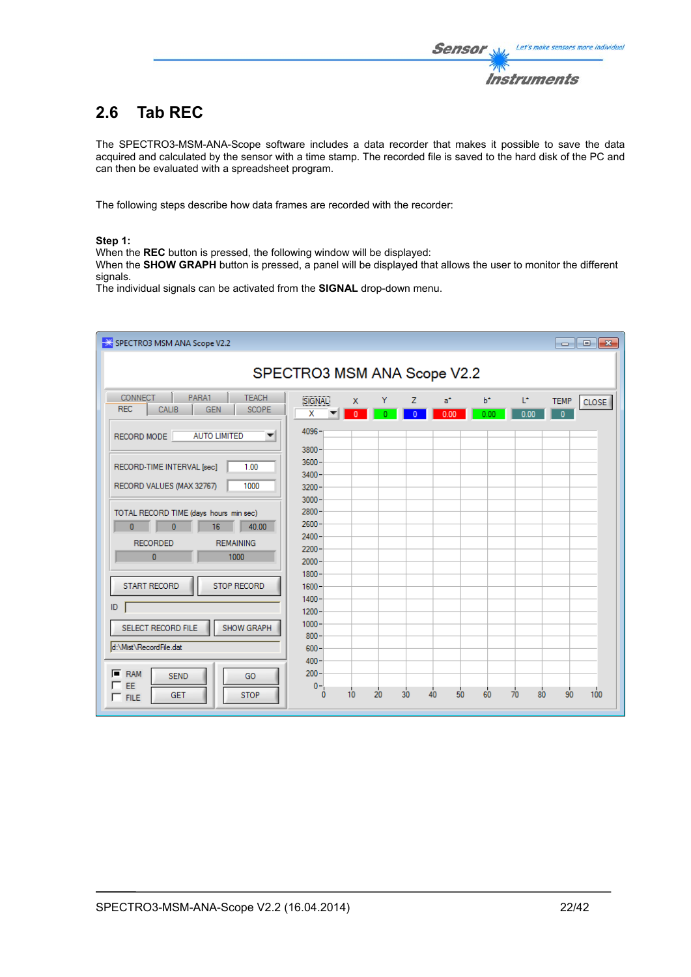# **2.6 Tab REC**

The SPECTRO3-MSM-ANA-Scope software includes a data recorder that makes it possible to save the data acquired and calculated by the sensor with a time stamp. The recorded file is saved to the hard disk of the PC and can then be evaluated with a spreadsheet program.

The following steps describe how data frames are recorded with the recorder:

#### **Step 1:**

When the **REC** button is pressed, the following window will be displayed:

When the **SHOW GRAPH** button is pressed, a panel will be displayed that allows the user to monitor the different signals.

The individual signals can be activated from the **SIGNAL** drop-down menu.

| SPECTRO3 MSM ANA Scope V2.2                                                                                                    |                                              |                                |    |                     |               |               |                                   |                             | $\begin{array}{c c c c c} \hline \multicolumn{3}{c }{\mathbf{C}} & \multicolumn{3}{c }{\mathbf{R}} \end{array}$ |  |  |  |  |  |  |
|--------------------------------------------------------------------------------------------------------------------------------|----------------------------------------------|--------------------------------|----|---------------------|---------------|---------------|-----------------------------------|-----------------------------|-----------------------------------------------------------------------------------------------------------------|--|--|--|--|--|--|
|                                                                                                                                | SPECTRO3 MSM ANA Scope V2.2                  |                                |    |                     |               |               |                                   |                             |                                                                                                                 |  |  |  |  |  |  |
| <b>CONNECT</b><br>PARA1<br><b>TEACH</b><br><b>REC</b><br>CALIB<br><b>GEN</b><br><b>SCOPE</b>                                   | SIGNAL<br>x                                  | $\mathsf{x}$<br>$\overline{0}$ | Y  | z<br>$\overline{0}$ | $a^*$<br>0.00 | $b^*$<br>0.00 | Ľ.<br>0.00                        | <b>TEMP</b><br>$\mathbf{0}$ | <b>CLOSE</b>                                                                                                    |  |  |  |  |  |  |
| <b>AUTO LIMITED</b><br>RECORD MODE<br>▼                                                                                        | 4096<br>$3800 -$                             |                                |    |                     |               |               |                                   |                             |                                                                                                                 |  |  |  |  |  |  |
| 1.00<br>RECORD-TIME INTERVAL [sec]<br>1000<br>RECORD VALUES (MAX 32767)                                                        | $3600 -$<br>$3400 -$<br>$3200 -$             |                                |    |                     |               |               |                                   |                             |                                                                                                                 |  |  |  |  |  |  |
| TOTAL RECORD TIME (days hours min sec)<br>$\mathbf{0}$<br>40.00<br>$\overline{0}$<br>16<br><b>RECORDED</b><br><b>REMAINING</b> | $3000 -$<br>$2800 -$<br>$2600 -$<br>$2400 -$ |                                |    |                     |               |               |                                   |                             |                                                                                                                 |  |  |  |  |  |  |
| $\mathbf{0}$<br>1000<br><b>START RECORD</b><br><b>STOP RECORD</b>                                                              | $2200 -$<br>$2000 -$<br>$1800 -$<br>$1600 -$ |                                |    |                     |               |               |                                   |                             |                                                                                                                 |  |  |  |  |  |  |
| ID                                                                                                                             | $1400 -$<br>$1200 -$                         |                                |    |                     |               |               |                                   |                             |                                                                                                                 |  |  |  |  |  |  |
| SHOW GRAPH<br>SELECT RECORD FILE<br>d:\Mist\RecordFile.dat                                                                     | $1000 -$<br>$800 -$<br>$600 -$               |                                |    |                     |               |               |                                   |                             |                                                                                                                 |  |  |  |  |  |  |
| $F$ RAM<br><b>SEND</b><br>GO<br>$\sqsubset$ EE<br><b>STOP</b><br><b>GET</b><br>$\Gamma$ FILE                                   | $400 -$<br>$200 -$<br>$0 -$<br>n             | 10                             | 20 | 30 <sub>o</sub>     | 50<br>40      | 60            | $\frac{1}{70}$<br>80 <sub>o</sub> | 90                          | 100                                                                                                             |  |  |  |  |  |  |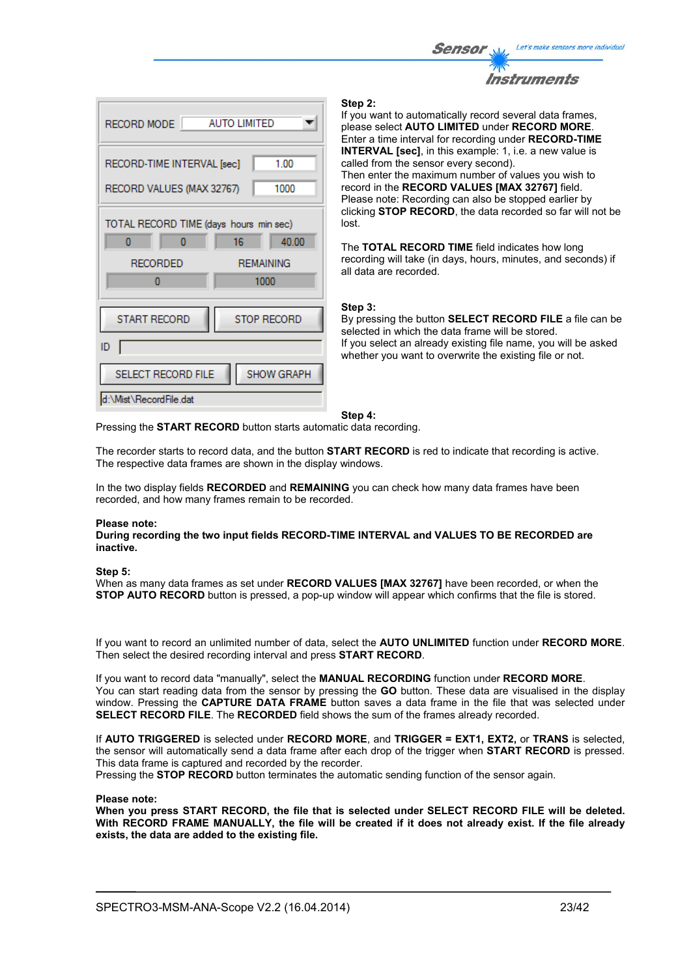



#### **Step 2:**

If you want to automatically record several data frames, please select **AUTO LIMITED** under **RECORD MORE**. Enter a time interval for recording under **RECORD-TIME INTERVAL [sec]**, in this example: 1, i.e. a new value is called from the sensor every second). Then enter the maximum number of values you wish to record in the **RECORD VALUES [MAX 32767]** field. Please note: Recording can also be stopped earlier by clicking **STOP RECORD**, the data recorded so far will not be lost.

The **TOTAL RECORD TIME** field indicates how long recording will take (in days, hours, minutes, and seconds) if all data are recorded.

#### **Step 3:**

By pressing the button **SELECT RECORD FILE** a file can be selected in which the data frame will be stored. If you select an already existing file name, you will be asked whether you want to overwrite the existing file or not.

#### **Step 4:**

Pressing the **START RECORD** button starts automatic data recording.

The recorder starts to record data, and the button **START RECORD** is red to indicate that recording is active. The respective data frames are shown in the display windows.

In the two display fields **RECORDED** and **REMAINING** you can check how many data frames have been recorded, and how many frames remain to be recorded.

#### **Please note:**

**During recording the two input fields RECORD-TIME INTERVAL and VALUES TO BE RECORDED are inactive.**

#### **Step 5:**

When as many data frames as set under **RECORD VALUES [MAX 32767]** have been recorded, or when the **STOP AUTO RECORD** button is pressed, a pop-up window will appear which confirms that the file is stored.

If you want to record an unlimited number of data, select the **AUTO UNLIMITED** function under **RECORD MORE**. Then select the desired recording interval and press **START RECORD**.

If you want to record data "manually", select the **MANUAL RECORDING** function under **RECORD MORE**. You can start reading data from the sensor by pressing the **GO** button. These data are visualised in the display window. Pressing the **CAPTURE DATA FRAME** button saves a data frame in the file that was selected under **SELECT RECORD FILE**. The **RECORDED** field shows the sum of the frames already recorded.

If **AUTO TRIGGERED** is selected under **RECORD MORE**, and **TRIGGER = EXT1, EXT2,** or **TRANS** is selected, the sensor will automatically send a data frame after each drop of the trigger when **START RECORD** is pressed. This data frame is captured and recorded by the recorder.

Pressing the **STOP RECORD** button terminates the automatic sending function of the sensor again.

#### **Please note:**

**When you press START RECORD, the file that is selected under SELECT RECORD FILE will be deleted. With RECORD FRAME MANUALLY, the file will be created if it does not already exist. If the file already exists, the data are added to the existing file.**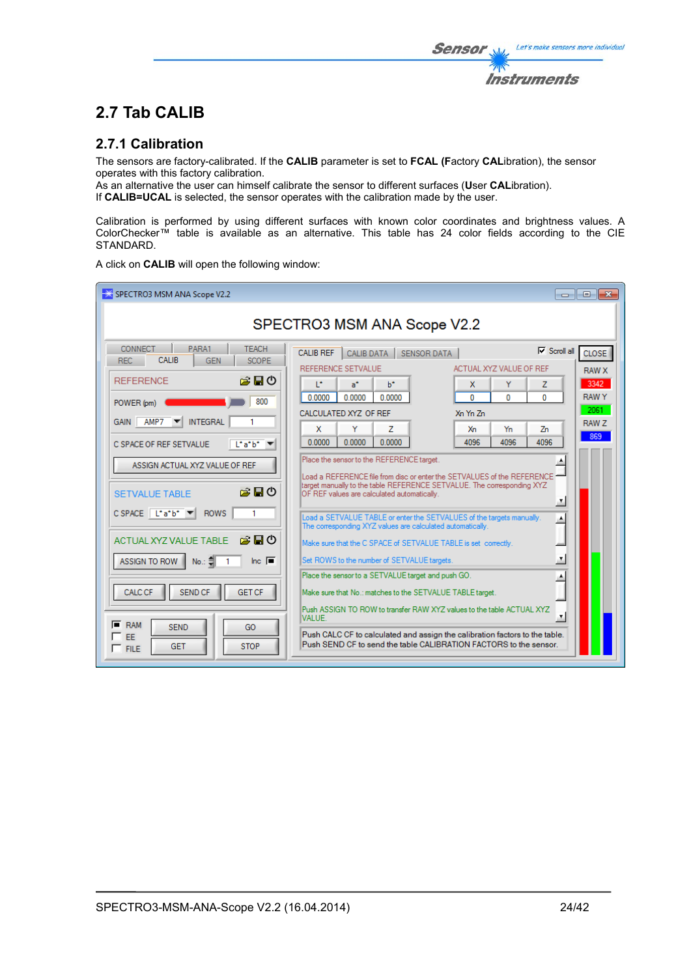The sensors are factory-calibrated. If the **CALIB** parameter is set to **FCAL (F**actory **CAL**ibration), the sensor operates with this factory calibration.

As an alternative the user can himself calibrate the sensor to different surfaces (**U**ser **CAL**ibration). If **CALIB=UCAL** is selected, the sensor operates with the calibration made by the user.

Calibration is performed by using different surfaces with known color coordinates and brightness values. A ColorChecker™ table is available as an alternative. This table has 24 color fields according to the CIE STANDARD.

A click on **CALIB** will open the following window:

| SPECTRO3 MSM ANA Scope V2.2                                                                                                                                                                                                                                                                                                                                                                                                                                                                                                                                 |                                                                                                                                                                                                                                                                                                                                                                                                                                                                                                                                                                                                                                                                                                                                                                                                                                                                                                                                                                                                                                                                                                                                                                                                                              | - 0 X                                                                           |  |  |  |  |
|-------------------------------------------------------------------------------------------------------------------------------------------------------------------------------------------------------------------------------------------------------------------------------------------------------------------------------------------------------------------------------------------------------------------------------------------------------------------------------------------------------------------------------------------------------------|------------------------------------------------------------------------------------------------------------------------------------------------------------------------------------------------------------------------------------------------------------------------------------------------------------------------------------------------------------------------------------------------------------------------------------------------------------------------------------------------------------------------------------------------------------------------------------------------------------------------------------------------------------------------------------------------------------------------------------------------------------------------------------------------------------------------------------------------------------------------------------------------------------------------------------------------------------------------------------------------------------------------------------------------------------------------------------------------------------------------------------------------------------------------------------------------------------------------------|---------------------------------------------------------------------------------|--|--|--|--|
| SPECTRO3 MSM ANA Scope V2.2                                                                                                                                                                                                                                                                                                                                                                                                                                                                                                                                 |                                                                                                                                                                                                                                                                                                                                                                                                                                                                                                                                                                                                                                                                                                                                                                                                                                                                                                                                                                                                                                                                                                                                                                                                                              |                                                                                 |  |  |  |  |
| CONNECT<br>PARA1<br><b>TEACH</b><br>CALIB<br><b>REC</b><br><b>GEN</b><br><b>SCOPE</b><br>房間の<br><b>REFERENCE</b><br>800<br>POWER (pm)<br>AMP7<br><b>INTEGRAL</b><br><b>GAIN</b><br>C SPACE OF REF SETVALUE<br>L'atb'<br>ASSIGN ACTUAL XYZ VALUE OF REF<br>房間の<br><b>SETVALUE TABLE</b><br>$C$ SPACE $\begin{bmatrix} 1^* a^* b^* \end{bmatrix}$<br><b>ROWS</b><br>1<br>お目の<br><b>ACTUAL XYZ VALUE TABLE</b><br>Inc. $\blacksquare$<br>ASSIGN TO ROW<br>No.: 킈<br><b>SEND CF</b><br><b>GET CF</b><br><b>CALC CF</b><br><b>RAM</b><br><b>SEND</b><br>GO<br>EE | $\nabla$ Scroll all<br><b>CALIB REF</b><br><b>CALIB DATA</b><br>SENSOR DATA<br>REFERENCE SETVALUE<br>ACTUAL XYZ VALUE OF REF<br>T.<br>a*<br>ы<br>Y<br>Z<br>x<br>0.0000<br>0.0000<br>0.0000<br>o<br>$\mathbf{0}$<br>$\mathbf{0}$<br>CALCULATED XYZ OF REF<br>Xn Yn Zn<br>Y<br>x<br>Yn<br>z<br>Xn<br>Zn<br>0.0000<br>0.0000<br>4096<br>0.0000<br>4096<br>4096<br>Place the sensor to the REFERENCE target.<br>Load a REFERENCE file from disc or enter the SETVALUES of the REFERENCE =<br>target manually to the table REFERENCE SETVALUE. The corresponding XYZ<br>OF REF values are calculated automatically.<br>$\overline{\mathbf{r}}$<br>Load a SETVALUE TABLE or enter the SETVALUES of the targets manually.<br>A<br>The corresponding XYZ values are calculated automatically.<br>Make sure that the C SPACE of SETVALUE TABLE is set correctly.<br>工<br>Set ROWS to the number of SETVALUE targets.<br>Place the sensor to a SETVALUE target and push GO.<br>۸<br>Make sure that No.: matches to the SETVALUE TABLE target.<br>Push ASSIGN TO ROW to transfer RAW XYZ values to the table ACTUAL XYZ<br>$\pmb{\tau}$<br><b>VALUE.</b><br>Push CALC CF to calculated and assign the calibration factors to the table. | <b>CLOSE</b><br><b>RAW X</b><br>3342<br><b>RAWY</b><br>$2061 -$<br>RAW 7<br>869 |  |  |  |  |
| <b>STOP</b><br><b>GET</b><br>$\Box$ FILE                                                                                                                                                                                                                                                                                                                                                                                                                                                                                                                    | Push SEND CF to send the table CALIBRATION FACTORS to the sensor.                                                                                                                                                                                                                                                                                                                                                                                                                                                                                                                                                                                                                                                                                                                                                                                                                                                                                                                                                                                                                                                                                                                                                            |                                                                                 |  |  |  |  |

Let's make sensors more individual

**Instruments** 

Sensor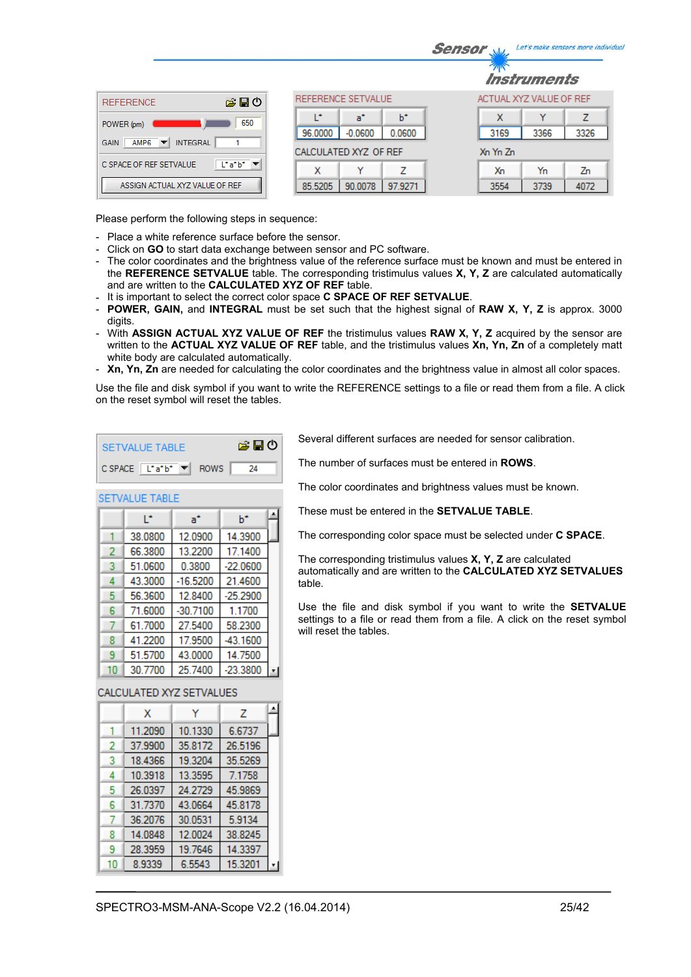|                                                                   |         |                       |         |                         | <i><b>Instruments</b></i> |      |
|-------------------------------------------------------------------|---------|-----------------------|---------|-------------------------|---------------------------|------|
| 合日の<br><b>REFERENCE</b>                                           |         | REFERENCE SETVALUE    |         | ACTUAL XYZ VALUE OF REF |                           |      |
| 650<br>POWER (pm)                                                 | œ       | a"                    | ь       | x                       | v                         | 7    |
| <b>INTEGRAL</b><br>AMP6<br><b>GAIN</b><br>$\overline{\mathbf{v}}$ | 96.0000 | $-0.0600$             | 0.0600  | 3169                    | 3366                      | 3326 |
|                                                                   |         | CALCULATED XYZ OF REF |         | Xn Yn Zn                |                           |      |
| $L^*a^*b^*$ $\blacktriangledown$<br>C SPACE OF REF SETVALUE       | x       | v                     | 7       | Х'n                     | Yn                        | Zn   |
| ASSIGN ACTUAL XYZ VALUE OF REF                                    | 85.5205 | 90.0078               | 97.9271 | 3554                    | 3739                      | 4072 |

Please perform the following steps in sequence:

- Place a white reference surface before the sensor.
- Click on **GO** to start data exchange between sensor and PC software.
- The color coordinates and the brightness value of the reference surface must be known and must be entered in the **REFERENCE SETVALUE** table. The corresponding tristimulus values **X, Y, Z** are calculated automatically and are written to the **CALCULATED XYZ OF REF** table.
- It is important to select the correct color space **C SPACE OF REF SETVALUE**.

∣∡

h\*

- **POWER, GAIN,** and **INTEGRAL** must be set such that the highest signal of **RAW X, Y, Z** is approx. 3000 digits.
- With **ASSIGN ACTUAL XYZ VALUE OF REF** the tristimulus values **RAW X, Y, Z** acquired by the sensor are written to the **ACTUAL XYZ VALUE OF REF** table, and the tristimulus values **Xn, Yn, Zn** of a completely matt white body are calculated automatically.
- **Xn, Yn, Zn** are needed for calculating the color coordinates and the brightness value in almost all color spaces.

Use the file and disk symbol if you want to write the REFERENCE settings to a file or read them from a file. A click on the reset symbol will reset the tables.

| SETVALUE TABLE |                                                                                                  |  | 房間の |
|----------------|--------------------------------------------------------------------------------------------------|--|-----|
|                | $C$ SPACE $\boxed{\begin{bmatrix} \end{bmatrix} a^{\dagger} b^{\dagger}}$ $\boxed{\bullet}$ ROWS |  | 24  |

 $a^*$ 

38.0800 12.0900 14.3900

**SETVALUE TABLE** 

T.

Several different surfaces are needed for sensor calibration.

**Sensor** When Let's make sensors more individual

The number of surfaces must be entered in **ROWS**.

The color coordinates and brightness values must be known.

These must be entered in the **SETVALUE TABLE**.

The corresponding color space must be selected under **C SPACE**.

The corresponding tristimulus values **X, Y, Z** are calculated automatically and are written to the **CALCULATED XYZ SETVALUES**  table.

Use the file and disk symbol if you want to write the **SETVALUE** settings to a file or read them from a file. A click on the reset symbol will reset the tables.

|    |         | .          | .          |  |
|----|---------|------------|------------|--|
| 2  | 66,3800 | 13.2200    | 17.1400    |  |
| 3  | 51.0600 | 0.3800     | $-22.0600$ |  |
|    | 43.3000 | $-16.5200$ | 21.4600    |  |
| 5  | 56.3600 | 12.8400    | $-25.2900$ |  |
| 6  | 71.6000 | $-30.7100$ | 1.1700     |  |
|    | 61.7000 | 27.5400    | 58.2300    |  |
| 8  | 41.2200 | 17.9500    | -43.1600   |  |
| 9  | 51.5700 | 43.0000    | 14.7500    |  |
| 10 | 30.7700 | 25.7400    | $-23.3800$ |  |
|    |         |            |            |  |

# CALCULATED XYZ SETVALUES

|    | x       | Y       | 7       | ዹ |
|----|---------|---------|---------|---|
|    | 11.2090 | 10.1330 | 6.6737  |   |
| 2  | 37.9900 | 35.8172 | 26.5196 |   |
| 3  | 18.4366 | 19.3204 | 35.5269 |   |
| 4  | 10.3918 | 13.3595 | 7.1758  |   |
| 5  | 26.0397 | 24.2729 | 45.9869 |   |
| 6  | 31.7370 | 43.0664 | 45.8178 |   |
|    | 36.2076 | 30.0531 | 5.9134  |   |
| 8  | 14.0848 | 12.0024 | 38.8245 |   |
| 9  | 28.3959 | 19.7646 | 14.3397 |   |
| 10 | 8.9339  | 6.5543  | 15.3201 |   |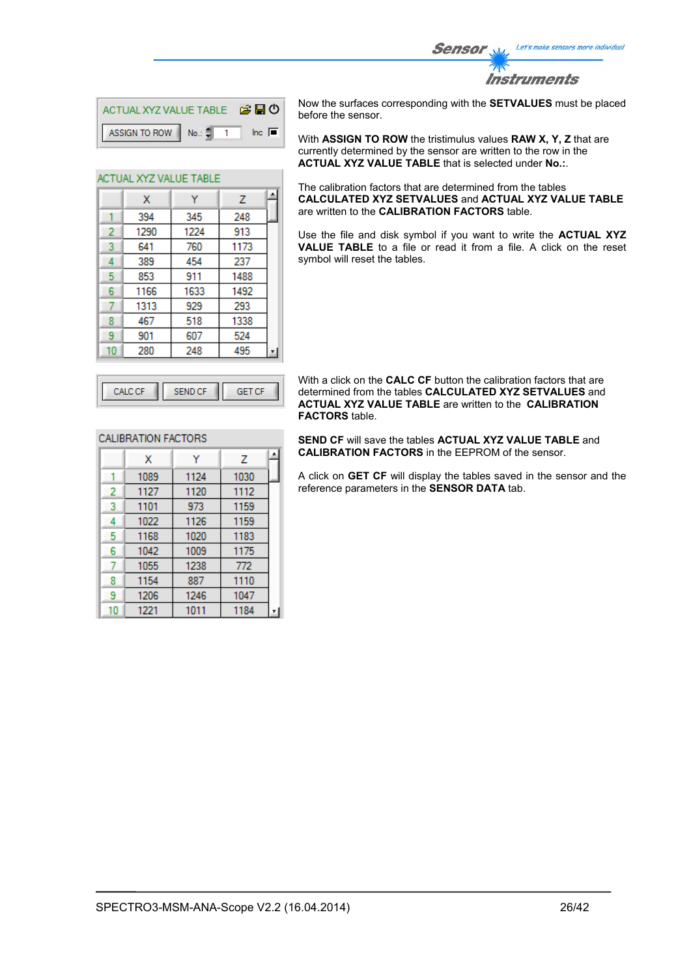

**Instruments** 

| ACTUAL XYZ VALUE TABLE <b>B H O</b> |  |                        |
|-------------------------------------|--|------------------------|
| ASSIGN TO ROW No.: $\frac{4}{7}$ 1  |  | $\ln c$ $\blacksquare$ |

Ÿ

345

1224

760

454

911

1633

A

Z

248

913

1173

237

1488

1492

ACTUAL XYZ VALUE TABLE

 $\mathbf{x}$ 394

1290

641

389

853

1166

1  $\overline{2}$ 

3

 $\overline{4}$ 

5

 $6<sup>1</sup>$ 

Now the surfaces corresponding with the **SETVALUES** must be placed before the sensor.

With **ASSIGN TO ROW** the tristimulus values **RAW X, Y, Z** that are currently determined by the sensor are written to the row in the **ACTUAL XYZ VALUE TABLE** that is selected under **No.:**.

The calibration factors that are determined from the tables **CALCULATED XYZ SETVALUES** and **ACTUAL XYZ VALUE TABLE** are written to the **CALIBRATION FACTORS** table.

Use the file and disk symbol if you want to write the **ACTUAL XYZ VALUE TABLE** to a file or read it from a file. A click on the reset symbol will reset the tables.

|   | 1313 | 929 | 293  |  |
|---|------|-----|------|--|
|   | 467  | 518 | 1338 |  |
| q | 901  | 607 | 524  |  |
|   | 280  | 248 | 495  |  |
|   |      |     |      |  |
|   | л    |     |      |  |

With a click on the **CALC CF** button the calibration factors that are determined from the tables **CALCULATED XYZ SETVALUES** and **ACTUAL XYZ VALUE TABLE** are written to the **CALIBRATION FACTORS** table.

**SEND CF** will save the tables **ACTUAL XYZ VALUE TABLE** and **CALIBRATION FACTORS** in the EEPROM of the sensor.

A click on **GET CF** will display the tables saved in the sensor and the reference parameters in the **SENSOR DATA** tab.

| and a | Æ<br>26 I F |
|-------|-------------|
|       |             |

## **CALIBRATION FACTORS**

|    | х    | Y    | z    | ᆂ |
|----|------|------|------|---|
|    | 1089 | 1124 | 1030 |   |
| 2  | 1127 | 1120 | 1112 |   |
| 3  | 1101 | 973  | 1159 |   |
| 4  | 1022 | 1126 | 1159 |   |
| 5  | 1168 | 1020 | 1183 |   |
| 6  | 1042 | 1009 | 1175 |   |
|    | 1055 | 1238 | 772  |   |
| 8  | 1154 | 887  | 1110 |   |
| 9  | 1206 | 1246 | 1047 |   |
| 10 | 1221 | 1011 | 1184 |   |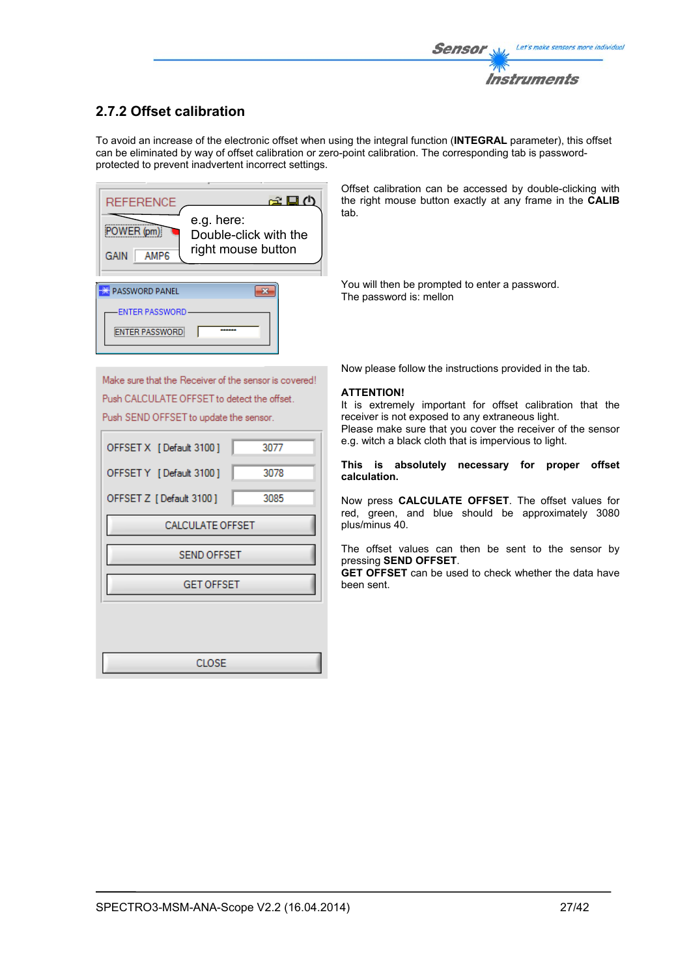# **2.7.2 Offset calibration**

To avoid an increase of the electronic offset when using the integral function (**INTEGRAL** parameter), this offset can be eliminated by way of offset calibration or zero-point calibration. The corresponding tab is passwordprotected to prevent inadvertent incorrect settings.



Offset calibration can be accessed by double-clicking with the right mouse button exactly at any frame in the **CALIB** tab.

You will then be prompted to enter a password. The password is: mellon

Make sure that the Receiver of the sensor is covered! Push CALCULATE OFFSET to detect the offset. Push SEND OFFSET to update the sensor.

| OFFSET X [Default 3100] | 3077 |
|-------------------------|------|
| OFFSET Y [Default 3100] | 3078 |
| OFFSET Z [Default 3100] | 3085 |
| <b>CALCULATE OFFSET</b> |      |
| <b>SEND OFFSET</b>      |      |
| <b>GET OFFSET</b>       |      |
|                         |      |
|                         |      |
| CLOSE                   |      |

Now please follow the instructions provided in the tab.

### **ATTENTION!**

It is extremely important for offset calibration that the receiver is not exposed to any extraneous light. Please make sure that you cover the receiver of the sensor e.g. witch a black cloth that is impervious to light.

#### **This is absolutely necessary for proper offset calculation.**

Now press **CALCULATE OFFSET**. The offset values for red, green, and blue should be approximately 3080 plus/minus 40.

The offset values can then be sent to the sensor by pressing **SEND OFFSET**.

**GET OFFSET** can be used to check whether the data have been sent.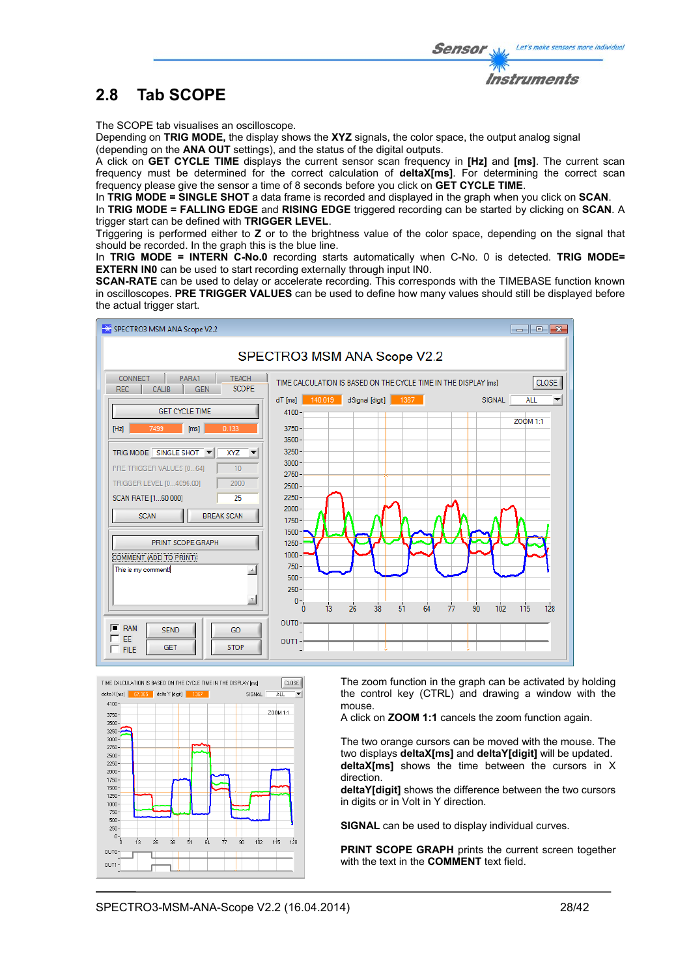

The SCOPE tab visualises an oscilloscope.

Depending on **TRIG MODE,** the display shows the **XYZ** signals, the color space, the output analog signal (depending on the **ANA OUT** settings), and the status of the digital outputs.

A click on **GET CYCLE TIME** displays the current sensor scan frequency in **[Hz]** and **[ms]**. The current scan frequency must be determined for the correct calculation of **deltaX[ms]**. For determining the correct scan frequency please give the sensor a time of 8 seconds before you click on **GET CYCLE TIME**.

In **TRIG MODE = SINGLE SHOT** a data frame is recorded and displayed in the graph when you click on **SCAN**.

In **TRIG MODE = FALLING EDGE** and **RISING EDGE** triggered recording can be started by clicking on **SCAN**. A trigger start can be defined with **TRIGGER LEVEL**.

Triggering is performed either to **Z** or to the brightness value of the color space, depending on the signal that should be recorded. In the graph this is the blue line.

In **TRIG MODE = INTERN C-No.0** recording starts automatically when C-No. 0 is detected. **TRIG MODE= EXTERN IN0** can be used to start recording externally through input IN0.

**SCAN-RATE** can be used to delay or accelerate recording. This corresponds with the TIMEBASE function known in oscilloscopes. **PRE TRIGGER VALUES** can be used to define how many values should still be displayed before the actual trigger start.





The zoom function in the graph can be activated by holding the control key (CTRL) and drawing a window with the mouse.

A click on **ZOOM 1:1** cancels the zoom function again.

The two orange cursors can be moved with the mouse. The two displays **deltaX[ms]** and **deltaY[digit]** will be updated. **deltaX[ms]** shows the time between the cursors in X direction.

**deltaY[digit]** shows the difference between the two cursors in digits or in Volt in Y direction.

**SIGNAL** can be used to display individual curves.

**PRINT SCOPE GRAPH** prints the current screen together with the text in the **COMMENT** text field.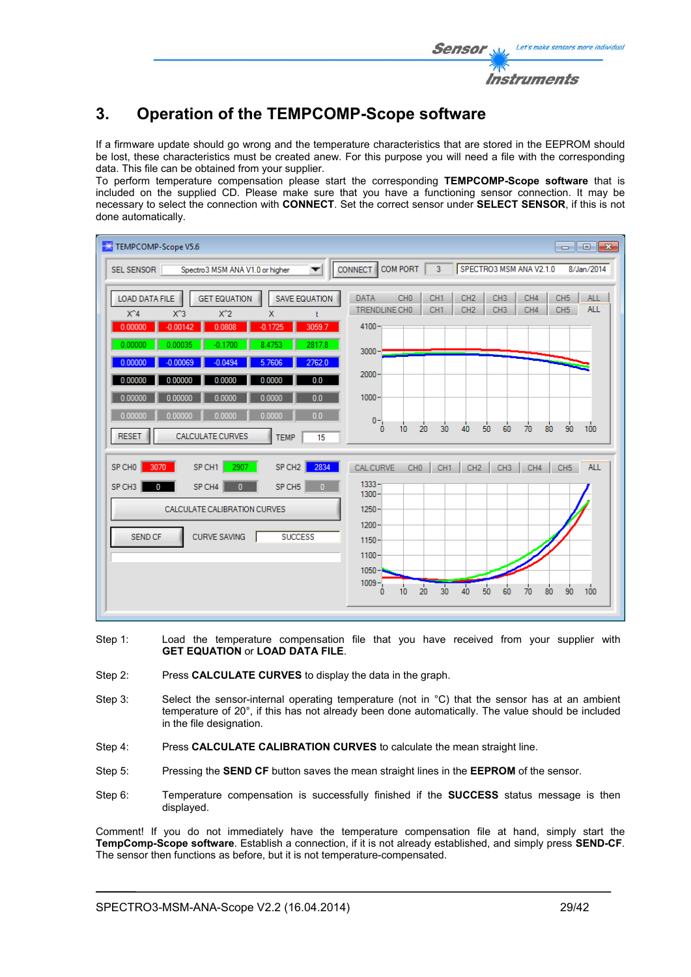# **3. Operation of the TEMPCOMP-Scope software**

If a firmware update should go wrong and the temperature characteristics that are stored in the EEPROM should be lost, these characteristics must be created anew. For this purpose you will need a file with the corresponding data. This file can be obtained from your supplier.

To perform temperature compensation please start the corresponding **TEMPCOMP-Scope software** that is included on the supplied CD. Please make sure that you have a functioning sensor connection. It may be necessary to select the connection with **CONNECT**. Set the correct sensor under **SELECT SENSOR**, if this is not done automatically.

| TEMPCOMP-Scope V5.6                                                                                                                                                                                            | $\begin{array}{c c c c c c} \hline \multicolumn{3}{c }{\mathbf{C}} & \multicolumn{3}{c }{\mathbf{X}} \end{array}$                                                                                                                                             |
|----------------------------------------------------------------------------------------------------------------------------------------------------------------------------------------------------------------|---------------------------------------------------------------------------------------------------------------------------------------------------------------------------------------------------------------------------------------------------------------|
| SEL SENSOR<br>Spectro3 MSM ANA V1.0 or higher<br>▼                                                                                                                                                             | COM PORT<br>3 <sup>7</sup><br>SPECTRO3 MSM ANA V2.1.0<br>CONNECT<br>8/Jan/2014                                                                                                                                                                                |
| LOAD DATA FILE<br><b>GET EQUATION</b><br><b>SAVE EQUATION</b><br>$X^4$<br>$X^3$<br>$X^2$<br>X<br>$-0.00142$<br>0.0808<br>3059.7<br>0.00000<br>$-0.1725$<br>2817.8<br>0.00000<br>0.00035<br>$-0.1700$<br>8.4753 | CH <sub>0</sub><br>CH <sub>1</sub><br>CH <sub>2</sub><br>CH <sub>3</sub><br>CH4<br>CH <sub>5</sub><br><b>ALL</b><br><b>DATA</b><br><b>ALL</b><br>CH <sub>1</sub><br>CH4<br>CH <sub>5</sub><br>TRENDLINE CHO<br>CH <sub>2</sub><br>CH <sub>3</sub><br>$4100 -$ |
| 2762.0<br>$-0.0494$<br>5.7606<br>0.00000<br>$-0.00069$<br>0.0<br>0.00000<br>0.0000<br>0.00000<br>0.0000<br>0.0<br>0.00000<br>0.00000<br>0.0000<br>0.0000                                                       | $3000 -$<br>$2000 -$<br>$1000 -$                                                                                                                                                                                                                              |
| 0.0<br>0.00000<br>0.00000<br>0.0000<br>0.0000<br><b>CALCULATE CURVES</b><br><b>RESET</b><br><b>TEMP</b><br>15                                                                                                  | $0 -$<br>$\frac{1}{70}$<br>90<br>100<br>20<br>30<br>50<br>60<br>80<br>10<br>40<br>0                                                                                                                                                                           |
| 2907<br>2834<br>3070<br>SP CH1<br>SP CH <sub>2</sub><br>SP CHO<br>SP CH4<br>SP CH <sub>5</sub><br>SP CH <sub>3</sub><br>$\mathbf{0}$<br>$\mathbf{0}$<br>0                                                      | <b>CAL CURVE</b><br>CH <sub>0</sub><br><b>ALL</b><br>CH <sub>1</sub><br>CH <sub>2</sub><br>CH <sub>3</sub><br>CH4<br>CH <sub>5</sub><br>$1333 -$<br>$1300 -$                                                                                                  |
| CALCULATE CALIBRATION CURVES                                                                                                                                                                                   | $1250 -$                                                                                                                                                                                                                                                      |
| <b>CURVE SAVING</b><br><b>SUCCESS</b><br><b>SEND CF</b>                                                                                                                                                        | $1200 -$<br>$1150 -$<br>$1100 -$                                                                                                                                                                                                                              |
|                                                                                                                                                                                                                | $1050 -$<br>$1009 -$<br>40<br>20<br>30<br>50<br>60<br>90<br>100<br>10<br>70<br>80<br>0                                                                                                                                                                        |

- Step 1: Load the temperature compensation file that you have received from your supplier with **GET EQUATION** or **LOAD DATA FILE**.
- Step 2: Press **CALCULATE CURVES** to display the data in the graph.
- Step 3: Select the sensor-internal operating temperature (not in °C) that the sensor has at an ambient temperature of 20°, if this has not already been done automatically. The value should be included in the file designation.
- Step 4: Press **CALCULATE CALIBRATION CURVES** to calculate the mean straight line.
- Step 5: Pressing the **SEND CF** button saves the mean straight lines in the **EEPROM** of the sensor.
- Step 6: Temperature compensation is successfully finished if the **SUCCESS** status message is then displayed.

Comment! If you do not immediately have the temperature compensation file at hand, simply start the **TempComp-Scope software**. Establish a connection, if it is not already established, and simply press **SEND-CF**. The sensor then functions as before, but it is not temperature-compensated.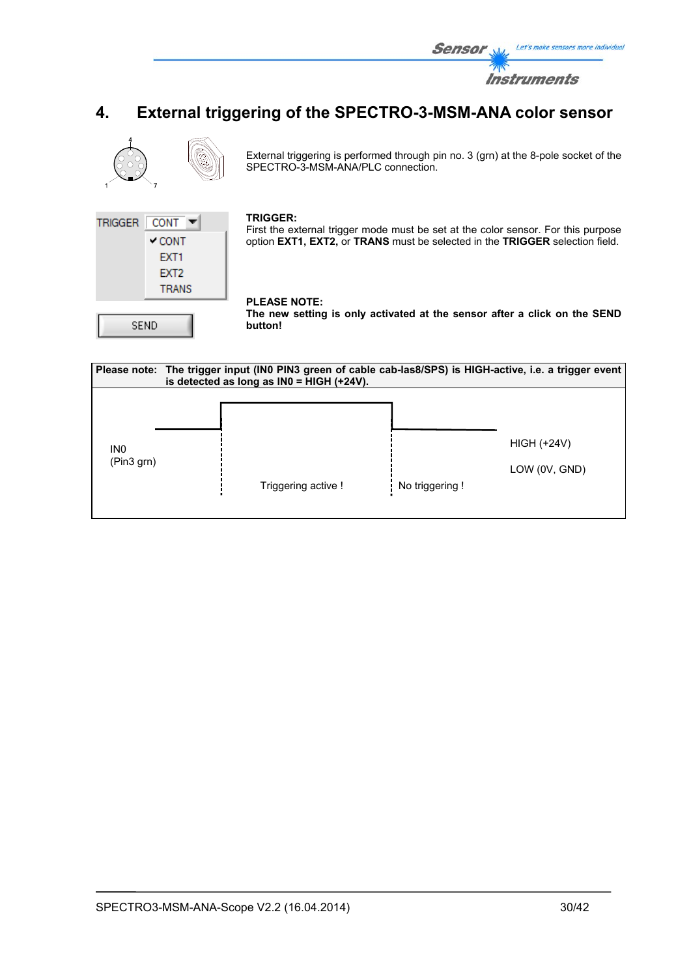

# **4. External triggering of the SPECTRO-3-MSM-ANA color sensor**



External triggering is performed through pin no. 3 (grn) at the 8-pole socket of the SPECTRO-3-MSM-ANA/PLC connection.



#### **TRIGGER:**

First the external trigger mode must be set at the color sensor. For this purpose option **EXT1, EXT2,** or **TRANS** must be selected in the **TRIGGER** selection field.

### **PLEASE NOTE:**

**The new setting is only activated at the sensor after a click on the SEND button!** 

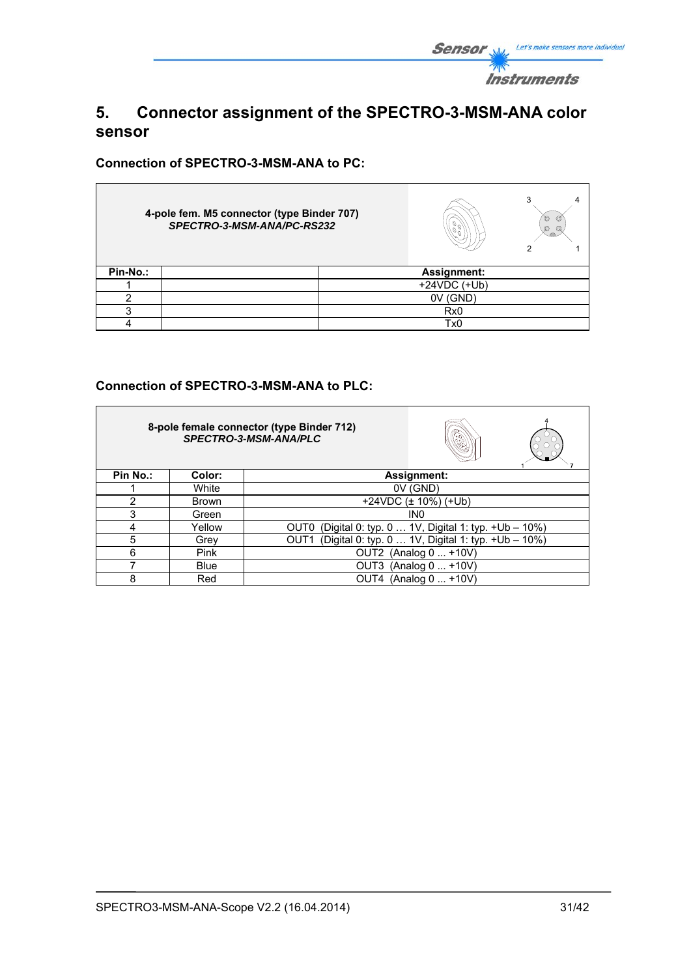

# **5. Connector assignment of the SPECTRO-3-MSM-ANA color sensor**

**Connection of SPECTRO-3-MSM-ANA to PC:** 

Ē.

|          | 4-pole fem. M5 connector (type Binder 707)<br>SPECTRO-3-MSM-ANA/PC-RS232 |                 | 3<br>O<br>O<br>Ø<br>Q |
|----------|--------------------------------------------------------------------------|-----------------|-----------------------|
| Pin-No.: |                                                                          | Assignment:     |                       |
|          |                                                                          | $+24VDC$ (+Ub)  |                       |
|          |                                                                          | 0V (GND)        |                       |
| ◠        |                                                                          | Rx <sub>0</sub> |                       |
|          |                                                                          | Tx0             |                       |

# **Connection of SPECTRO-3-MSM-ANA to PLC:**

|          |              | 8-pole female connector (type Binder 712)<br>SPECTRO-3-MSM-ANA/PLC |
|----------|--------------|--------------------------------------------------------------------|
| Pin No.: | Color:       | Assignment:                                                        |
|          | White        | $0V$ (GND)                                                         |
| 2        | <b>Brown</b> | +24VDC $(\pm 10\%)$ (+Ub)                                          |
| 3        | Green        | IN <sub>0</sub>                                                    |
| 4        | Yellow       | OUT0 (Digital 0: typ. 0  1V, Digital 1: typ. +Ub - 10%)            |
| 5        | Grev         | (Digital 0: typ. 0  1V, Digital 1: typ. +Ub - 10%)<br>OUT1         |
| 6        | <b>Pink</b>  | OUT2 (Analog 0  +10V)                                              |
|          | <b>Blue</b>  | (Analog 0  +10V)<br>OUT3                                           |
| 8        | Red          | OUT4 (Analog 0  +10V)                                              |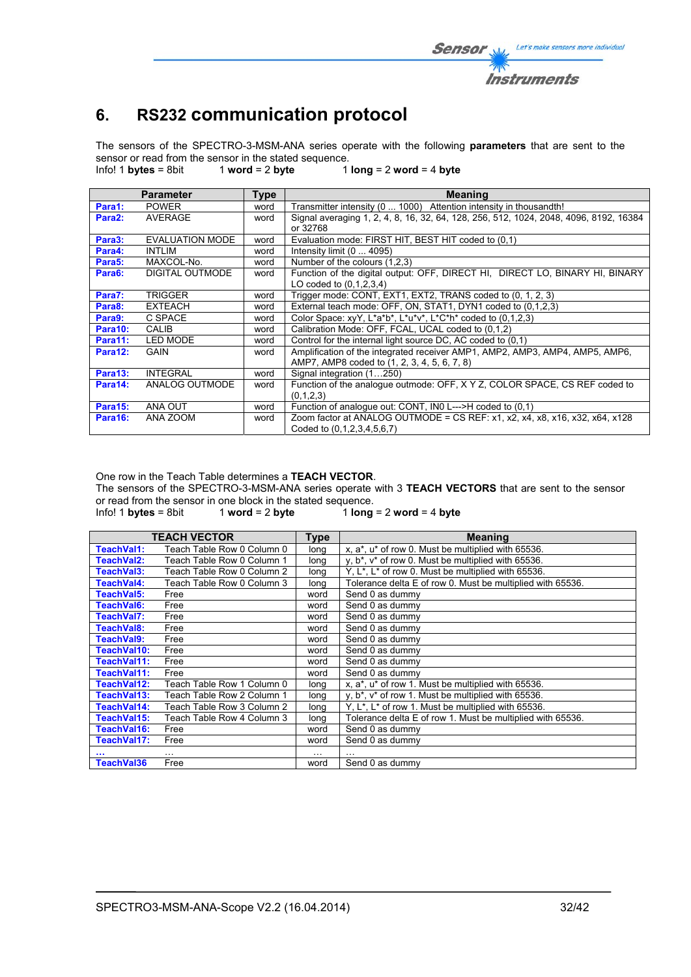# **6. RS232 communication protocol**

The sensors of the SPECTRO-3-MSM-ANA series operate with the following **parameters** that are sent to the sensor or read from the sensor in the stated sequence.<br>Info! 1 bytes = 8bit 1 word = 2 byte 1

Info! 1 **bytes** = 8bit 1 **word** = 2 **byte** 1 **long** = 2 **word** = 4 **byte**

|                     | <b>Parameter</b>       | <b>Type</b> | <b>Meaning</b>                                                                        |
|---------------------|------------------------|-------------|---------------------------------------------------------------------------------------|
| Para1:              | <b>POWER</b>           | word        | Transmitter intensity (0  1000) Attention intensity in thousandth!                    |
| Para <sub>2</sub> : | AVERAGE                | word        | Signal averaging 1, 2, 4, 8, 16, 32, 64, 128, 256, 512, 1024, 2048, 4096, 8192, 16384 |
|                     |                        |             | or 32768                                                                              |
| Para3:              | <b>EVALUATION MODE</b> | word        | Evaluation mode: FIRST HIT, BEST HIT coded to (0.1)                                   |
| Para4:              | <b>INTLIM</b>          | word        | Intensity limit $(0 \dots 4095)$                                                      |
| Para <sub>5</sub> : | MAXCOL-No.             | word        | Number of the colours (1.2.3)                                                         |
| Para6:              | DIGITAL OUTMODE        | word        | Function of the digital output: OFF, DIRECT HI, DIRECT LO, BINARY HI, BINARY          |
|                     |                        |             | LO coded to (0,1,2,3,4)                                                               |
| Para7:              | TRIGGER                | word        | Trigger mode: CONT, EXT1, EXT2, TRANS coded to (0, 1, 2, 3)                           |
| Para8:              | <b>EXTEACH</b>         | word        | External teach mode: OFF, ON, STAT1, DYN1 coded to (0,1,2,3)                          |
| Para9:              | C SPACE                | word        | Color Space: $xyY$ , $L^*a^*b^*$ , $L^*u^*v^*$ , $L^*C^*h^*$ coded to (0.1.2.3)       |
| Para10:             | CALIB                  | word        | Calibration Mode: OFF, FCAL, UCAL coded to (0,1,2)                                    |
| Para11:             | <b>LED MODE</b>        | word        | Control for the internal light source DC, AC coded to (0.1)                           |
| Para12:             | <b>GAIN</b>            | word        | Amplification of the integrated receiver AMP1, AMP2, AMP3, AMP4, AMP5, AMP6,          |
|                     |                        |             | AMP7, AMP8 coded to (1, 2, 3, 4, 5, 6, 7, 8)                                          |
| Para13:             | <b>INTEGRAL</b>        | word        | Signal integration (1250)                                                             |
| Para14:             | ANALOG OUTMODE         | word        | Function of the analogue outmode: OFF, X Y Z, COLOR SPACE, CS REF coded to            |
|                     |                        |             | (0,1,2,3)                                                                             |
| Para15:             | ANA OUT                | word        | Function of analogue out: CONT, INO L--->H coded to (0.1)                             |
| Para16:             | ANA ZOOM               | word        | Zoom factor at ANALOG OUTMODE = CS REF: x1, x2, x4, x8, x16, x32, x64, x128           |
|                     |                        |             | Coded to (0,1,2,3,4,5,6,7)                                                            |

One row in the Teach Table determines a **TEACH VECTOR**.

The sensors of the SPECTRO-3-MSM-ANA series operate with 3 **TEACH VECTORS** that are sent to the sensor or read from the sensor in one block in the stated sequence.<br>Info! 1 bytes = 8bit 1 word = 2 byte 1 long

 $1$  **long** = 2 **word** = 4 **byte** 

|                   | <b>TEACH VECTOR</b>        | Type     | <b>Meaning</b>                                                              |
|-------------------|----------------------------|----------|-----------------------------------------------------------------------------|
| TeachVal1:        | Teach Table Row 0 Column 0 | long     | x, a*, u* of row 0. Must be multiplied with 65536.                          |
| TeachVal2:        | Teach Table Row 0 Column 1 | long     | y, b*, v* of row 0. Must be multiplied with 65536.                          |
| TeachVal3:        | Teach Table Row 0 Column 2 | long     | Y, L <sup>*</sup> , L <sup>*</sup> of row 0. Must be multiplied with 65536. |
| TeachVal4:        | Teach Table Row 0 Column 3 | long     | Tolerance delta E of row 0. Must be multiplied with 65536.                  |
| TeachVal5:        | Free                       | word     | Send 0 as dummy                                                             |
| <b>TeachVal6:</b> | Free                       | word     | Send 0 as dummy                                                             |
| TeachVal7:        | Free                       | word     | Send 0 as dummy                                                             |
| TeachVal8:        | Free                       | word     | Send 0 as dummy                                                             |
| TeachVal9:        | Free                       | word     | Send 0 as dummy                                                             |
| TeachVal10:       | Free                       | word     | Send 0 as dummy                                                             |
| TeachVal11:       | Free                       | word     | Send 0 as dummy                                                             |
| TeachVal11:       | Free                       | word     | Send 0 as dummy                                                             |
| TeachVal12:       | Teach Table Row 1 Column 0 | long     | x, a*, u* of row 1. Must be multiplied with 65536.                          |
| TeachVal13:       | Teach Table Row 2 Column 1 | long     | $y, b^*$ , $v^*$ of row 1. Must be multiplied with 65536.                   |
| TeachVal14:       | Teach Table Row 3 Column 2 | long     | Y, L <sup>*</sup> , L <sup>*</sup> of row 1. Must be multiplied with 65536. |
| TeachVal15:       | Teach Table Row 4 Column 3 | long     | Tolerance delta E of row 1. Must be multiplied with 65536.                  |
| TeachVal16:       | Free                       | word     | Send 0 as dummy                                                             |
| TeachVal17:       | Free                       | word     | Send 0 as dummy                                                             |
|                   | $\cdots$                   | $\cdots$ |                                                                             |
| <b>TeachVal36</b> | Free                       | word     | Send 0 as dummy                                                             |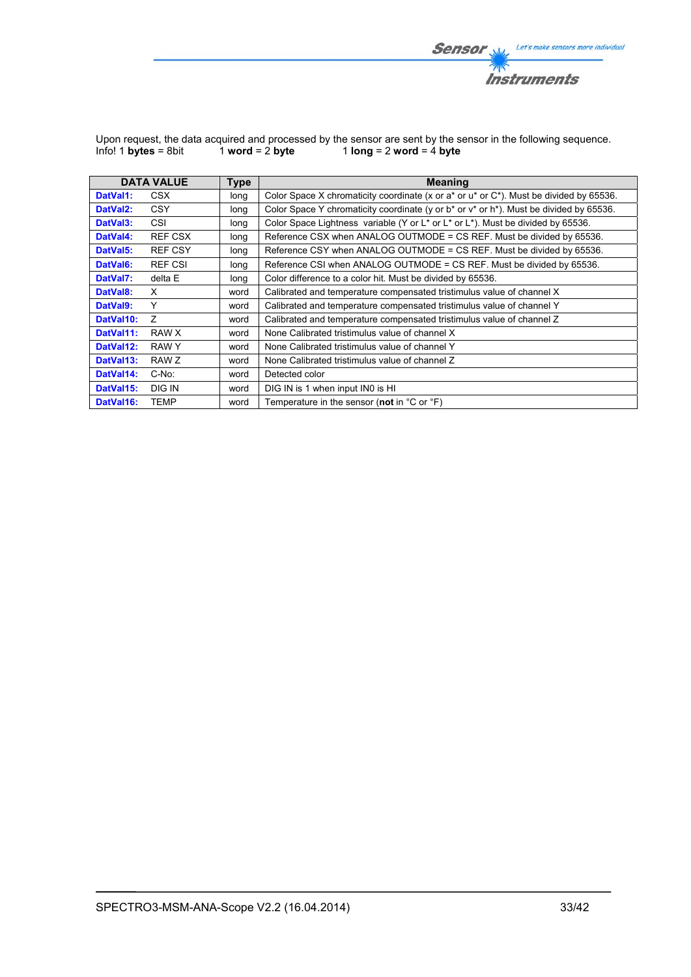

|                      |                   | Upon request, the data acquired and processed by the sensor are sent by the sensor in the following sequence. |
|----------------------|-------------------|---------------------------------------------------------------------------------------------------------------|
| Info! 1 bytes = 8bit | 1 word = $2$ byte | 1 long = $2$ word = $4$ byte                                                                                  |

|                       | <b>DATA VALUE</b> | <b>Type</b> | <b>Meaning</b>                                                                                   |
|-----------------------|-------------------|-------------|--------------------------------------------------------------------------------------------------|
| DatVal1:              | CSX               | long        | Color Space X chromaticity coordinate (x or a* or u* or C*). Must be divided by 65536.           |
| DatVal <sub>2</sub> : | <b>CSY</b>        | long        | Color Space Y chromaticity coordinate (y or $b^*$ or $v^*$ or $h^*$ ). Must be divided by 65536. |
| DatVal <sub>3</sub> : | CSI               | long        | Color Space Lightness variable (Y or L* or L* or L*). Must be divided by 65536.                  |
| DatVal4:              | <b>REF CSX</b>    | long        | Reference CSX when ANALOG OUTMODE = CS REF. Must be divided by 65536.                            |
| DatVal5:              | <b>REF CSY</b>    | long        | Reference CSY when ANALOG OUTMODE = CS REF. Must be divided by 65536.                            |
| DatVal <sub>6</sub> : | <b>REF CSI</b>    | long        | Reference CSI when ANALOG OUTMODE = CS REF. Must be divided by 65536.                            |
| DatVal7:              | delta E           | long        | Color difference to a color hit. Must be divided by 65536.                                       |
| DatVal8:              | X                 | word        | Calibrated and temperature compensated tristimulus value of channel X                            |
| DatVal9:              | Y                 | word        | Calibrated and temperature compensated tristimulus value of channel Y                            |
| DatVal10:             | $\overline{z}$    | word        | Calibrated and temperature compensated tristimulus value of channel Z                            |
| DatVal11:             | RAW X             | word        | None Calibrated tristimulus value of channel X                                                   |
| DatVal12:             | RAW Y             | word        | None Calibrated tristimulus value of channel Y                                                   |
| DatVal13:             | RAW Z             | word        | None Calibrated tristimulus value of channel Z                                                   |
| DatVal14:             | C-No:             | word        | Detected color                                                                                   |
| DatVal15:             | DIG IN            | word        | DIG IN is 1 when input IN0 is HI                                                                 |
| DatVal16:             | TEMP              | word        | Temperature in the sensor (not in $^{\circ}$ C or $^{\circ}$ F)                                  |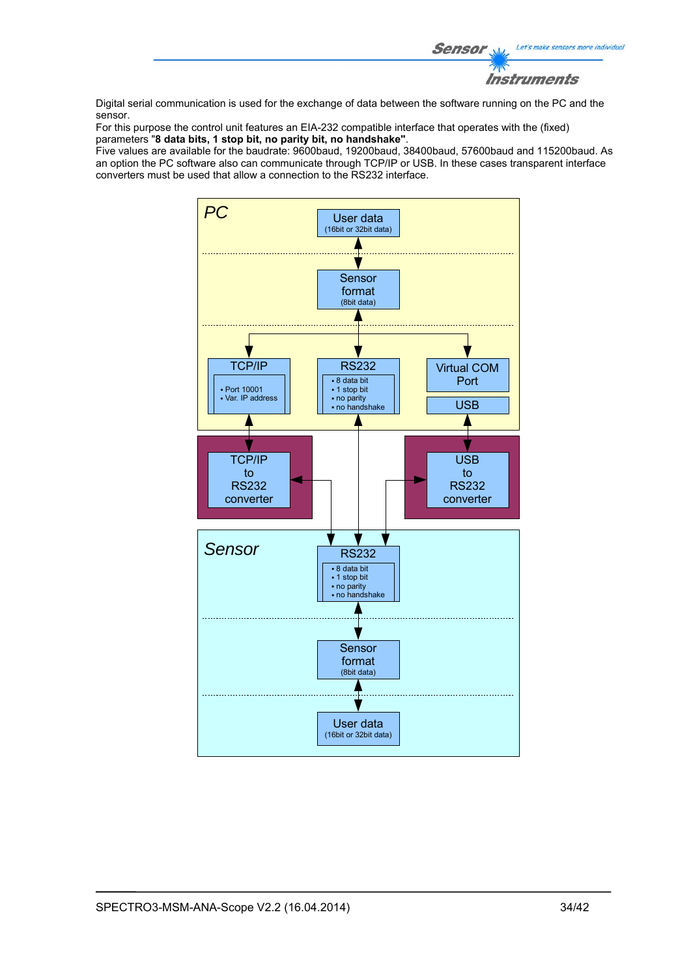

Digital serial communication is used for the exchange of data between the software running on the PC and the sensor.

For this purpose the control unit features an EIA-232 compatible interface that operates with the (fixed) parameters "**8 data bits, 1 stop bit, no parity bit, no handshake"**.

Five values are available for the baudrate: 9600baud, 19200baud, 38400baud, 57600baud and 115200baud. As an option the PC software also can communicate through TCP/IP or USB. In these cases transparent interface converters must be used that allow a connection to the RS232 interface.

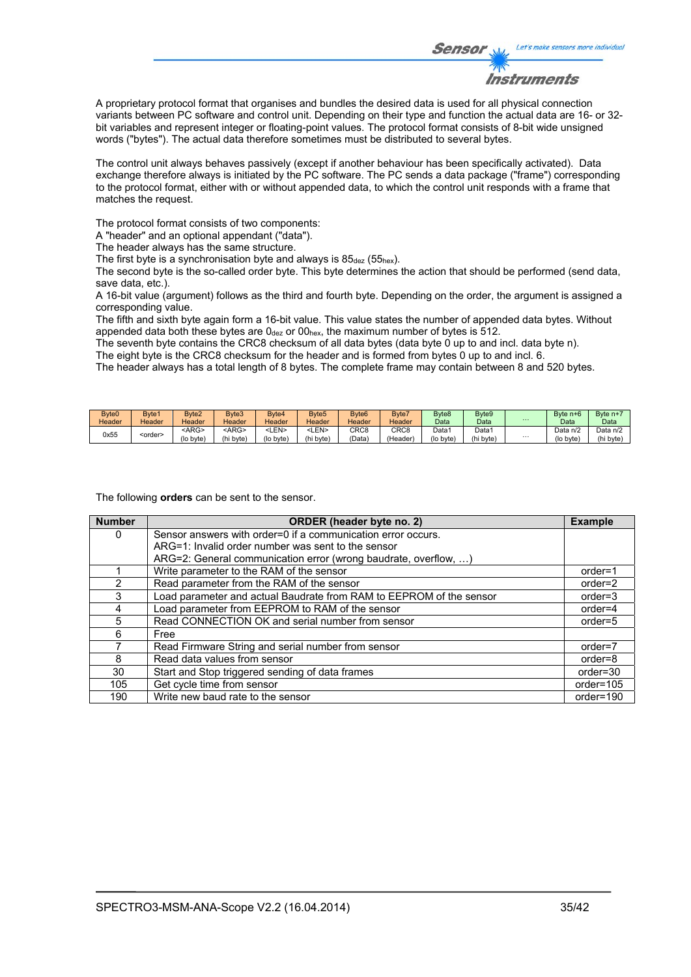

A proprietary protocol format that organises and bundles the desired data is used for all physical connection variants between PC software and control unit. Depending on their type and function the actual data are 16- or 32 bit variables and represent integer or floating-point values. The protocol format consists of 8-bit wide unsigned words ("bytes"). The actual data therefore sometimes must be distributed to several bytes.

The control unit always behaves passively (except if another behaviour has been specifically activated). Data exchange therefore always is initiated by the PC software. The PC sends a data package ("frame") corresponding to the protocol format, either with or without appended data, to which the control unit responds with a frame that matches the request.

The protocol format consists of two components:

A "header" and an optional appendant ("data").

The header always has the same structure.

The first byte is a synchronisation byte and always is  $85_{\text{dez}}$  (55<sub>hex</sub>).

The second byte is the so-called order byte. This byte determines the action that should be performed (send data, save data, etc.).

A 16-bit value (argument) follows as the third and fourth byte. Depending on the order, the argument is assigned a corresponding value.

The fifth and sixth byte again form a 16-bit value. This value states the number of appended data bytes. Without appended data both these bytes are  $0_{\text{dez}}$  or  $00_{\text{hex}}$ , the maximum number of bytes is 512.

The seventh byte contains the CRC8 checksum of all data bytes (data byte 0 up to and incl. data byte n).

The eight byte is the CRC8 checksum for the header and is formed from bytes 0 up to and incl. 6.

The header always has a total length of 8 bytes. The complete frame may contain between 8 and 520 bytes.

| Byte0  | Byte1           | Byte2       | Byte3         | Bvte4       | Byte <sub>5</sub> | Byte <sub>6</sub> | Byte7            | Byte <sub>8</sub> | Byte <sub>9</sub> |          | Byte n+6  | Byte n+  |
|--------|-----------------|-------------|---------------|-------------|-------------------|-------------------|------------------|-------------------|-------------------|----------|-----------|----------|
| Header | Header          | Header      | <b>Header</b> | Header      | Header            | Header            | Header           | Data              | Data              | $\cdots$ | Data      | Data     |
| 0x55   | <order></order> | <arg></arg> | <arg></arg>   | <len></len> | ∟EN>              | CRC <sub>8</sub>  | CRC <sub>8</sub> | Data1             | Data <sup>1</sup> |          | Data n/2  | Data n/2 |
|        |                 | (lo byte)   | (hi byte)     | (lo byte)   | (hi byte)         | 'Data             | (Header)         | (lo byte)         | (hi byte)         | $\cdots$ | (lo byte) | (hi byte |

The following **orders** can be sent to the sensor.

| <b>Number</b> | ORDER (header byte no. 2)                                           | <b>Example</b> |
|---------------|---------------------------------------------------------------------|----------------|
| 0             | Sensor answers with order=0 if a communication error occurs.        |                |
|               | ARG=1: Invalid order number was sent to the sensor                  |                |
|               | ARG=2: General communication error (wrong baudrate, overflow, )     |                |
|               | Write parameter to the RAM of the sensor                            | $order=1$      |
| $\mathcal{P}$ | Read parameter from the RAM of the sensor                           | $order=2$      |
| 3             | Load parameter and actual Baudrate from RAM to EEPROM of the sensor | $order = 3$    |
| 4             | Load parameter from EEPROM to RAM of the sensor                     | $order=4$      |
| 5             | Read CONNECTION OK and serial number from sensor                    | $order=5$      |
| 6             | Free                                                                |                |
|               | Read Firmware String and serial number from sensor                  | order=7        |
| 8             | Read data values from sensor                                        | order=8        |
| 30            | Start and Stop triggered sending of data frames                     | $order = 30$   |
| 105           | Get cycle time from sensor                                          | order=105      |
| 190           | Write new baud rate to the sensor                                   | order=190      |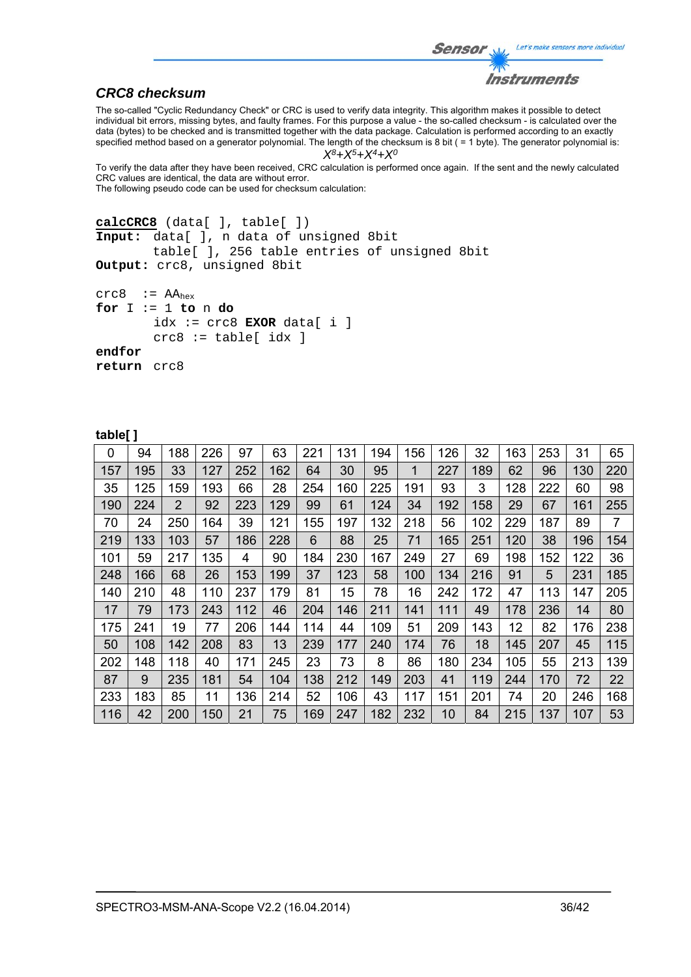```
Let's make sensors more individual
Sensor
           Instruments
```
# *CRC8 checksum*

The so-called "Cyclic Redundancy Check" or CRC is used to verify data integrity. This algorithm makes it possible to detect individual bit errors, missing bytes, and faulty frames. For this purpose a value - the so-called checksum - is calculated over the data (bytes) to be checked and is transmitted together with the data package. Calculation is performed according to an exactly specified method based on a generator polynomial. The length of the checksum is 8 bit ( = 1 byte). The generator polynomial is:

#### *X8+X5+X4+X0*

To verify the data after they have been received, CRC calculation is performed once again. If the sent and the newly calculated CRC values are identical, the data are without error. The following pseudo code can be used for checksum calculation:

```
calcCRC8 (data[ ], table[ ]) 
Input: data[ ], n data of unsigned 8bit 
         table[ ], 256 table entries of unsigned 8bit 
Output: crc8, unsigned 8bit 
crc8 := AA_{hex}for I := 1 to n do 
        idx := crc8 EXOR data[ i ] 
         crc8 := table[ idx ] 
endfor 
return crc8
```
#### **table[ ]**

| 0   | 94  | 188 | 226 | 97  | 63  | 221 | 131 | 194 | 156 | 126 | 32  | 163 | 253 | 31  | 65  |
|-----|-----|-----|-----|-----|-----|-----|-----|-----|-----|-----|-----|-----|-----|-----|-----|
| 157 | 195 | 33  | 127 | 252 | 162 | 64  | 30  | 95  | 1   | 227 | 189 | 62  | 96  | 130 | 220 |
| 35  | 125 | 159 | 193 | 66  | 28  | 254 | 160 | 225 | 191 | 93  | 3   | 128 | 222 | 60  | 98  |
| 190 | 224 | 2   | 92  | 223 | 129 | 99  | 61  | 124 | 34  | 192 | 158 | 29  | 67  | 161 | 255 |
| 70  | 24  | 250 | 164 | 39  | 121 | 155 | 197 | 132 | 218 | 56  | 102 | 229 | 187 | 89  | 7   |
| 219 | 133 | 103 | 57  | 186 | 228 | 6   | 88  | 25  | 71  | 165 | 251 | 120 | 38  | 196 | 154 |
| 101 | 59  | 217 | 135 | 4   | 90  | 184 | 230 | 167 | 249 | 27  | 69  | 198 | 152 | 122 | 36  |
| 248 | 166 | 68  | 26  | 153 | 199 | 37  | 123 | 58  | 100 | 134 | 216 | 91  | 5   | 231 | 185 |
| 140 | 210 | 48  | 110 | 237 | 179 | 81  | 15  | 78  | 16  | 242 | 172 | 47  | 113 | 147 | 205 |
| 17  | 79  | 173 | 243 | 112 | 46  | 204 | 146 | 211 | 141 | 111 | 49  | 178 | 236 | 14  | 80  |
| 175 | 241 | 19  | 77  | 206 | 144 | 114 | 44  | 109 | 51  | 209 | 143 | 12  | 82  | 176 | 238 |
| 50  | 108 | 142 | 208 | 83  | 13  | 239 | 177 | 240 | 174 | 76  | 18  | 145 | 207 | 45  | 115 |
| 202 | 148 | 118 | 40  | 171 | 245 | 23  | 73  | 8   | 86  | 180 | 234 | 105 | 55  | 213 | 139 |
| 87  | 9   | 235 | 181 | 54  | 104 | 138 | 212 | 149 | 203 | 41  | 119 | 244 | 170 | 72  | 22  |
| 233 | 183 | 85  | 11  | 136 | 214 | 52  | 106 | 43  | 117 | 151 | 201 | 74  | 20  | 246 | 168 |
| 116 | 42  | 200 | 150 | 21  | 75  | 169 | 247 | 182 | 232 | 10  | 84  | 215 | 137 | 107 | 53  |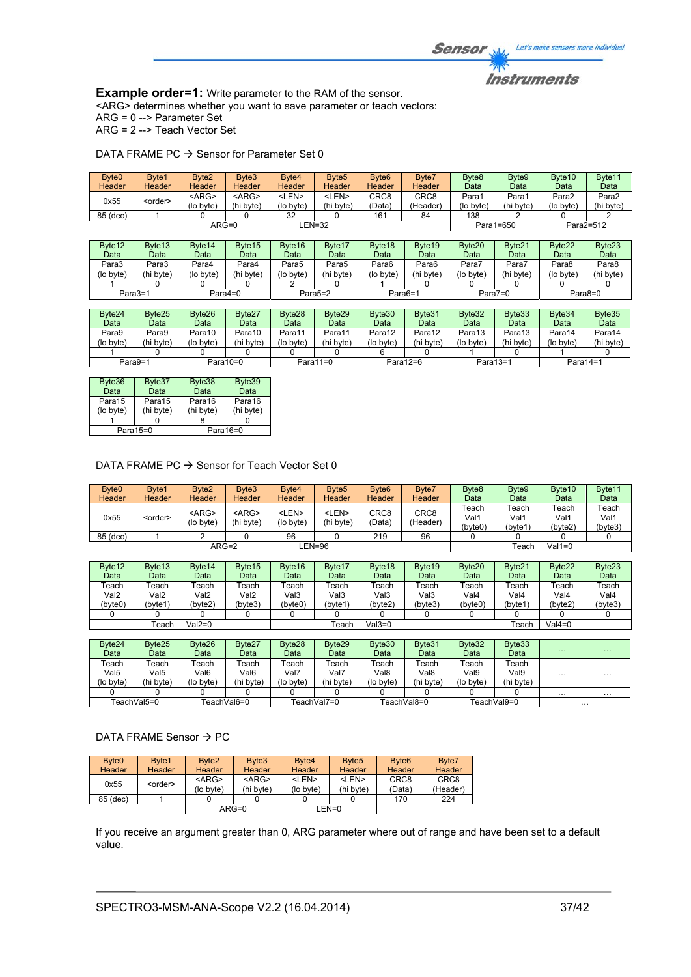**Example order=1:** Write parameter to the RAM of the sensor. <ARG> determines whether you want to save parameter or teach vectors: ARG = 0 --> Parameter Set

ARG = 2 --> Teach Vector Set

| Byte <sub>0</sub><br>Header | Byte1<br>Header    | Byte2<br>Header          | Byte3<br>Header          | Byte4<br>Header           | Byte <sub>5</sub><br>Header | Byte <sub>6</sub><br>Header | Byte7<br><b>Header</b>       | Byte8<br>Data      | Byte9<br>Data      | Byte10<br>Data     | Byte11<br>Data     |
|-----------------------------|--------------------|--------------------------|--------------------------|---------------------------|-----------------------------|-----------------------------|------------------------------|--------------------|--------------------|--------------------|--------------------|
| 0x55                        | <order></order>    | $<$ ARG $>$<br>(lo byte) | $<$ ARG $>$<br>(hi byte) | <len><br/>(lo byte)</len> | <len><br/>(hi byte)</len>   | CRC8<br>(Data)              | CRC <sub>8</sub><br>(Header) | Para1<br>(lo byte) | Para1<br>(hi byte) | Para2<br>(lo byte) | Para2<br>(hi byte) |
| 85 (dec)                    |                    |                          |                          | 32                        |                             | 161                         | 84                           | 138                |                    |                    |                    |
|                             |                    | $ARG=0$                  |                          | <b>LEN=32</b>             |                             |                             |                              |                    | Para1=650          |                    | Para2=512          |
|                             |                    |                          |                          |                           |                             |                             |                              |                    |                    |                    |                    |
|                             |                    |                          |                          |                           |                             |                             |                              |                    |                    |                    |                    |
| Byte12                      | Byte <sub>13</sub> | Byte <sub>14</sub>       | Byte15                   | Byte16                    | Byte17                      | Byte18                      | Byte 19                      | Byte20             | Byte21             | Byte22             | Byte23             |
| Data                        | Data               | Data                     | Data                     | Data                      | Data                        | Data                        | Data                         | Data               | Data               | Data               | Data               |
| Para3                       | Para3              | Para4                    | Para4                    | Para5                     | Para <sub>5</sub>           | Para6                       | Para6                        | Para7              | Para7              | Para8              | Para8              |
| (lo byte)                   | (hi byte)          | (lo byte)                | (hi byte)                | (lo byte)                 | (hi byte)                   | (lo byte)                   | (hi byte)                    | (lo byte)          | (hi byte)          | (lo byte)          | (hi byte)          |

| Byte24    | Byte25    | Byte26    | Byte27      | Byte28    | Byte <sub>29</sub> | Byte30    | Byte31      | Byte32    | Byte33    | Byte34    | Byte35    |
|-----------|-----------|-----------|-------------|-----------|--------------------|-----------|-------------|-----------|-----------|-----------|-----------|
| Data      | Data      | Data      | Data        | Data      | Data               | Data      | Data        | Data      | Data      | Data      | Data      |
| Para9     | Para9     | Para10    | Para10      | Para11    | Para11             | Para12    | Para12      | Para13    | Para13    | Para14    | Para14    |
| (lo byte) | (hi bvte) | (lo byte) | (hi byte)   | (lo byte) | (hi byte)          | (lo byte) | (hi byte)   | (lo byte) | (hi byte) | (lo byte) | (hi byte) |
|           |           |           |             |           |                    |           |             |           |           |           |           |
|           | Para9=1   |           | Para $10=0$ |           | Para $11=0$        |           | Para $12=6$ | Para13=1  |           | Para14=1  |           |

Para3=1 Para4=0 Para5=2 Para6=1 Para7=0 Para8=0

| Byte36    | Byte37    | Byte38      | Byte39    |
|-----------|-----------|-------------|-----------|
| Data      | Data      | Data        | Data      |
| Para15    | Para15    | Para16      | Para16    |
| (lo byte) | (hi byte) | (hi byte)   | (hi byte) |
|           |           |             |           |
|           | Para15=0  | Para $16=0$ |           |

# DATA FRAME PC  $\rightarrow$  Sensor for Teach Vector Set 0

| Byte <sub>0</sub><br>Header | Byte1<br><b>Header</b> | Byte <sub>2</sub><br><b>Header</b> | Byte3<br><b>Header</b>   | Byte4<br>Header           | Byte <sub>5</sub><br>Header | Byte <sub>6</sub><br>Header | Byte7<br>Header              | Byte <sub>8</sub><br>Data | Byte9<br>Data           | Byte <sub>10</sub><br>Data | Byte <sub>11</sub><br>Data     |
|-----------------------------|------------------------|------------------------------------|--------------------------|---------------------------|-----------------------------|-----------------------------|------------------------------|---------------------------|-------------------------|----------------------------|--------------------------------|
| 0x55                        | <order></order>        | $<$ ARG $>$<br>(lo byte)           | $<$ ARG $>$<br>(hi byte) | <len><br/>(lo byte)</len> | <len><br/>(hi byte)</len>   | CRC8<br>(Data`              | CRC <sub>8</sub><br>(Header) | Teach<br>Val1<br>(byte0)  | Teach<br>Val1<br>(byte1 | Teach<br>Val1<br>(bvte2`   | $\tau$ each<br>Val1<br>(byte3) |
| 85 (dec)                    |                        |                                    |                          | 96                        |                             | 219                         | 96                           |                           |                         |                            |                                |
|                             |                        | $ARG=2$                            |                          |                           | ∟EN=96                      |                             |                              |                           | Teach                   | Val1=0                     |                                |

| Byte12           | Byte <sub>13</sub> | Byte <sub>14</sub> | Byte <sub>15</sub> | Byte16      | Byte17      | Byte <sub>18</sub> | Byte <sub>19</sub> | Byte <sub>20</sub> | Byte21 | Byte22  | Byte23      |
|------------------|--------------------|--------------------|--------------------|-------------|-------------|--------------------|--------------------|--------------------|--------|---------|-------------|
| Data             | Data               | Data               | Data               | Data        | Datal       | Data               | Data               | Data               | Data   | Data    | Data        |
| Геасһ            | each               | <sup>-</sup> each  | ⊺each              | $\tau$ each | $\tau$ each | ™each              | $\tau$ each        | Teach              | Геасһ  | Teach   | $\tau$ each |
| Val <sub>2</sub> | Val2               | Val2               | Val2               | Val3        | Val3        | Val3               | Val3               | Val4               | Val4   | √al4    | Val4        |
| (byte0)          | (byte1             | (bvte2)            | (bvte3)            | (bvte0)     | (bvte1      | (bvte2`            | (byte3)            | 'byte0             | byte1  | (bvte2` | (byte3)     |
|                  |                    |                    |                    |             |             |                    |                    |                    |        |         |             |
|                  | ⊺each              | $Val2=0$           |                    |             | Геасһ       | √al3=0             |                    |                    | Teach  | Val4=0  |             |

| Byte24<br>Data             | Byte <sub>25</sub><br>Data | Byte26<br>Data                         | Byte27<br>Data             | Byte28<br>Data             | Byte29<br>Data             | Byte30<br>Data             | Byte31<br>Data             | Byte32<br>Data             | Byte33<br>Data             | $\cdots$ | $\cdots$ |
|----------------------------|----------------------------|----------------------------------------|----------------------------|----------------------------|----------------------------|----------------------------|----------------------------|----------------------------|----------------------------|----------|----------|
| Геасһ<br>Val5<br>(lo byte) | each?<br>Val5<br>(hi byte) | <sup>-</sup> each<br>Val6<br>(lo byte) | Геасһ<br>Val6<br>(hi bvte) | Teach<br>Val7<br>(lo byte) | Teach<br>Val7<br>(hi byte) | Teach<br>Val8<br>(lo byte) | Teach<br>Val8<br>(hi byte) | Teach<br>Val9<br>(lo byte) | Teach<br>Val9<br>(hi byte) | $\cdots$ | $\cdots$ |
|                            |                            |                                        |                            |                            |                            |                            |                            |                            |                            | $\cdots$ | $\cdots$ |
|                            | TeachVal5=0                |                                        | TeachVal6=0                |                            | FeachVal7=0                |                            | FeachVal8=0                |                            | TeachVal9=0                | $\cdots$ |          |

## DATA FRAME Sensor  $\rightarrow$  PC

| Byte <sub>0</sub> | Byte1           | Byte <sub>2</sub> | Byte3         | Byte4         | Byte <sub>5</sub> | Byte <sub>6</sub> | Byte7            |
|-------------------|-----------------|-------------------|---------------|---------------|-------------------|-------------------|------------------|
| Header            | Header          | <b>Header</b>     | <b>Header</b> | <b>Header</b> | <b>Header</b>     | Header            | Header           |
| 0x55              | <order></order> | $<$ ARG>          | $<$ ARG>      | <len></len>   | <len></len>       | CRC <sub>8</sub>  | CRC <sub>8</sub> |
|                   |                 | (lo byte)         | (hi byte)     | (lo byte)     | (hi byte)         | (Data)            | (Header)         |
| 85 (dec)          |                 |                   |               |               |                   | 170               | 224              |
|                   |                 |                   | $ARG=0$       |               | LEN=0             |                   |                  |

If you receive an argument greater than 0, ARG parameter where out of range and have been set to a default value.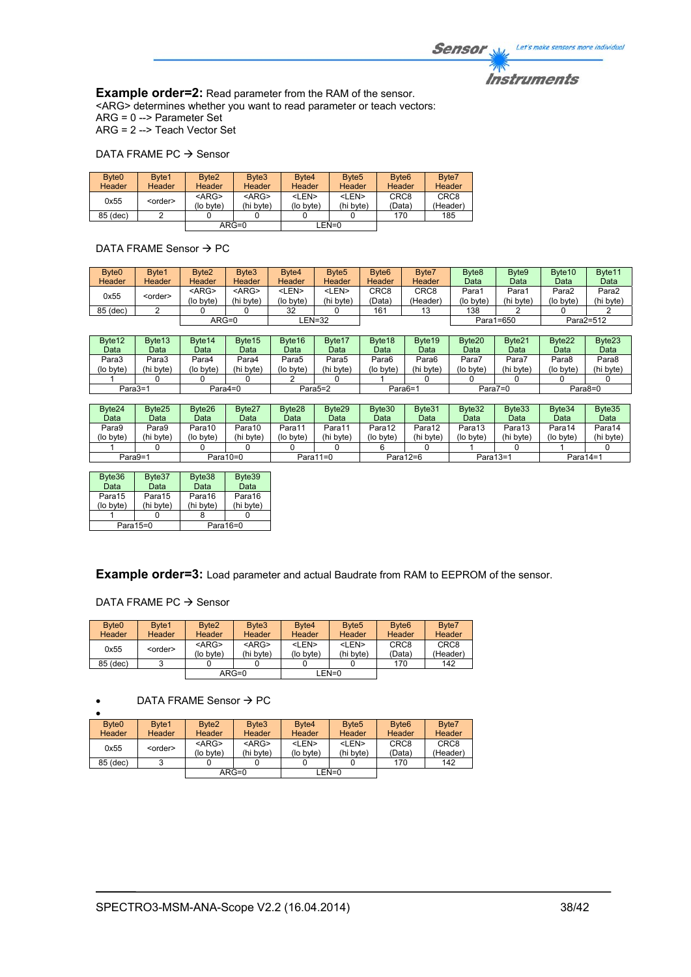# *Instruments*

**Example order=2:** Read parameter from the RAM of the sensor. <ARG> determines whether you want to read parameter or teach vectors: ARG = 0 --> Parameter Set ARG = 2 --> Teach Vector Set

#### DATA FRAME PC  $\rightarrow$  Sensor

| Byte <sub>0</sub><br>Header | Byte1<br>Header | Byte <sub>2</sub><br>Header | Byte3<br>Header          | Byte4<br><b>Header</b>    | Byte <sub>5</sub><br>Header | Byte <sub>6</sub><br>Header | Byte7<br>Header              |
|-----------------------------|-----------------|-----------------------------|--------------------------|---------------------------|-----------------------------|-----------------------------|------------------------------|
| 0x55                        | <order></order> | $<$ ARG><br>(lo byte)       | $<$ ARG $>$<br>(hi byte) | <len><br/>(lo byte)</len> | <len><br/>(hi byte)</len>   | CRC <sub>8</sub><br>(Data)  | CRC <sub>8</sub><br>(Header) |
| 85 (dec)                    |                 |                             |                          |                           |                             | 170                         | 185                          |
|                             |                 | ARG=0                       |                          |                           | LEN=0                       |                             |                              |

DATA FRAME Sensor  $\rightarrow$  PC

| Byte <sub>0</sub><br>Header | Byte1<br><b>Header</b> | Byte <sub>2</sub><br>Header | Byte3<br><b>Header</b>   | Byte4<br><b>Header</b>    | Byte <sub>5</sub><br><b>Header</b> | Byte <sub>6</sub><br>Header | Byte7<br><b>Header</b>       | Byte <sub>8</sub><br>Data | Byte9<br>Data     | Byte <sub>10</sub><br>Data | Byte <sub>11</sub><br>Data |
|-----------------------------|------------------------|-----------------------------|--------------------------|---------------------------|------------------------------------|-----------------------------|------------------------------|---------------------------|-------------------|----------------------------|----------------------------|
| 0x55                        | <order></order>        | $<$ ARG $>$<br>(lo byte)    | $<$ ARG $>$<br>(hi byte) | <len><br/>(lo byte)</len> | <len><br/>(hi byte)</len>          | CRC <sub>8</sub><br>(Data`  | CRC <sub>8</sub><br>(Header) | Para′<br>(lo byte)        | Para<br>(hi byte) | Para2<br>(lo byte)         | Para2<br>(hi byte)         |
| 85 (dec)                    |                        |                             |                          | 32                        |                                    | 161                         | 13                           | 138                       |                   |                            |                            |
|                             |                        | $ARG=0$                     |                          |                           | LEN=32                             |                             |                              |                           | Para1=650         |                            | Para2=512                  |

| Byte <sub>12</sub> | Byte <sub>13</sub> | Byte <sub>14</sub> | Byte15    | Byte <sub>16</sub> | Byte <sub>17</sub> | Byte <sub>18</sub> | Byte <sub>19</sub> | Byte20    | Byte21     | Byte22   | Byte <sub>23</sub> |
|--------------------|--------------------|--------------------|-----------|--------------------|--------------------|--------------------|--------------------|-----------|------------|----------|--------------------|
| Data               | Data               | Data               | Data      | Data               | Data               | Data               | Datal              | Data      | Data       | Data     | Data               |
| Para3              | Para3              | Para4              | Para4     | Para5              | Para <sub>5</sub>  | Para6              | Para6              | Para7     | Para7      | Para8    | Para8              |
| (lo byte)          | (hi byte)          | (lo byte)          | (hi byte) | (lo byte)          | (hi byte)          | (lo byte)          | (hi byte)          | (lo byte) | (hi byte)  | (lo bvte | (hi byte)          |
|                    |                    |                    |           |                    |                    |                    |                    |           |            |          |                    |
|                    | Para3=1            |                    | Para4=0   |                    | Para5=2            | Para6=1            |                    |           | Para $7=0$ |          | Para8=0            |

| Byte24    | Bvte25    | Byte26    | Byte27    | Byte28    | Byte29      | Byte30    | Byte31    | Byte32    | Byte33    | Byte34      | Byte35    |
|-----------|-----------|-----------|-----------|-----------|-------------|-----------|-----------|-----------|-----------|-------------|-----------|
| Data      | Data      | Data      | Data      | Data      | Data        | Data      | Datal     | Data      | Data      | Data        | Data      |
| Para9     | Para9     | Para10    | Para10    | Para11    | Para11      | Para12    | Para12    | Para13    | Para13    | Para14      | Para14    |
| (lo byte) | (hi byte) | (lo byte) | (hi byte) | (lo byte) | (hi byte)   | (lo byte) | (hi byte) | (lo byte) | (hi byte) | (lo bvte)   | (hi byte) |
|           |           |           |           |           |             |           |           |           |           |             |           |
| Para9=1   |           |           | Para10=0  |           | Para $11=0$ |           | Para12=6  | Para13=1  |           | Para $14=1$ |           |

| Byte36    | Byte37    | Byte38    | Byte39    |
|-----------|-----------|-----------|-----------|
| Data      | Data      | Data      | Data      |
| Para15    | Para15    | Para16    | Para16    |
| (lo byte) | (hi byte) | (hi byte) | (hi byte) |
|           |           |           |           |
|           | Para15=0  | Para16=0  |           |

**Example order=3:** Load parameter and actual Baudrate from RAM to EEPROM of the sensor.

DATA FRAME PC  $\rightarrow$  Sensor

| Byte <sub>0</sub> | Byte1           | Byte <sub>2</sub>        | Byte3                    | Byte4                     | Byte <sub>5</sub>         | Byte <sub>6</sub> | Byte7                        |
|-------------------|-----------------|--------------------------|--------------------------|---------------------------|---------------------------|-------------------|------------------------------|
| Header            | Header          | <b>Header</b>            | <b>Header</b>            | <b>Header</b>             | <b>Header</b>             | Header            | Header                       |
| 0x55              | <order></order> | $<$ ARG $>$<br>(lo byte) | $<$ ARG $>$<br>(hi byte) | <len><br/>(lo byte)</len> | <len><br/>(hi byte)</len> | CRC8<br>(Data)    | CRC <sub>8</sub><br>(Header) |
| 85 (dec)          |                 |                          |                          |                           |                           | 170               | 142                          |
|                   |                 |                          | $ARG=0$                  |                           | LEN=0                     |                   |                              |

 $\bullet$  DATA FRAME Sensor  $\rightarrow$  PC

| Byte <sub>0</sub> | Byte1           | Byte <sub>2</sub> | Byte3       | Byte4         | Byte <sub>5</sub> | Byte <sub>6</sub> | Byte7            |
|-------------------|-----------------|-------------------|-------------|---------------|-------------------|-------------------|------------------|
| <b>Header</b>     | <b>Header</b>   | Header            | Header      | <b>Header</b> | Header            | Header            | Header           |
| 0x55              | <order></order> | $<$ ARG $>$       | $<$ ARG $>$ | <len></len>   | <len></len>       | CRC <sub>8</sub>  | CRC <sub>8</sub> |
|                   |                 | (lo byte)         | (hi bvte)   | (lo bvte)     | (hi byte)         | (Data)            | (Header)         |
| 85 (dec)          |                 |                   |             |               |                   | 170               | 142              |
|                   |                 |                   | $ARG=0$     |               | LEN=0             |                   |                  |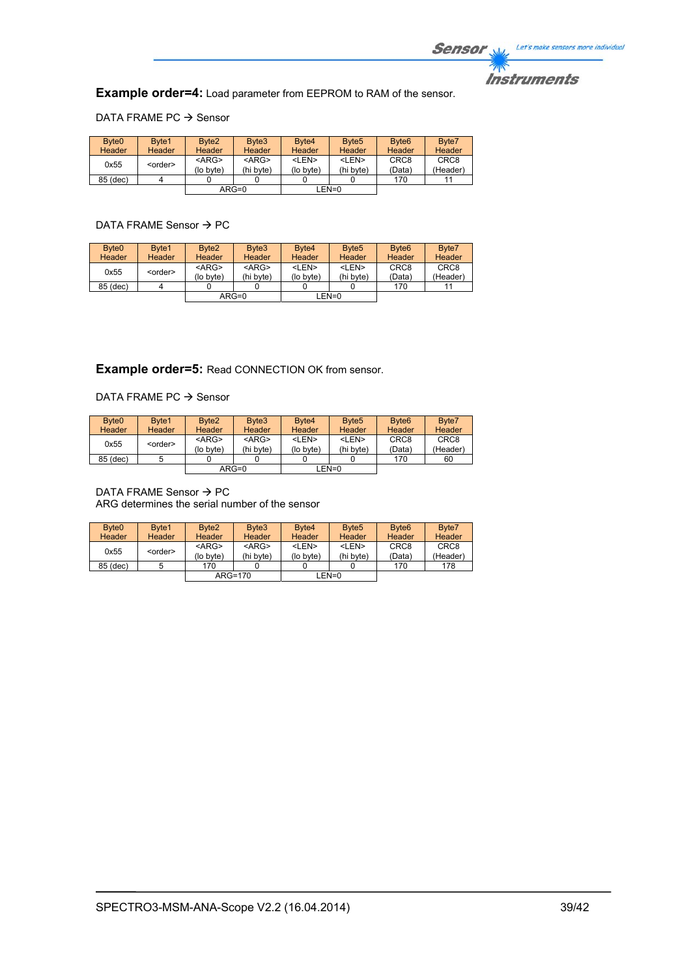

**Example order=4:** Load parameter from EEPROM to RAM of the sensor.

DATA FRAME PC  $\rightarrow$  Sensor

| Byte <sub>0</sub> | Byte1           | Byte <sub>2</sub> | Byte3       | Byte4         | Byte <sub>5</sub> | Byte <sub>6</sub> | Byte7            |
|-------------------|-----------------|-------------------|-------------|---------------|-------------------|-------------------|------------------|
| Header            | Header          | <b>Header</b>     | Header      | <b>Header</b> | <b>Header</b>     | <b>Header</b>     | <b>Header</b>    |
| 0x55              | <order></order> | $<$ ARG>          | $<$ ARG $>$ | <len></len>   | <len></len>       | CRC <sub>8</sub>  | CRC <sub>8</sub> |
|                   |                 | (lo byte)         | (hi byte)   | (lo byte)     | (hi byte)         | (Data)            | (Header)         |
| 85 (dec)          |                 |                   |             |               |                   | 170               | 11               |
|                   |                 |                   | $ARG=0$     |               | LEN=0             |                   |                  |

# DATA FRAME Sensor  $\rightarrow$  PC

| Byte <sub>0</sub>       | Byte1         | Byte <sub>2</sub> | Byte3       | Byte4       | Byte <sub>5</sub> | Byte <sub>6</sub> | Byte7            |
|-------------------------|---------------|-------------------|-------------|-------------|-------------------|-------------------|------------------|
| Header                  | <b>Header</b> | <b>Header</b>     | Header      | Header      | Header            | Header            | Header           |
| 0x55<br><order></order> |               | $<$ ARG $>$       | $<$ ARG $>$ | <len></len> | $<$ I FN $>$      | CRC <sub>8</sub>  | CRC <sub>8</sub> |
|                         |               | (lo byte)         | (hi byte)   | (lo byte)   | (hi byte)         | (Data)            | (Header)         |
| 85 (dec)                |               |                   |             |             |                   | 170               | 11               |
|                         |               |                   | $ARG=0$     |             | ∟EN=0             |                   |                  |

# **Example order=5:** Read CONNECTION OK from sensor.

#### DATA FRAME PC  $\rightarrow$  Sensor

| Byte <sub>0</sub> | Byte1           | Byte <sub>2</sub>        | Byte3                    | Byte4                     | Byte <sub>5</sub>         | Byte <sub>6</sub>          | Byte7                        |
|-------------------|-----------------|--------------------------|--------------------------|---------------------------|---------------------------|----------------------------|------------------------------|
| <b>Header</b>     | Header          | <b>Header</b>            | Header                   | <b>Header</b>             | <b>Header</b>             | Header                     | Header                       |
| 0x55              | <order></order> | $<$ ARG $>$<br>(lo byte) | $<$ ARG $>$<br>(hi byte) | <len><br/>(lo byte)</len> | <len><br/>(hi byte)</len> | CRC <sub>8</sub><br>(Data) | CRC <sub>8</sub><br>(Header) |
| 85 (dec)          |                 |                          |                          |                           |                           | 170                        | 60                           |
|                   |                 |                          | $ARG=0$                  | $LEN=0$                   |                           |                            |                              |

#### DATA FRAME Sensor  $\rightarrow$  PC ARG determines the serial number of the sensor

| Byte <sub>0</sub> | Byte1           | Byte <sub>2</sub>     | Byte3                    | Byte4                     | Byte <sub>5</sub>         | Byte <sub>6</sub>          | Byte7                        |
|-------------------|-----------------|-----------------------|--------------------------|---------------------------|---------------------------|----------------------------|------------------------------|
| <b>Header</b>     | <b>Header</b>   | <b>Header</b>         | Header                   | <b>Header</b>             | <b>Header</b>             | Header                     | <b>Header</b>                |
| 0x55              | <order></order> | $<$ ARG><br>(lo byte) | $<$ ARG $>$<br>(hi byte) | <len><br/>(lo byte)</len> | $<$ I FN $>$<br>(hi byte) | CRC <sub>8</sub><br>(Data) | CRC <sub>8</sub><br>(Header) |
| 85 (dec)          |                 | 170                   |                          |                           |                           | 170                        | 178                          |
|                   |                 |                       | $ARG=170$                |                           | LEN=0                     |                            |                              |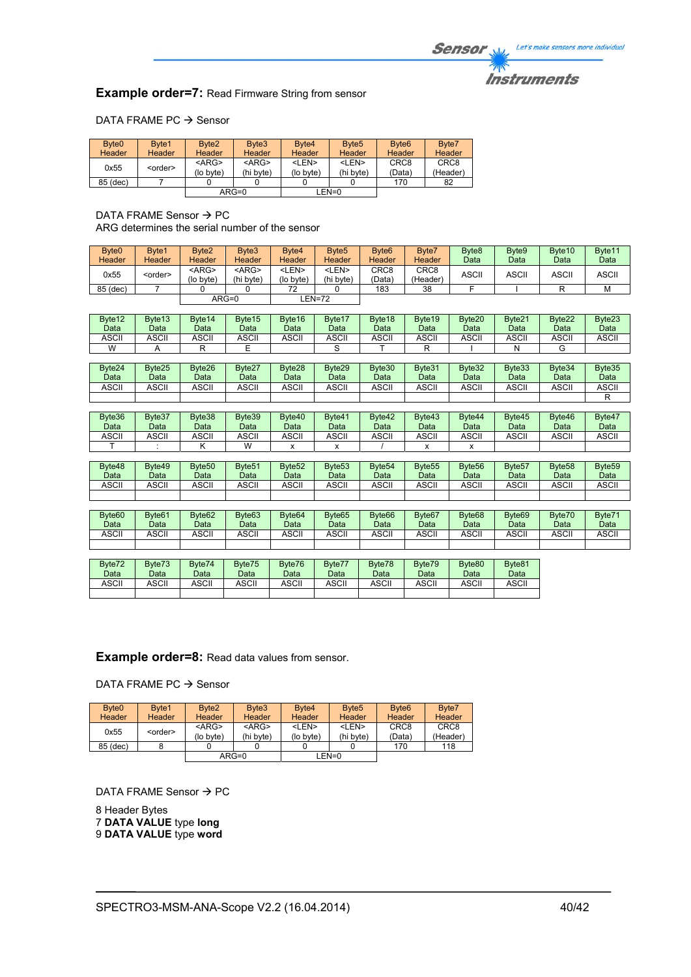# **Instruments**

# **Example order=7:** Read Firmware String from sensor

# DATA FRAME PC  $\rightarrow$  Sensor

| Byte <sub>0</sub> | Byte1           | Byte <sub>2</sub>        | Byte3                    | Byte4                     | Byte <sub>5</sub>         | Byte <sub>6</sub>          | Byte7                        |
|-------------------|-----------------|--------------------------|--------------------------|---------------------------|---------------------------|----------------------------|------------------------------|
| Header            | Header          | <b>Header</b>            | Header                   | <b>Header</b>             | <b>Header</b>             | Header                     | Header                       |
| 0x55              | <order></order> | $<$ ARG $>$<br>(lo byte) | $<$ ARG $>$<br>(hi byte) | <len><br/>(lo byte)</len> | <len><br/>(hi byte)</len> | CRC <sub>8</sub><br>(Data) | CRC <sub>8</sub><br>(Header) |
| 85 (dec)          |                 |                          |                          |                           |                           | 170                        | 82                           |
|                   |                 |                          | $ARG=0$                  |                           | LEN=0                     |                            |                              |

# DATA FRAME Sensor  $\rightarrow$  PC

ARG determines the serial number of the sensor

| Byte <sub>0</sub> | Byte1           | Byte <sub>2</sub> | Byte3       | Byte4       | Byte <sub>5</sub> | Byte <sub>6</sub> | Byte7         | Byte <sub>8</sub> | Byte9        | Byte <sub>10</sub> | Byte11       |
|-------------------|-----------------|-------------------|-------------|-------------|-------------------|-------------------|---------------|-------------------|--------------|--------------------|--------------|
| <b>Header</b>     | <b>Header</b>   | <b>Header</b>     | Header      | Header      | <b>Header</b>     | <b>Header</b>     | <b>Header</b> | Data              | Data         | Data               | Data         |
| 0x55              | <order></order> | <arg></arg>       | <arg></arg> | <len></len> | <len></len>       | CRC8              | CRC8          | <b>ASCII</b>      | <b>ASCII</b> | <b>ASCII</b>       | <b>ASCII</b> |
|                   |                 | (lo byte)         | (hi byte)   | (lo byte)   | (hi byte)         | (Data`            | (Header)      |                   |              |                    |              |
| 85 (dec)          |                 |                   |             | 72          |                   | 183               | 38            |                   |              |                    | M            |
|                   |                 |                   | $ARG=0$     |             | <b>_EN=72</b>     |                   |               |                   |              |                    |              |

| Byte12<br>Data | Byte13<br>Data | Byte14<br>Data     | Byte15<br>Data     | Byte16<br>Data     | Byte17<br>Data     | Byte18<br>Data     | Byte <sub>19</sub><br>Data | Byte20<br>Data     | Byte21<br>Data     | Byte22<br>Data     | Byte23<br>Data     |
|----------------|----------------|--------------------|--------------------|--------------------|--------------------|--------------------|----------------------------|--------------------|--------------------|--------------------|--------------------|
| ASCII          | <b>ASCII</b>   | ASCII              | ASCII              | ASCII              | ASCII              | ASCII              | <b>ASCII</b>               | ASCII              | ASCII              | ASCII              | <b>ASCII</b>       |
| W              | A              | R                  | Е                  |                    | S                  |                    | R                          |                    | N                  | G                  |                    |
|                |                |                    |                    |                    |                    |                    |                            |                    |                    |                    |                    |
| Byte24         | Byte25         | Byte26             | Byte27             | Byte28             | Byte29             | Byte30             | Byte31                     | Byte32             | Byte33             | Byte34             | Byte35             |
| Data           | Data           | Data               | Data               | Data               | Data               | Data               | Data                       | Data               | Data               | Data               | Data               |
| <b>ASCII</b>   | <b>ASCII</b>   | ASCII              | <b>ASCII</b>       | <b>ASCII</b>       | ASCII              | <b>ASCII</b>       | <b>ASCII</b>               | ASCII              | ASCII              | ASCII              | <b>ASCII</b>       |
|                |                |                    |                    |                    |                    |                    |                            |                    |                    |                    | R                  |
|                |                |                    |                    |                    |                    |                    |                            |                    |                    |                    |                    |
| Byte36         | Byte37         | Byte38             | Byte39             | Byte40             | Byte41             | Byte42             | Byte43                     | Byte44             | Byte45             | Byte46             | Byte47             |
|                |                |                    |                    |                    |                    |                    |                            |                    |                    |                    |                    |
| Data           | Data           | Data               | Data               | Data               | Data               | Data               | Data                       | Data               | Data               | Data               | Data               |
| <b>ASCII</b>   | ASCII          | ASCII              | ASCII              | ASCII              | <b>ASCII</b>       | <b>ASCII</b>       | <b>ASCII</b>               | <b>ASCII</b>       | ASCII              | ASCII              | ASCII              |
|                |                | κ                  | W                  | x                  | x                  |                    | x                          | x                  |                    |                    |                    |
|                |                |                    |                    |                    |                    |                    |                            |                    |                    |                    |                    |
| Byte48         | Byte49         | Byte <sub>50</sub> | Byte <sub>51</sub> | Byte <sub>52</sub> | Byte <sub>53</sub> | Byte <sub>54</sub> | Byte <sub>55</sub>         | Byte <sub>56</sub> | Byte <sub>57</sub> | Byte <sub>58</sub> | Byte <sub>59</sub> |
| Data           | Data           | Data               | Data               | Data               | Data               | Data               | Data                       | Data               | Data               | Data               | Data               |
| <b>ASCII</b>   | <b>ASCII</b>   | ASCII              | ASCII              | ASCII              | <b>ASCII</b>       | <b>ASCII</b>       | <b>ASCII</b>               | ASCII              | ASCII              | ASCII              | <b>ASCII</b>       |
|                |                |                    |                    |                    |                    |                    |                            |                    |                    |                    |                    |

| Byte60      | Byte <sub>61</sub> | Byte <sub>62</sub> | Byte <sub>63</sub> | Byte <sub>64</sub> | Byte <sub>65</sub> | Byte <sub>66</sub> | Byte <sub>67</sub> | Byte <sub>68</sub> | Byte <sub>69</sub> | Byte70 | Byte71 |
|-------------|--------------------|--------------------|--------------------|--------------------|--------------------|--------------------|--------------------|--------------------|--------------------|--------|--------|
| <b>Data</b> | Data               | Data               | Data               | Data               | Data               | Data               | Data               | Data               | Data               | Data   | Data   |
| ASCII       | ASCII              | ASCII              | <b>ASCII</b>       | <b>ASCII</b>       | ASCII              | <b>ASCII</b>       | <b>ASCII</b>       | ASCII              | ASCII              | ASCII  | ASCII  |
|             |                    |                    |                    |                    |                    |                    |                    |                    |                    |        |        |

| Byte72       | Byte73 | Byte74 | Byte75 | Byte76 | Byte77 | Byte78 | Byte79 | Byte80       | Byte81 |
|--------------|--------|--------|--------|--------|--------|--------|--------|--------------|--------|
| Data         | Data   | Data   | Datal  | Data   | Data   | Data   | Data   | Data         | Data   |
| <b>ASCII</b> | ASCII  | ASCII  | ASCII  | ASCII  | ASCII  | ASCII  | ASCII  | <b>ASCII</b> | ASCII  |
|              |        |        |        |        |        |        |        |              |        |

**Example order=8:** Read data values from sensor.

DATA FRAME PC  $\rightarrow$  Sensor

| Byte <sub>0</sub> | Byte1           | Byte <sub>2</sub> | Byte3         | Byte4       | Byte <sub>5</sub> | Byte <sub>6</sub> | Byte7            |
|-------------------|-----------------|-------------------|---------------|-------------|-------------------|-------------------|------------------|
| <b>Header</b>     | <b>Header</b>   | Header            | <b>Header</b> | Header      | Header            | Header            | Header           |
| 0x55              | <order></order> | $<$ ARG $>$       | $<$ ARG $>$   | <len></len> | <len></len>       | CRC <sub>8</sub>  | CRC <sub>8</sub> |
|                   |                 | (lo byte)         | (hi byte)     | (lo byte)   | (hi byte)         | (Data)            | (Header)         |
| 85 (dec)          |                 |                   |               |             |                   | 170               | 118              |
|                   |                 |                   | $ARG=0$       |             | LEN=0             |                   |                  |

DATA FRAME Sensor  $\rightarrow$  PC

8 Header Bytes 7 **DATA VALUE** type **long** 9 **DATA VALUE** type **word**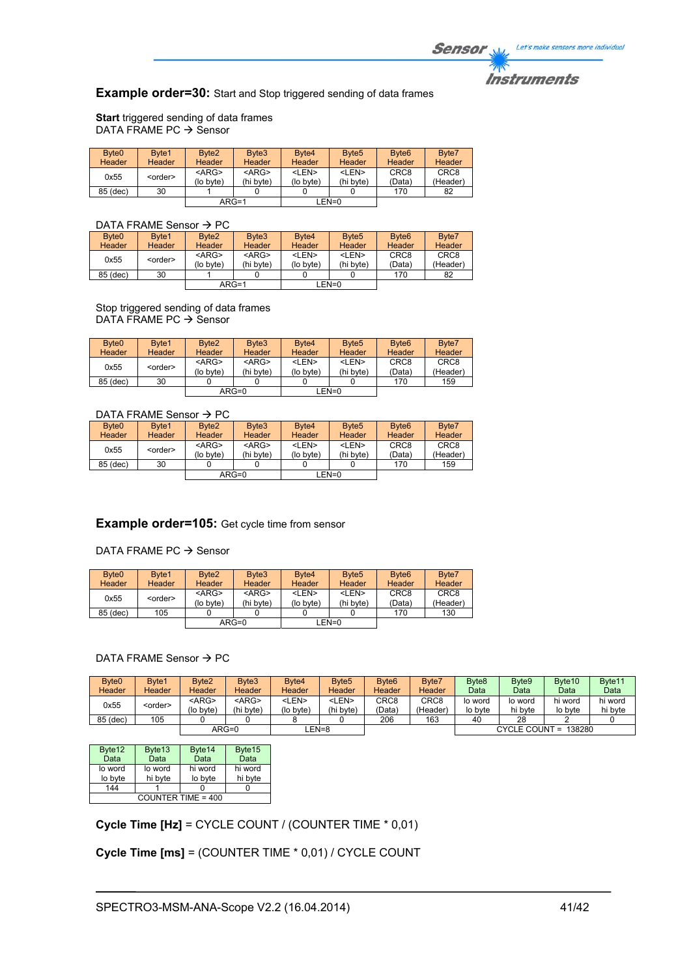# **Instruments**

# **Example order=30:** Start and Stop triggered sending of data frames

**Start** triggered sending of data frames DATA FRAME PC  $\rightarrow$  Sensor

| Byte <sub>0</sub> | Byte1           | Byte <sub>2</sub> | Byte3       | Byte4         | Byte <sub>5</sub> | Byte <sub>6</sub> | Byte7            |
|-------------------|-----------------|-------------------|-------------|---------------|-------------------|-------------------|------------------|
| <b>Header</b>     | Header          | <b>Header</b>     | Header      | <b>Header</b> | <b>Header</b>     | Header            | <b>Header</b>    |
| 0x55              | <order></order> | $<$ ARG>          | $<$ ARG $>$ | <len></len>   | <len></len>       | CRC <sub>8</sub>  | CRC <sub>8</sub> |
|                   |                 | (lo byte)         | (hi byte)   | (lo byte)     | (hi byte)         | (Data)            | (Header)         |
| 85 (dec)          | 30              |                   |             |               |                   | 170               | 82               |
|                   |                 | $ARG=1$           |             |               | LEN=0             |                   |                  |

# DATA FRAME Sensor  $\rightarrow$  PC

| Byte <sub>0</sub> | Byte1           | Byte <sub>2</sub>     | Byte3                    | Byte4                     | Byte <sub>5</sub>         | Byte <sub>6</sub>          | Byte7                        |
|-------------------|-----------------|-----------------------|--------------------------|---------------------------|---------------------------|----------------------------|------------------------------|
| Header            | Header          | <b>Header</b>         | Header                   | Header                    | <b>Header</b>             | Header                     | Header                       |
| 0x55              | <order></order> | $<$ ARG><br>(lo byte) | $<$ ARG $>$<br>(hi bvte) | <len><br/>(lo byte)</len> | <len><br/>(hi byte)</len> | CRC <sub>8</sub><br>(Data) | CRC <sub>8</sub><br>(Header) |
| 85 (dec)          | 30              |                       |                          |                           |                           | 170                        | 82                           |
|                   |                 |                       | $ARG=1$                  |                           | $LEN=0$                   |                            |                              |

Stop triggered sending of data frames DATA FRAME PC  $\rightarrow$  Sensor

| Byte <sub>0</sub><br><b>Header</b> | Byte1<br><b>Header</b> | Byte <sub>2</sub><br>Header | Byte3<br><b>Header</b>   | Byte4<br><b>Header</b>    | Byte <sub>5</sub><br><b>Header</b> | Byte <sub>6</sub><br>Header | Byte7<br>Header              |
|------------------------------------|------------------------|-----------------------------|--------------------------|---------------------------|------------------------------------|-----------------------------|------------------------------|
| 0x55                               | <order></order>        | $<$ ARG $>$<br>(lo byte)    | $<$ ARG $>$<br>(hi byte) | <len><br/>(lo byte)</len> | <len><br/>(hi byte)</len>          | CRC <sub>8</sub><br>(Data)  | CRC <sub>8</sub><br>(Header) |
| 85 (dec)                           | 30                     |                             |                          |                           |                                    | 170                         | 159                          |
|                                    |                        |                             | $ARG=0$                  |                           | $LEN=0$                            |                             |                              |

## DATA FRAME Sensor  $\rightarrow$  PC

| Byte <sub>0</sub> | Byte1           | Byte <sub>2</sub> | Byte3       | Byte4                                   | Byte <sub>5</sub> | Byte <sub>6</sub> | Byte7            |  |  |  |
|-------------------|-----------------|-------------------|-------------|-----------------------------------------|-------------------|-------------------|------------------|--|--|--|
| <b>Header</b>     | Header          | <b>Header</b>     | Header      | <b>Header</b>                           | <b>Header</b>     | <b>Header</b>     | Header           |  |  |  |
| 0x55              |                 | $<$ ARG $>$       | $<$ ARG $>$ | <len></len>                             | <len></len>       | CRC <sub>8</sub>  | CRC <sub>8</sub> |  |  |  |
|                   | <order></order> | (lo byte)         | (hi byte)   | (Data)<br>(hi byte)<br>(lo byte)<br>170 | (Header)          |                   |                  |  |  |  |
| 85 (dec)          | 30              |                   |             |                                         |                   |                   | 159              |  |  |  |
|                   |                 |                   | $ARG=0$     |                                         | LEN=0             |                   |                  |  |  |  |

# **Example order=105:** Get cycle time from sensor

DATA FRAME PC  $\rightarrow$  Sensor

| Byte <sub>0</sub> | Byte1           | Byte <sub>2</sub> | Byte3       | Byte4         | Byte <sub>5</sub> | Byte <sub>6</sub> | Byte7            |
|-------------------|-----------------|-------------------|-------------|---------------|-------------------|-------------------|------------------|
| Header            | Header          | <b>Header</b>     | Header      | <b>Header</b> | <b>Header</b>     | Header            | Header           |
| 0x55              | <order></order> | $<$ ARG $>$       | $<$ ARG $>$ | <len></len>   | <len></len>       | CRC <sub>8</sub>  | CRC <sub>8</sub> |
|                   |                 | (lo byte)         | (hi byte)   | (lo byte)     | (hi byte)         | (Data)            | (Header)         |
| 85 (dec)          | 105             |                   |             |               |                   | 170               | 130              |
|                   |                 |                   | $ARG=0$     |               | $EN=0$            |                   |                  |

### DATA FRAME Sensor  $\rightarrow$  PC

| Byte <sub>0</sub>       | Byte1  | Byte <sub>2</sub> | Byte3         | Byte4       | Byte <sub>5</sub> | Byte <sub>6</sub> | Byte7    | Byte <sub>8</sub> | Byte9   | Byte <sub>10</sub>   | Byte <sub>11</sub> |
|-------------------------|--------|-------------------|---------------|-------------|-------------------|-------------------|----------|-------------------|---------|----------------------|--------------------|
| Header                  | Header | <b>Header</b>     | <b>Header</b> | Header      | Header            | <b>Header</b>     | Header   | Data              | Data    | Data                 | Data               |
| 0x55<br><order></order> |        | <arg></arg>       | $<$ ARG $>$   | <len></len> | <len></len>       | CRC8              | CRC8     | lo word           | lo word | hi word              | hi word            |
|                         |        | (lo byte)         | (hi byte)     | (lo byte)   | (hi byte)         | 'Data)            | (Header) | lo byte           | hi byte | lo byte              | hi byte            |
| 85 (dec)                | 105    |                   |               |             |                   | 206               | 163      | 40                | 28      |                      |                    |
|                         |        |                   | $ARG=0$       | EN=8        |                   |                   |          |                   |         | CYCLE COUNT = 138280 |                    |

| Byte12               | Byte <sub>13</sub> | Byte14  | Byte15  |  |  |  |
|----------------------|--------------------|---------|---------|--|--|--|
| Data                 | Data               | Data    | Data    |  |  |  |
| lo word              | lo word            | hi word | hi word |  |  |  |
| lo byte              | hi byte            | lo byte | hi byte |  |  |  |
| 144                  |                    |         |         |  |  |  |
| COUNTER TIME = $400$ |                    |         |         |  |  |  |

**Cycle Time [Hz]** = CYCLE COUNT / (COUNTER TIME \* 0,01)

# **Cycle Time [ms]** = (COUNTER TIME \* 0,01) / CYCLE COUNT